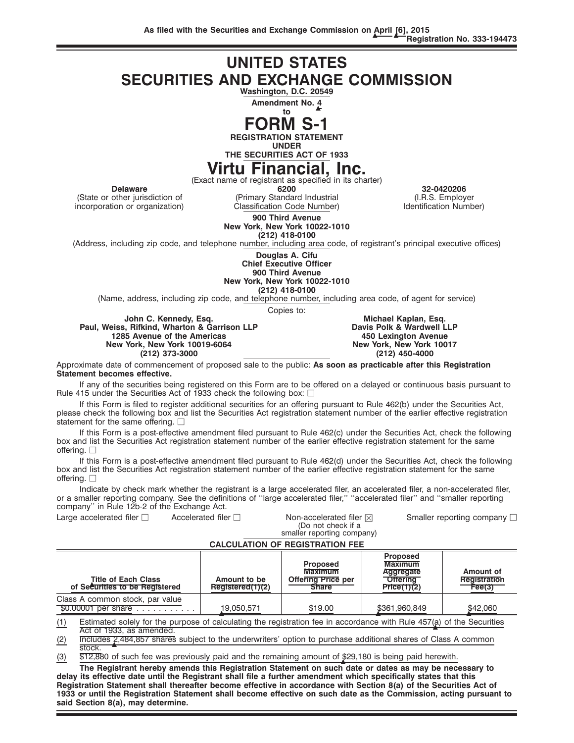# **UNITED STATES SECURITIES AND EXCHANGE COMMISSION**

**Washington, D.C. 20549**

**Amendment No. 4 to**

# **FORM S-1**

**REGISTRATION STATEMENT**

**UNDER THE SECURITIES ACT OF 1933**

**Virtu Financial, Inc.** (Exact name of registrant as specified in its charter)

**Delaware 6200 6200 32-0420206**<br> **Charles 6200 32-0420206 32-0420206 32-0420206 32-0420206 32-0420206 32-0420206** 

(State or other jurisdiction of  $\qquad \qquad$  (Primary Standard Industrial  $\qquad \qquad$  (I.R.S. Employer ncorporation or organization)  $\qquad \qquad$  Classification Code Number) and Identification Number incorporation or organization)

Class A common stock, par value

**900 Third Avenue New York, New York 10022-1010 (212) 418-0100**

(Address, including zip code, and telephone number, including area code, of registrant's principal executive offices)

**Douglas A. Cifu**

**Chief Executive Officer 900 Third Avenue**

**New York, New York 10022-1010**

**(212) 418-0100**

(Name, address, including zip code, and telephone number, including area code, of agent for service)

Copies to:

**John C. Kennedy, Esq. Michael Kaplan, Esq.** Paul, Weiss, Rifkind, Wharton & Garrison LLP **Davis Polk & Wardwell LLP**<br>1285 Avenue of the Americas **Philopher Polity Automate** 450 Lexington Avenue **1285 Avenue of the Americas 450 Lexington Avenue New York, New York 10019-6064 (212) 373-3000 (212) 450-4000**

Approximate date of commencement of proposed sale to the public: **As soon as practicable after this Registration Statement becomes effective.**

If any of the securities being registered on this Form are to be offered on a delayed or continuous basis pursuant to Rule 415 under the Securities Act of 1933 check the following box:  $\Box$ 

If this Form is filed to register additional securities for an offering pursuant to Rule 462(b) under the Securities Act, please check the following box and list the Securities Act registration statement number of the earlier effective registration statement for the same offering.  $\Box$ 

If this Form is a post-effective amendment filed pursuant to Rule 462(c) under the Securities Act, check the following box and list the Securities Act registration statement number of the earlier effective registration statement for the same offering.  $\Box$ 

If this Form is a post-effective amendment filed pursuant to Rule 462(d) under the Securities Act, check the following box and list the Securities Act registration statement number of the earlier effective registration statement for the same offering.  $\Box$ 

Indicate by check mark whether the registrant is a large accelerated filer, an accelerated filer, a non-accelerated filer, or a smaller reporting company. See the definitions of ''large accelerated filer,'' ''accelerated filer'' and ''smaller reporting company'' in Rule 12b-2 of the Exchange Act.

Large accelerated filer  $\Box$ Accelerated filer  $\Box$  $\Box$  Non-accelerated filer  $\boxtimes$  Smaller reporting company  $\Box$ (Do not check if a

smaller reporting company)

|                                                              |                                  | <b>CALCULATION OF REGISTRATION FEE</b> |                                                       |                                  |
|--------------------------------------------------------------|----------------------------------|----------------------------------------|-------------------------------------------------------|----------------------------------|
|                                                              |                                  | Proposed<br><b>Maximum</b>             | <b>Proposed</b><br><b>Maximum</b><br><b>Aggregate</b> | Amount of                        |
| <b>Title of Each Class</b><br>of Securities to be Registered | Amount to be<br>Registered(1)(2) | Offering Price per<br><b>Share</b>     | Offering<br>Price(1)(2)                               | Registration<br>Fe <sub>ET</sub> |

 $$0.00001$  per share  $[3.000]$   $[4.000]$   $[3.000]$   $[4.000]$   $[3.000]$   $[4.000]$   $[4.000]$   $[4.000]$   $[4.000]$   $[4.000]$   $[4.000]$   $[4.000]$   $[4.000]$   $[4.000]$   $[4.000]$   $[4.000]$   $[4.000]$   $[4.000]$   $[4.000]$   $[4.000]$  (1) Estimated solely for the purpose of calculating the registration fee in accordance with Rule 457(a) of the Securities Act of 1933, as amended.

(2) Includes 2,484,857 shares subject to the underwriters' option to purchase additional shares of Class A common stock.

(3) \$12,880 of such fee was previously paid and the remaining amount of \$29,180 is being paid herewith.

**The Registrant hereby amends this Registration Statement on such date or dates as may be necessary to delay its effective date until the Registrant shall file a further amendment which specifically states that this Registration Statement shall thereafter become effective in accordance with Section 8(a) of the Securities Act of 1933 or until the Registration Statement shall become effective on such date as the Commission, acting pursuant to said Section 8(a), may determine.**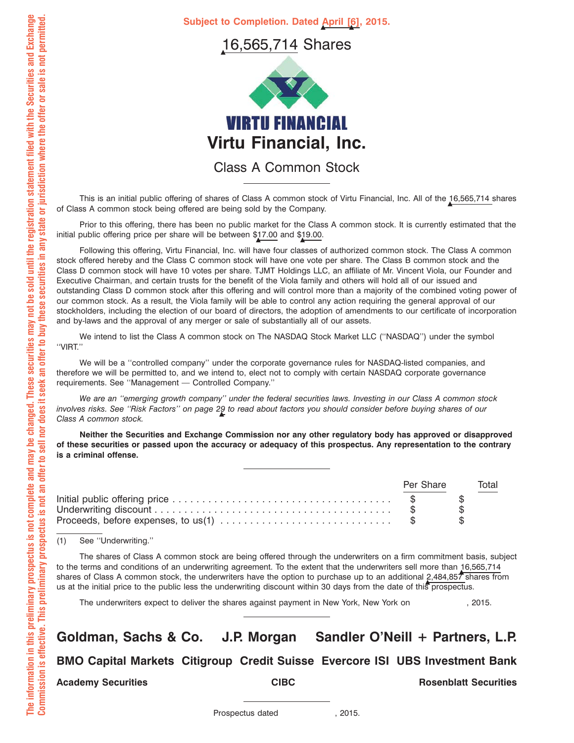**Subject to Completion. Dated April [6], 2015.**

16,565,714 Shares



Class A Common Stock

This is an initial public offering of shares of Class A common stock of Virtu Financial, Inc. All of the 16,565,714 shares of Class A common stock being offered are being sold by the Company.

Prior to this offering, there has been no public market for the Class A common stock. It is currently estimated that the initial public offering price per share will be between \$17.00 and \$19.00.

Following this offering, Virtu Financial, Inc. will have four classes of authorized common stock. The Class A common stock offered hereby and the Class C common stock will have one vote per share. The Class B common stock and the Class D common stock will have 10 votes per share. TJMT Holdings LLC, an affiliate of Mr. Vincent Viola, our Founder and Executive Chairman, and certain trusts for the benefit of the Viola family and others will hold all of our issued and outstanding Class D common stock after this offering and will control more than a majority of the combined voting power of our common stock. As a result, the Viola family will be able to control any action requiring the general approval of our stockholders, including the election of our board of directors, the adoption of amendments to our certificate of incorporation and by-laws and the approval of any merger or sale of substantially all of our assets.

We intend to list the Class A common stock on The NASDAQ Stock Market LLC (''NASDAQ'') under the symbol ''VIRT.''

We will be a ''controlled company'' under the corporate governance rules for NASDAQ-listed companies, and therefore we will be permitted to, and we intend to, elect not to comply with certain NASDAQ corporate governance requirements. See ''Management — Controlled Company.''

*We are an ''emerging growth company'' under the federal securities laws. Investing in our Class A common stock involves risks. See ''Risk Factors'' on page 29 to read about factors you should consider before buying shares of our Class A common stock.*

**Neither the Securities and Exchange Commission nor any other regulatory body has approved or disapproved of these securities or passed upon the accuracy or adequacy of this prospectus. Any representation to the contrary is a criminal offense.**

| Per Share | Total |
|-----------|-------|
|           |       |
|           |       |
|           |       |

#### (1) See ''Underwriting.''

The shares of Class A common stock are being offered through the underwriters on a firm commitment basis, subject to the terms and conditions of an underwriting agreement. To the extent that the underwriters sell more than 16,565,714 shares of Class A common stock, the underwriters have the option to purchase up to an additional 2,484,857 shares from us at the initial price to the public less the underwriting discount within 30 days from the date of this prospectus.

The underwriters expect to deliver the shares against payment in New York, New York on , 2015.

**Goldman, Sachs & Co. J.P. Morgan Sandler O'Neill + Partners, L.P. BMO Capital Markets Citigroup Credit Suisse Evercore ISI UBS Investment Bank Academy Securities CIBC Rosenblatt Securities**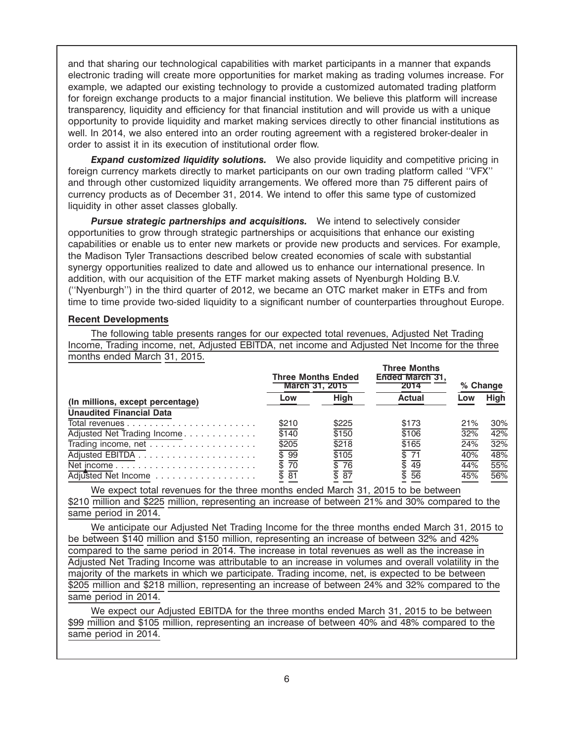and that sharing our technological capabilities with market participants in a manner that expands electronic trading will create more opportunities for market making as trading volumes increase. For example, we adapted our existing technology to provide a customized automated trading platform for foreign exchange products to a major financial institution. We believe this platform will increase transparency, liquidity and efficiency for that financial institution and will provide us with a unique opportunity to provide liquidity and market making services directly to other financial institutions as well. In 2014, we also entered into an order routing agreement with a registered broker-dealer in order to assist it in its execution of institutional order flow.

**Expand customized liquidity solutions.** We also provide liquidity and competitive pricing in foreign currency markets directly to market participants on our own trading platform called ''VFX'' and through other customized liquidity arrangements. We offered more than 75 different pairs of currency products as of December 31, 2014. We intend to offer this same type of customized liquidity in other asset classes globally.

*Pursue strategic partnerships and acquisitions.* We intend to selectively consider opportunities to grow through strategic partnerships or acquisitions that enhance our existing capabilities or enable us to enter new markets or provide new products and services. For example, the Madison Tyler Transactions described below created economies of scale with substantial synergy opportunities realized to date and allowed us to enhance our international presence. In addition, with our acquisition of the ETF market making assets of Nyenburgh Holding B.V. (''Nyenburgh'') in the third quarter of 2012, we became an OTC market maker in ETFs and from time to time provide two-sided liquidity to a significant number of counterparties throughout Europe.

### **Recent Developments**

The following table presents ranges for our expected total revenues, Adjusted Net Trading Income, Trading income, net, Adjusted EBITDA, net income and Adjusted Net Income for the three months ended March 31, 2015.

|                                                                                                                                                                                                                                                          |                        | <b>Three Months Ended</b><br>March 31, 2015 | <b>Three Months</b><br><b>Ended March 31.</b> | % Change |      |  |
|----------------------------------------------------------------------------------------------------------------------------------------------------------------------------------------------------------------------------------------------------------|------------------------|---------------------------------------------|-----------------------------------------------|----------|------|--|
| (In millions, except percentage)                                                                                                                                                                                                                         | Low                    | Hiah                                        | Actual                                        | Low      | High |  |
| <b>Unaudited Financial Data</b>                                                                                                                                                                                                                          |                        |                                             |                                               |          |      |  |
|                                                                                                                                                                                                                                                          | \$210                  | \$225                                       | \$173                                         | 21%      | 30%  |  |
| Adjusted Net Trading Income                                                                                                                                                                                                                              | \$140                  | \$150                                       | \$106                                         | 32%      | 42%  |  |
|                                                                                                                                                                                                                                                          | $\sqrt{$205}$          | $\sqrt{3218}$                               | \$165                                         | 24%      | 32%  |  |
|                                                                                                                                                                                                                                                          | \$99                   | \$105                                       |                                               | 40%      | 48%  |  |
|                                                                                                                                                                                                                                                          | $\overline{70}$<br>\$. | \$76                                        | \$49                                          | 44%      | 55%  |  |
| Adjusted Net Income<br>$\mathbf{M}$ is the contract of the contract of the contract of the contract of the contract of the contract of the contract of the contract of the contract of the contract of the contract of the contract of the contract of t | $\overline{\$}$ 81     | $\overline{\$}$ 87                          | $\overline{\$}$ 56                            | 45%      | 56%  |  |

We expect total revenues for the three months ended March 31, 2015 to be between \$210 million and \$225 million, representing an increase of between 21% and 30% compared to the same period in 2014.

We anticipate our Adjusted Net Trading Income for the three months ended March 31, 2015 to be between \$140 million and \$150 million, representing an increase of between 32% and 42% compared to the same period in 2014. The increase in total revenues as well as the increase in Adjusted Net Trading Income was attributable to an increase in volumes and overall volatility in the majority of the markets in which we participate. Trading income, net, is expected to be between \$205 million and \$218 million, representing an increase of between 24% and 32% compared to the same period in 2014.

We expect our Adjusted EBITDA for the three months ended March 31, 2015 to be between \$99 million and \$105 million, representing an increase of between 40% and 48% compared to the same period in 2014.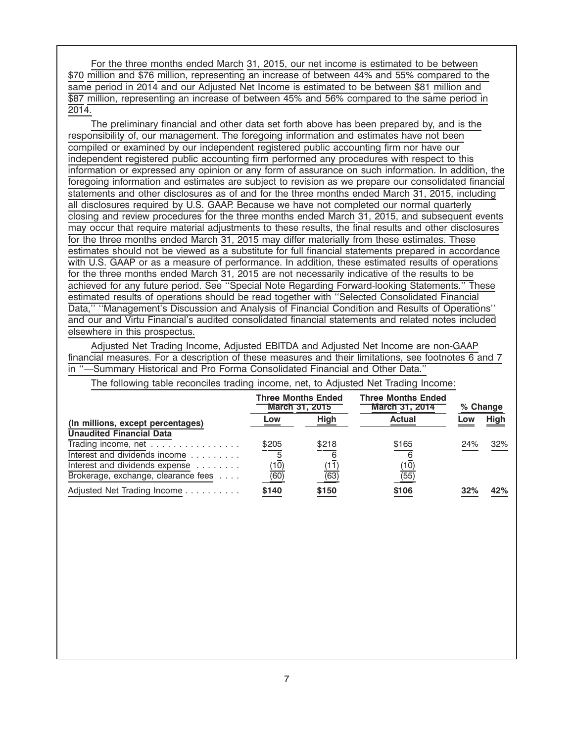For the three months ended March 31, 2015, our net income is estimated to be between \$70 million and \$76 million, representing an increase of between 44% and 55% compared to the same period in 2014 and our Adjusted Net Income is estimated to be between \$81 million and \$87 million, representing an increase of between 45% and 56% compared to the same period in  $2014.$ 

The preliminary financial and other data set forth above has been prepared by, and is the responsibility of, our management. The foregoing information and estimates have not been compiled or examined by our independent registered public accounting firm nor have our independent registered public accounting firm performed any procedures with respect to this information or expressed any opinion or any form of assurance on such information. In addition, the foregoing information and estimates are subject to revision as we prepare our consolidated financial statements and other disclosures as of and for the three months ended March 31, 2015, including all disclosures required by U.S. GAAP. Because we have not completed our normal quarterly closing and review procedures for the three months ended March 31, 2015, and subsequent events may occur that require material adjustments to these results, the final results and other disclosures for the three months ended March 31, 2015 may differ materially from these estimates. These estimates should not be viewed as a substitute for full financial statements prepared in accordance with U.S. GAAP or as a measure of performance. In addition, these estimated results of operations for the three months ended March 31, 2015 are not necessarily indicative of the results to be achieved for any future period. See ''Special Note Regarding Forward-looking Statements.'' These estimated results of operations should be read together with "Selected Consolidated Financial Data,'' ''Management's Discussion and Analysis of Financial Condition and Results of Operations'' and our and Virtu Financial's audited consolidated financial statements and related notes included elsewhere in this prospectus.

Adjusted Net Trading Income, Adjusted EBITDA and Adjusted Net Income are non-GAAP financial measures. For a description of these measures and their limitations, see footnotes 6 and 7 in ''—Summary Historical and Pro Forma Consolidated Financial and Other Data.''

|                                                          |       | <b>Three Months Ended</b><br><b>March 31, 2015</b> | <b>Three Months Ended</b><br>March 31, 2014 |     | % Change    |  |
|----------------------------------------------------------|-------|----------------------------------------------------|---------------------------------------------|-----|-------------|--|
| (In millions, except percentages)                        | Low   | <b>High</b>                                        | <b>Actual</b>                               | Low | <b>High</b> |  |
| <b>Unaudited Financial Data</b>                          |       |                                                    |                                             |     |             |  |
| Trading income, net $\ldots \ldots \ldots \ldots \ldots$ | \$205 | \$218                                              | \$165                                       | 24% | 32%         |  |
| Interest and dividends income                            |       |                                                    |                                             |     |             |  |
| Interest and dividends expense                           | (10)  | (11                                                | 10)                                         |     |             |  |
| Brokerage, exchange, clearance fees                      | (60)  | (63)                                               | (55)                                        |     |             |  |
| Adjusted Net Trading Income                              | \$140 | \$150                                              | \$106                                       | 32% | 42%         |  |

The following table reconciles trading income, net, to Adjusted Net Trading Income: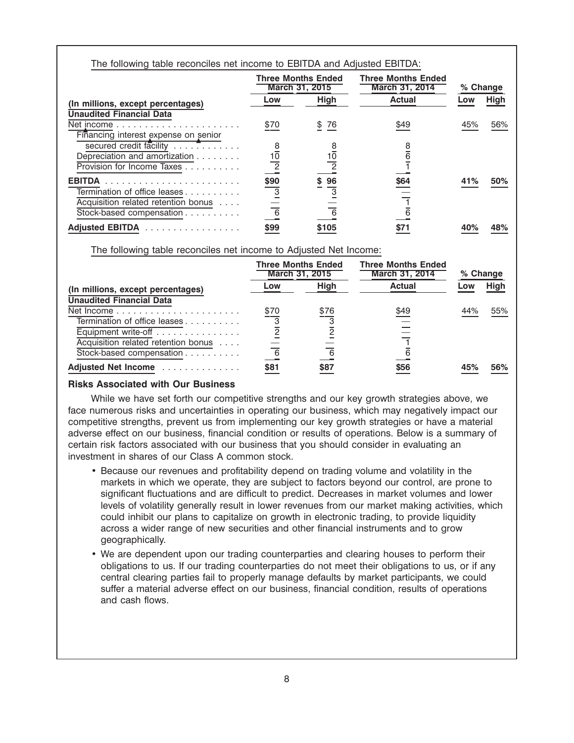| The following table reconciles net income to EBITDA and Adjusted EBITDA: |                |                                                                                                          |               |     |      |  |
|--------------------------------------------------------------------------|----------------|----------------------------------------------------------------------------------------------------------|---------------|-----|------|--|
|                                                                          |                | <b>Three Months Ended</b><br><b>Three Months Ended</b><br><b>March 31, 2014</b><br><b>March 31, 2015</b> |               |     |      |  |
| (In millions, except percentages)                                        | Low            | <b>High</b>                                                                                              | <b>Actual</b> | Low | High |  |
| <b>Unaudited Financial Data</b>                                          |                |                                                                                                          |               |     |      |  |
| Net income $\ldots \ldots \ldots \ldots \ldots \ldots \ldots$            | \$70           | 76<br>\$                                                                                                 | \$49          | 45% | 56%  |  |
| Financing interest expense on senior                                     |                |                                                                                                          |               |     |      |  |
| secured credit facility $\ldots$                                         | 8              |                                                                                                          |               |     |      |  |
| Depreciation and amortization                                            | $\frac{10}{2}$ | 10                                                                                                       |               |     |      |  |
| Provision for Income Taxes                                               |                |                                                                                                          |               |     |      |  |
|                                                                          | \$90           | 96                                                                                                       | \$64          | 41% | 50%  |  |
| Termination of office leases                                             | $\overline{3}$ |                                                                                                          |               |     |      |  |
| Acquisition related retention bonus                                      |                |                                                                                                          |               |     |      |  |
| Stock-based compensation                                                 | $\overline{6}$ |                                                                                                          |               |     |      |  |
| Adjusted EBITDA                                                          | \$99           | \$105                                                                                                    | \$71          | 40% | 48%  |  |

The following table reconciles net income to Adjusted Net Income:

|                                     | <b>Three Months Ended</b><br><b>March 31, 2015</b> |      | <b>Three Months Ended</b><br><b>March 31, 2014</b> | % Change |             |
|-------------------------------------|----------------------------------------------------|------|----------------------------------------------------|----------|-------------|
| (In millions, except percentages)   | Low                                                | High | <b>Actual</b>                                      | Low      | <b>High</b> |
| <b>Unaudited Financial Data</b>     |                                                    |      |                                                    |          |             |
|                                     | \$70                                               | \$76 | \$49                                               | 44%      | 55%         |
| Termination of office leases        |                                                    |      |                                                    |          |             |
| Equipment write-off $\ldots$        |                                                    |      |                                                    |          |             |
| Acquisition related retention bonus |                                                    |      |                                                    |          |             |
| Stock-based compensation            |                                                    | 6    |                                                    |          |             |
| Adjusted Net Income                 | \$81                                               | \$87 | \$56                                               |          | 56%         |

### **Risks Associated with Our Business**

While we have set forth our competitive strengths and our key growth strategies above, we face numerous risks and uncertainties in operating our business, which may negatively impact our competitive strengths, prevent us from implementing our key growth strategies or have a material adverse effect on our business, financial condition or results of operations. Below is a summary of certain risk factors associated with our business that you should consider in evaluating an investment in shares of our Class A common stock.

- Because our revenues and profitability depend on trading volume and volatility in the markets in which we operate, they are subject to factors beyond our control, are prone to significant fluctuations and are difficult to predict. Decreases in market volumes and lower levels of volatility generally result in lower revenues from our market making activities, which could inhibit our plans to capitalize on growth in electronic trading, to provide liquidity across a wider range of new securities and other financial instruments and to grow geographically.
- We are dependent upon our trading counterparties and clearing houses to perform their obligations to us. If our trading counterparties do not meet their obligations to us, or if any central clearing parties fail to properly manage defaults by market participants, we could suffer a material adverse effect on our business, financial condition, results of operations and cash flows.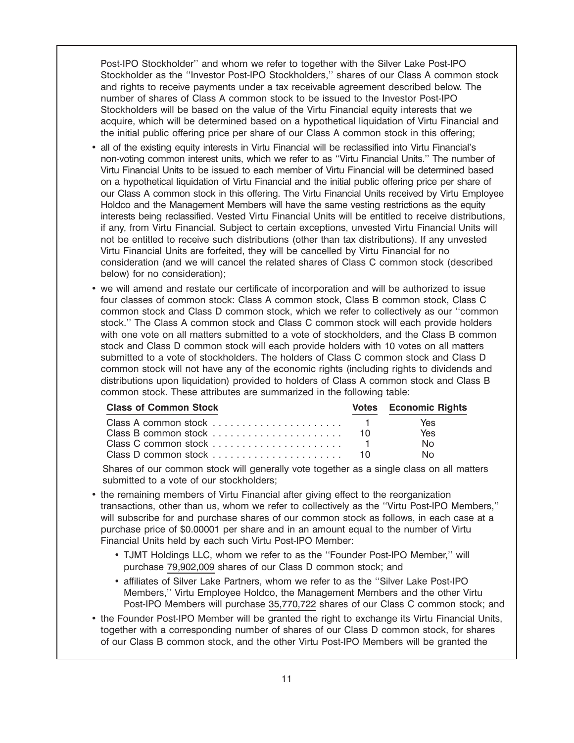Post-IPO Stockholder'' and whom we refer to together with the Silver Lake Post-IPO Stockholder as the ''Investor Post-IPO Stockholders,'' shares of our Class A common stock and rights to receive payments under a tax receivable agreement described below. The number of shares of Class A common stock to be issued to the Investor Post-IPO Stockholders will be based on the value of the Virtu Financial equity interests that we acquire, which will be determined based on a hypothetical liquidation of Virtu Financial and the initial public offering price per share of our Class A common stock in this offering;

- all of the existing equity interests in Virtu Financial will be reclassified into Virtu Financial's non-voting common interest units, which we refer to as ''Virtu Financial Units.'' The number of Virtu Financial Units to be issued to each member of Virtu Financial will be determined based on a hypothetical liquidation of Virtu Financial and the initial public offering price per share of our Class A common stock in this offering. The Virtu Financial Units received by Virtu Employee Holdco and the Management Members will have the same vesting restrictions as the equity interests being reclassified. Vested Virtu Financial Units will be entitled to receive distributions, if any, from Virtu Financial. Subject to certain exceptions, unvested Virtu Financial Units will not be entitled to receive such distributions (other than tax distributions). If any unvested Virtu Financial Units are forfeited, they will be cancelled by Virtu Financial for no consideration (and we will cancel the related shares of Class C common stock (described below) for no consideration);
- we will amend and restate our certificate of incorporation and will be authorized to issue four classes of common stock: Class A common stock, Class B common stock, Class C common stock and Class D common stock, which we refer to collectively as our ''common stock.'' The Class A common stock and Class C common stock will each provide holders with one vote on all matters submitted to a vote of stockholders, and the Class B common stock and Class D common stock will each provide holders with 10 votes on all matters submitted to a vote of stockholders. The holders of Class C common stock and Class D common stock will not have any of the economic rights (including rights to dividends and distributions upon liquidation) provided to holders of Class A common stock and Class B common stock. These attributes are summarized in the following table:

| <b>Class of Common Stock</b>                                                 | <b>Votes</b> Economic Rights |
|------------------------------------------------------------------------------|------------------------------|
|                                                                              | Yes                          |
| Class B common stock $\ldots$ $\ldots$ $\ldots$ $\ldots$ $\ldots$ $\ldots$ . | Yes                          |
|                                                                              | N∩                           |
|                                                                              | N∩                           |

Shares of our common stock will generally vote together as a single class on all matters submitted to a vote of our stockholders;

- the remaining members of Virtu Financial after giving effect to the reorganization transactions, other than us, whom we refer to collectively as the ''Virtu Post-IPO Members,'' will subscribe for and purchase shares of our common stock as follows, in each case at a purchase price of \$0.00001 per share and in an amount equal to the number of Virtu Financial Units held by each such Virtu Post-IPO Member:
	- TJMT Holdings LLC, whom we refer to as the ''Founder Post-IPO Member,'' will purchase 79,902,009 shares of our Class D common stock; and
	- affiliates of Silver Lake Partners, whom we refer to as the ''Silver Lake Post-IPO Members,'' Virtu Employee Holdco, the Management Members and the other Virtu Post-IPO Members will purchase 35,770,722 shares of our Class C common stock; and
- the Founder Post-IPO Member will be granted the right to exchange its Virtu Financial Units, together with a corresponding number of shares of our Class D common stock, for shares of our Class B common stock, and the other Virtu Post-IPO Members will be granted the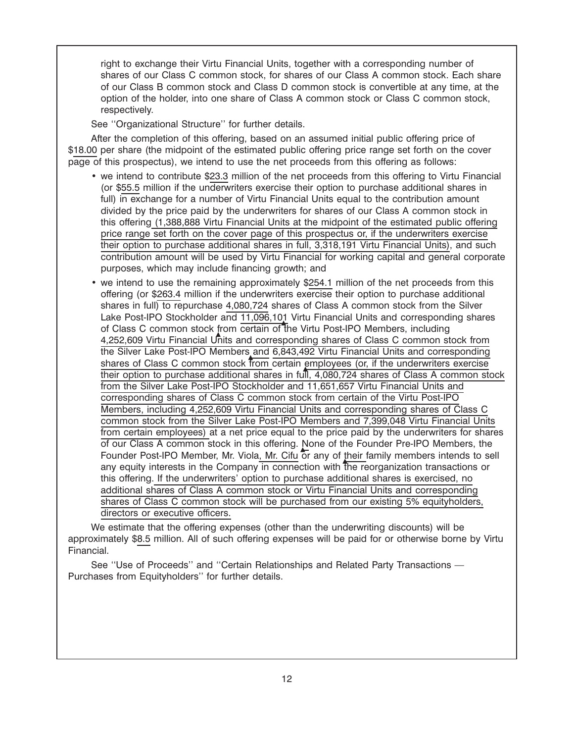right to exchange their Virtu Financial Units, together with a corresponding number of shares of our Class C common stock, for shares of our Class A common stock. Each share of our Class B common stock and Class D common stock is convertible at any time, at the option of the holder, into one share of Class A common stock or Class C common stock, respectively.

See ''Organizational Structure'' for further details.

After the completion of this offering, based on an assumed initial public offering price of \$18.00 per share (the midpoint of the estimated public offering price range set forth on the cover page of this prospectus), we intend to use the net proceeds from this offering as follows:

- we intend to contribute \$23.3 million of the net proceeds from this offering to Virtu Financial (or \$55.5 million if the underwriters exercise their option to purchase additional shares in full) in exchange for a number of Virtu Financial Units equal to the contribution amount divided by the price paid by the underwriters for shares of our Class A common stock in this offering (1,388,888 Virtu Financial Units at the midpoint of the estimated public offering price range set forth on the cover page of this prospectus or, if the underwriters exercise their option to purchase additional shares in full, 3,318,191 Virtu Financial Units), and such contribution amount will be used by Virtu Financial for working capital and general corporate purposes, which may include financing growth; and
- we intend to use the remaining approximately \$254.1 million of the net proceeds from this offering (or \$263.4 million if the underwriters exercise their option to purchase additional shares in full) to repurchase 4,080,724 shares of Class A common stock from the Silver Lake Post-IPO Stockholder and 11,096,101 Virtu Financial Units and corresponding shares of Class C common stock from certain of the Virtu Post-IPO Members, including 4,252,609 Virtu Financial Units and corresponding shares of Class C common stock from the Silver Lake Post-IPO Members and 6,843,492 Virtu Financial Units and corresponding shares of Class C common stock from certain employees (or, if the underwriters exercise their option to purchase additional shares in full, 4,080,724 shares of Class A common stock from the Silver Lake Post-IPO Stockholder and 11,651,657 Virtu Financial Units and corresponding shares of Class C common stock from certain of the Virtu Post-IPO Members, including 4,252,609 Virtu Financial Units and corresponding shares of Class C common stock from the Silver Lake Post-IPO Members and 7,399,048 Virtu Financial Units from certain employees) at a net price equal to the price paid by the underwriters for shares of our Class A common stock in this offering. None of the Founder Pre-IPO Members, the Founder Post-IPO Member, Mr. Viola, Mr. Cifu or any of their family members intends to sell any equity interests in the Company in connection with the reorganization transactions or this offering. If the underwriters' option to purchase additional shares is exercised, no additional shares of Class A common stock or Virtu Financial Units and corresponding shares of Class C common stock will be purchased from our existing 5% equityholders, directors or executive officers.

We estimate that the offering expenses (other than the underwriting discounts) will be approximately \$8.5 million. All of such offering expenses will be paid for or otherwise borne by Virtu Financial.

See ''Use of Proceeds'' and ''Certain Relationships and Related Party Transactions — Purchases from Equityholders'' for further details.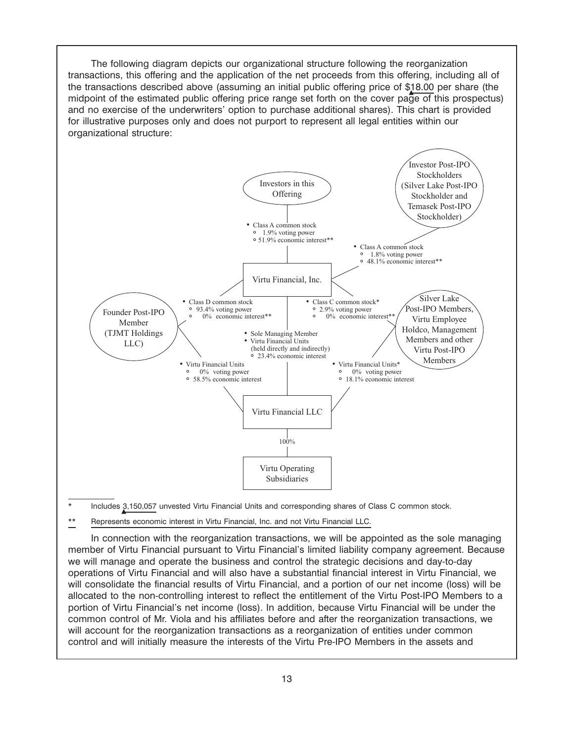The following diagram depicts our organizational structure following the reorganization transactions, this offering and the application of the net proceeds from this offering, including all of the transactions described above (assuming an initial public offering price of \$18.00 per share (the midpoint of the estimated public offering price range set forth on the cover page of this prospectus) and no exercise of the underwriters' option to purchase additional shares). This chart is provided for illustrative purposes only and does not purport to represent all legal entities within our organizational structure:



Includes 3,150,057 unvested Virtu Financial Units and corresponding shares of Class C common stock.

\*\* Represents economic interest in Virtu Financial, Inc. and not Virtu Financial LLC.

In connection with the reorganization transactions, we will be appointed as the sole managing member of Virtu Financial pursuant to Virtu Financial's limited liability company agreement. Because we will manage and operate the business and control the strategic decisions and day-to-day operations of Virtu Financial and will also have a substantial financial interest in Virtu Financial, we will consolidate the financial results of Virtu Financial, and a portion of our net income (loss) will be allocated to the non-controlling interest to reflect the entitlement of the Virtu Post-IPO Members to a portion of Virtu Financial's net income (loss). In addition, because Virtu Financial will be under the common control of Mr. Viola and his affiliates before and after the reorganization transactions, we will account for the reorganization transactions as a reorganization of entities under common control and will initially measure the interests of the Virtu Pre-IPO Members in the assets and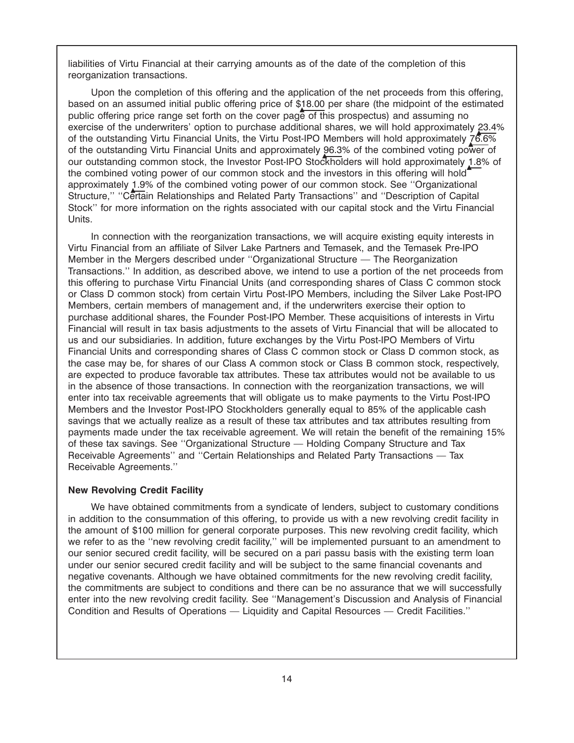liabilities of Virtu Financial at their carrying amounts as of the date of the completion of this reorganization transactions.

Upon the completion of this offering and the application of the net proceeds from this offering, based on an assumed initial public offering price of \$18.00 per share (the midpoint of the estimated public offering price range set forth on the cover page of this prospectus) and assuming no exercise of the underwriters' option to purchase additional shares, we will hold approximately 23.4% of the outstanding Virtu Financial Units, the Virtu Post-IPO Members will hold approximately 76.6% of the outstanding Virtu Financial Units and approximately 96.3% of the combined voting power of our outstanding common stock, the Investor Post-IPO Stockholders will hold approximately 1.8% of the combined voting power of our common stock and the investors in this offering will hold approximately 1.9% of the combined voting power of our common stock. See ''Organizational Structure," "Certain Relationships and Related Party Transactions" and "Description of Capital Stock'' for more information on the rights associated with our capital stock and the Virtu Financial Units.

In connection with the reorganization transactions, we will acquire existing equity interests in Virtu Financial from an affiliate of Silver Lake Partners and Temasek, and the Temasek Pre-IPO Member in the Mergers described under ''Organizational Structure — The Reorganization Transactions.'' In addition, as described above, we intend to use a portion of the net proceeds from this offering to purchase Virtu Financial Units (and corresponding shares of Class C common stock or Class D common stock) from certain Virtu Post-IPO Members, including the Silver Lake Post-IPO Members, certain members of management and, if the underwriters exercise their option to purchase additional shares, the Founder Post-IPO Member. These acquisitions of interests in Virtu Financial will result in tax basis adjustments to the assets of Virtu Financial that will be allocated to us and our subsidiaries. In addition, future exchanges by the Virtu Post-IPO Members of Virtu Financial Units and corresponding shares of Class C common stock or Class D common stock, as the case may be, for shares of our Class A common stock or Class B common stock, respectively, are expected to produce favorable tax attributes. These tax attributes would not be available to us in the absence of those transactions. In connection with the reorganization transactions, we will enter into tax receivable agreements that will obligate us to make payments to the Virtu Post-IPO Members and the Investor Post-IPO Stockholders generally equal to 85% of the applicable cash savings that we actually realize as a result of these tax attributes and tax attributes resulting from payments made under the tax receivable agreement. We will retain the benefit of the remaining 15% of these tax savings. See ''Organizational Structure — Holding Company Structure and Tax Receivable Agreements'' and ''Certain Relationships and Related Party Transactions — Tax Receivable Agreements.''

### **New Revolving Credit Facility**

We have obtained commitments from a syndicate of lenders, subject to customary conditions in addition to the consummation of this offering, to provide us with a new revolving credit facility in the amount of \$100 million for general corporate purposes. This new revolving credit facility, which we refer to as the ''new revolving credit facility,'' will be implemented pursuant to an amendment to our senior secured credit facility, will be secured on a pari passu basis with the existing term loan under our senior secured credit facility and will be subject to the same financial covenants and negative covenants. Although we have obtained commitments for the new revolving credit facility, the commitments are subject to conditions and there can be no assurance that we will successfully enter into the new revolving credit facility. See ''Management's Discussion and Analysis of Financial Condition and Results of Operations — Liquidity and Capital Resources — Credit Facilities.''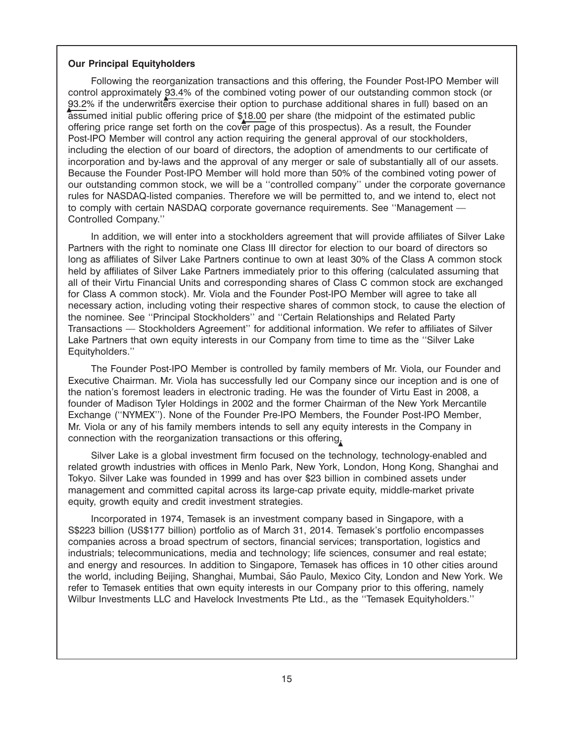### **Our Principal Equityholders**

Following the reorganization transactions and this offering, the Founder Post-IPO Member will control approximately 93.4% of the combined voting power of our outstanding common stock (or 93.2% if the underwriters exercise their option to purchase additional shares in full) based on an assumed initial public offering price of \$18.00 per share (the midpoint of the estimated public offering price range set forth on the cover page of this prospectus). As a result, the Founder Post-IPO Member will control any action requiring the general approval of our stockholders, including the election of our board of directors, the adoption of amendments to our certificate of incorporation and by-laws and the approval of any merger or sale of substantially all of our assets. Because the Founder Post-IPO Member will hold more than 50% of the combined voting power of our outstanding common stock, we will be a ''controlled company'' under the corporate governance rules for NASDAQ-listed companies. Therefore we will be permitted to, and we intend to, elect not to comply with certain NASDAQ corporate governance requirements. See ''Management — Controlled Company.''

In addition, we will enter into a stockholders agreement that will provide affiliates of Silver Lake Partners with the right to nominate one Class III director for election to our board of directors so long as affiliates of Silver Lake Partners continue to own at least 30% of the Class A common stock held by affiliates of Silver Lake Partners immediately prior to this offering (calculated assuming that all of their Virtu Financial Units and corresponding shares of Class C common stock are exchanged for Class A common stock). Mr. Viola and the Founder Post-IPO Member will agree to take all necessary action, including voting their respective shares of common stock, to cause the election of the nominee. See ''Principal Stockholders'' and ''Certain Relationships and Related Party Transactions — Stockholders Agreement'' for additional information. We refer to affiliates of Silver Lake Partners that own equity interests in our Company from time to time as the ''Silver Lake Equityholders.''

The Founder Post-IPO Member is controlled by family members of Mr. Viola, our Founder and Executive Chairman. Mr. Viola has successfully led our Company since our inception and is one of the nation's foremost leaders in electronic trading. He was the founder of Virtu East in 2008, a founder of Madison Tyler Holdings in 2002 and the former Chairman of the New York Mercantile Exchange (''NYMEX''). None of the Founder Pre-IPO Members, the Founder Post-IPO Member, Mr. Viola or any of his family members intends to sell any equity interests in the Company in connection with the reorganization transactions or this offering.

Silver Lake is a global investment firm focused on the technology, technology-enabled and related growth industries with offices in Menlo Park, New York, London, Hong Kong, Shanghai and Tokyo. Silver Lake was founded in 1999 and has over \$23 billion in combined assets under management and committed capital across its large-cap private equity, middle-market private equity, growth equity and credit investment strategies.

Incorporated in 1974, Temasek is an investment company based in Singapore, with a S\$223 billion (US\$177 billion) portfolio as of March 31, 2014. Temasek's portfolio encompasses companies across a broad spectrum of sectors, financial services; transportation, logistics and industrials; telecommunications, media and technology; life sciences, consumer and real estate; and energy and resources. In addition to Singapore, Temasek has offices in 10 other cities around the world, including Beijing, Shanghai, Mumbai, São Paulo, Mexico City, London and New York. We refer to Temasek entities that own equity interests in our Company prior to this offering, namely Wilbur Investments LLC and Havelock Investments Pte Ltd., as the ''Temasek Equityholders.''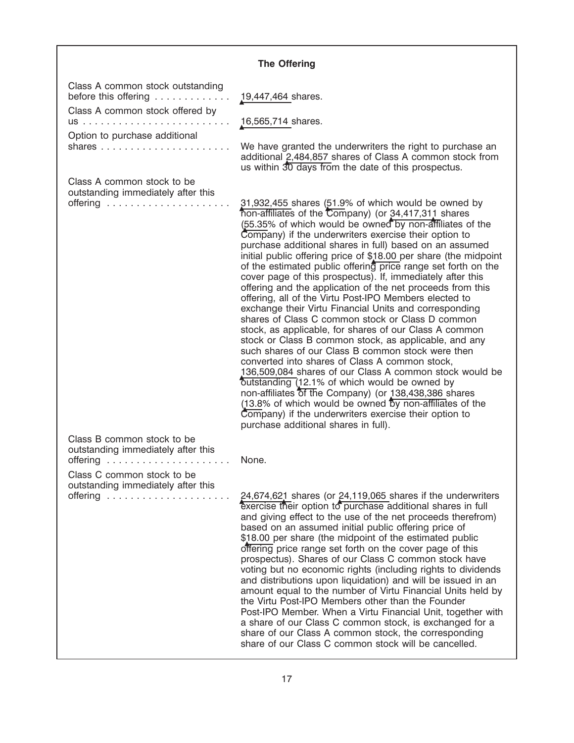| <b>The Offering</b>                                                                                                                  |                                                                                                                                                                                                                                                                                                                                                                                                                                                                                                                                                                                                                                                                                                                                                                                                                                                                                                                                                                                                                                                                                                                                                                                                                                                                                                 |  |  |  |
|--------------------------------------------------------------------------------------------------------------------------------------|-------------------------------------------------------------------------------------------------------------------------------------------------------------------------------------------------------------------------------------------------------------------------------------------------------------------------------------------------------------------------------------------------------------------------------------------------------------------------------------------------------------------------------------------------------------------------------------------------------------------------------------------------------------------------------------------------------------------------------------------------------------------------------------------------------------------------------------------------------------------------------------------------------------------------------------------------------------------------------------------------------------------------------------------------------------------------------------------------------------------------------------------------------------------------------------------------------------------------------------------------------------------------------------------------|--|--|--|
| Class A common stock outstanding<br>before this offering                                                                             | 19,447,464 shares.                                                                                                                                                                                                                                                                                                                                                                                                                                                                                                                                                                                                                                                                                                                                                                                                                                                                                                                                                                                                                                                                                                                                                                                                                                                                              |  |  |  |
| Class A common stock offered by                                                                                                      | 16,565,714 shares.                                                                                                                                                                                                                                                                                                                                                                                                                                                                                                                                                                                                                                                                                                                                                                                                                                                                                                                                                                                                                                                                                                                                                                                                                                                                              |  |  |  |
| Option to purchase additional                                                                                                        | We have granted the underwriters the right to purchase an<br>additional 2,484,857 shares of Class A common stock from<br>us within 30 days from the date of this prospectus.                                                                                                                                                                                                                                                                                                                                                                                                                                                                                                                                                                                                                                                                                                                                                                                                                                                                                                                                                                                                                                                                                                                    |  |  |  |
| Class A common stock to be<br>outstanding immediately after this                                                                     | 31,932,455 shares (51.9% of which would be owned by<br>non-affiliates of the Company) (or 34,417,311 shares<br>(55.35% of which would be owned by non-affiliates of the<br>Company) if the underwriters exercise their option to<br>purchase additional shares in full) based on an assumed<br>initial public offering price of \$18.00 per share (the midpoint<br>of the estimated public offering price range set forth on the<br>cover page of this prospectus). If, immediately after this<br>offering and the application of the net proceeds from this<br>offering, all of the Virtu Post-IPO Members elected to<br>exchange their Virtu Financial Units and corresponding<br>shares of Class C common stock or Class D common<br>stock, as applicable, for shares of our Class A common<br>stock or Class B common stock, as applicable, and any<br>such shares of our Class B common stock were then<br>converted into shares of Class A common stock,<br>136,509,084 shares of our Class A common stock would be<br>outstanding (12.1% of which would be owned by<br>non-affiliates of the Company) (or 138,438,386 shares<br>(13.8% of which would be owned by non-affiliates of the<br>Company) if the underwriters exercise their option to<br>purchase additional shares in full). |  |  |  |
| Class B common stock to be<br>outstanding immediately after this<br>Class C common stock to be<br>outstanding immediately after this | None.<br>24,674,621 shares (or 24,119,065 shares if the underwriters<br>exercise their option to purchase additional shares in full<br>and giving effect to the use of the net proceeds therefrom)<br>based on an assumed initial public offering price of                                                                                                                                                                                                                                                                                                                                                                                                                                                                                                                                                                                                                                                                                                                                                                                                                                                                                                                                                                                                                                      |  |  |  |
|                                                                                                                                      | \$18.00 per share (the midpoint of the estimated public<br>offering price range set forth on the cover page of this<br>prospectus). Shares of our Class C common stock have<br>voting but no economic rights (including rights to dividends<br>and distributions upon liquidation) and will be issued in an<br>amount equal to the number of Virtu Financial Units held by<br>the Virtu Post-IPO Members other than the Founder<br>Post-IPO Member. When a Virtu Financial Unit, together with<br>a share of our Class C common stock, is exchanged for a<br>share of our Class A common stock, the corresponding<br>share of our Class C common stock will be cancelled.                                                                                                                                                                                                                                                                                                                                                                                                                                                                                                                                                                                                                       |  |  |  |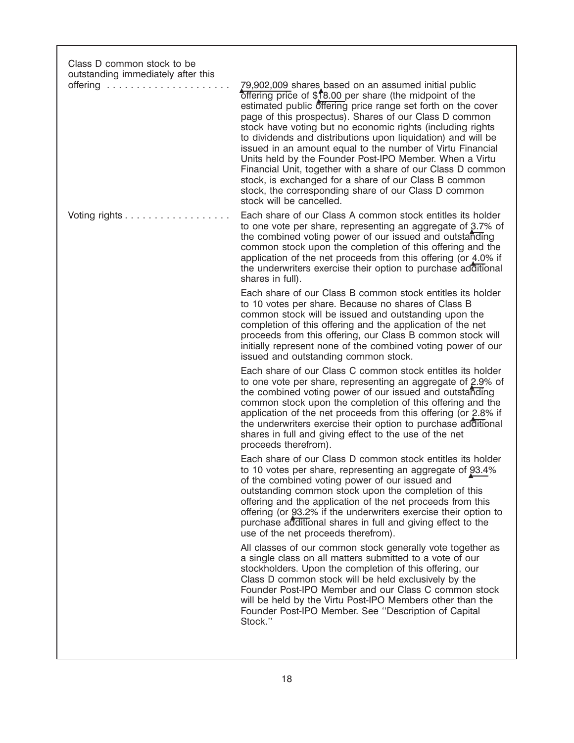Class D common stock to be outstanding immediately after this

offering ..................... 79,902,009 shares based on an assumed initial public offering price of \$18.00 per share (the midpoint of the estimated public offering price range set forth on the cover page of this prospectus). Shares of our Class D common stock have voting but no economic rights (including rights to dividends and distributions upon liquidation) and will be issued in an amount equal to the number of Virtu Financial Units held by the Founder Post-IPO Member. When a Virtu Financial Unit, together with a share of our Class D common stock, is exchanged for a share of our Class B common stock, the corresponding share of our Class D common stock will be cancelled.

Voting rights . . . . . . . . . . . . . . . . . . Each share of our Class A common stock entitles its holder to one vote per share, representing an aggregate of 3.7% of the combined voting power of our issued and outstanding common stock upon the completion of this offering and the application of the net proceeds from this offering (or 4.0% if the underwriters exercise their option to purchase additional shares in full).

> Each share of our Class B common stock entitles its holder to 10 votes per share. Because no shares of Class B common stock will be issued and outstanding upon the completion of this offering and the application of the net proceeds from this offering, our Class B common stock will initially represent none of the combined voting power of our issued and outstanding common stock.

> Each share of our Class C common stock entitles its holder to one vote per share, representing an aggregate of 2.9% of the combined voting power of our issued and outstanding common stock upon the completion of this offering and the application of the net proceeds from this offering (or 2.8% if the underwriters exercise their option to purchase additional shares in full and giving effect to the use of the net proceeds therefrom).

> Each share of our Class D common stock entitles its holder to 10 votes per share, representing an aggregate of 93.4% of the combined voting power of our issued and outstanding common stock upon the completion of this offering and the application of the net proceeds from this offering (or 93.2% if the underwriters exercise their option to purchase additional shares in full and giving effect to the use of the net proceeds therefrom).

> All classes of our common stock generally vote together as a single class on all matters submitted to a vote of our stockholders. Upon the completion of this offering, our Class D common stock will be held exclusively by the Founder Post-IPO Member and our Class C common stock will be held by the Virtu Post-IPO Members other than the Founder Post-IPO Member. See ''Description of Capital Stock.''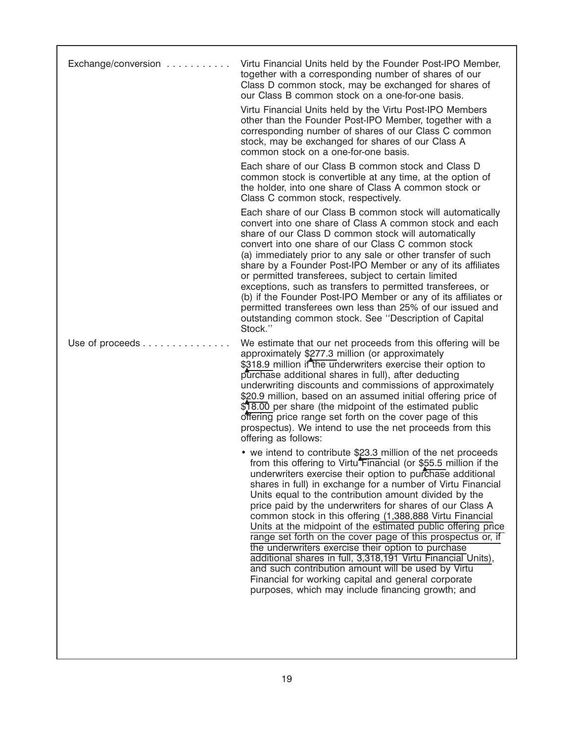| Exchange/conversion | Virtu Financial Units held by the Founder Post-IPO Member,<br>together with a corresponding number of shares of our<br>Class D common stock, may be exchanged for shares of<br>our Class B common stock on a one-for-one basis.<br>Virtu Financial Units held by the Virtu Post-IPO Members<br>other than the Founder Post-IPO Member, together with a<br>corresponding number of shares of our Class C common                                                                                                                                                                                                                                                                                                                                                                                                                                                      |
|---------------------|---------------------------------------------------------------------------------------------------------------------------------------------------------------------------------------------------------------------------------------------------------------------------------------------------------------------------------------------------------------------------------------------------------------------------------------------------------------------------------------------------------------------------------------------------------------------------------------------------------------------------------------------------------------------------------------------------------------------------------------------------------------------------------------------------------------------------------------------------------------------|
|                     | stock, may be exchanged for shares of our Class A<br>common stock on a one-for-one basis.<br>Each share of our Class B common stock and Class D                                                                                                                                                                                                                                                                                                                                                                                                                                                                                                                                                                                                                                                                                                                     |
|                     | common stock is convertible at any time, at the option of<br>the holder, into one share of Class A common stock or<br>Class C common stock, respectively.                                                                                                                                                                                                                                                                                                                                                                                                                                                                                                                                                                                                                                                                                                           |
|                     | Each share of our Class B common stock will automatically<br>convert into one share of Class A common stock and each<br>share of our Class D common stock will automatically<br>convert into one share of our Class C common stock<br>(a) immediately prior to any sale or other transfer of such<br>share by a Founder Post-IPO Member or any of its affiliates<br>or permitted transferees, subject to certain limited<br>exceptions, such as transfers to permitted transferees, or<br>(b) if the Founder Post-IPO Member or any of its affiliates or<br>permitted transferees own less than 25% of our issued and<br>outstanding common stock. See "Description of Capital<br>Stock."                                                                                                                                                                           |
| Use of proceeds     | We estimate that our net proceeds from this offering will be<br>approximately \$277.3 million (or approximately<br>\$318.9 million if the underwriters exercise their option to<br>purchase additional shares in full), after deducting<br>underwriting discounts and commissions of approximately<br>\$20.9 million, based on an assumed initial offering price of<br>\$18.00 per share (the midpoint of the estimated public<br>offering price range set forth on the cover page of this<br>prospectus). We intend to use the net proceeds from this<br>offering as follows:                                                                                                                                                                                                                                                                                      |
|                     | • we intend to contribute \$23.3 million of the net proceeds<br>from this offering to Virtu Financial (or \$55.5 million if the<br>underwriters exercise their option to purchase additional<br>shares in full) in exchange for a number of Virtu Financial<br>Units equal to the contribution amount divided by the<br>price paid by the underwriters for shares of our Class A<br>common stock in this offering (1,388,888 Virtu Financial<br>Units at the midpoint of the estimated public offering price<br>range set forth on the cover page of this prospectus or, if<br>the underwriters exercise their option to purchase<br>additional shares in full, 3,318,191 Virtu Financial Units),<br>and such contribution amount will be used by Virtu<br>Financial for working capital and general corporate<br>purposes, which may include financing growth; and |
|                     |                                                                                                                                                                                                                                                                                                                                                                                                                                                                                                                                                                                                                                                                                                                                                                                                                                                                     |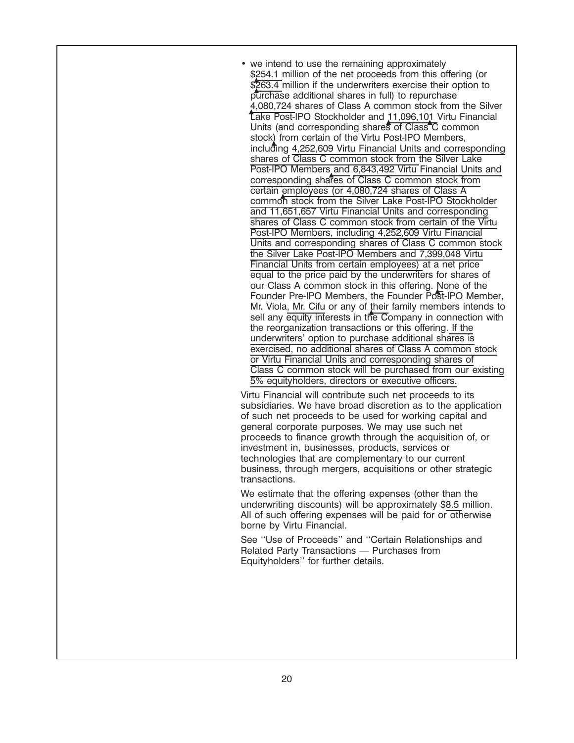• we intend to use the remaining approximately \$254.1 million of the net proceeds from this offering (or \$263.4 million if the underwriters exercise their option to purchase additional shares in full) to repurchase 4,080,724 shares of Class A common stock from the Silver Lake Post-IPO Stockholder and 11,096,101 Virtu Financial Units (and corresponding shares of Class<sup>+</sup>C common stock) from certain of the Virtu Post-IPO Members, including 4,252,609 Virtu Financial Units and corresponding shares of Class C common stock from the Silver Lake Post-IPO Members and 6,843,492 Virtu Financial Units and corresponding shares of Class C common stock from certain employees (or 4,080,724 shares of Class A common stock from the Silver Lake Post-IPO Stockholder and 11,651,657 Virtu Financial Units and corresponding shares of Class C common stock from certain of the Virtu Post-IPO Members, including 4,252,609 Virtu Financial Units and corresponding shares of Class C common stock the Silver Lake Post-IPO Members and 7,399,048 Virtu Financial Units from certain employees) at a net price equal to the price paid by the underwriters for shares of our Class A common stock in this offering. None of the Founder Pre-IPO Members, the Founder Post-IPO Member, Mr. Viola, Mr. Cifu or any of their family members intends to sell any equity interests in the Company in connection with the reorganization transactions or this offering. If the underwriters' option to purchase additional shares is exercised, no additional shares of Class A common stock or Virtu Financial Units and corresponding shares of Class C common stock will be purchased from our existing 5% equityholders, directors or executive officers.

Virtu Financial will contribute such net proceeds to its subsidiaries. We have broad discretion as to the application of such net proceeds to be used for working capital and general corporate purposes. We may use such net proceeds to finance growth through the acquisition of, or investment in, businesses, products, services or technologies that are complementary to our current business, through mergers, acquisitions or other strategic transactions.

We estimate that the offering expenses (other than the underwriting discounts) will be approximately \$8.5 million. All of such offering expenses will be paid for or otherwise borne by Virtu Financial.

See ''Use of Proceeds'' and ''Certain Relationships and Related Party Transactions — Purchases from Equityholders'' for further details.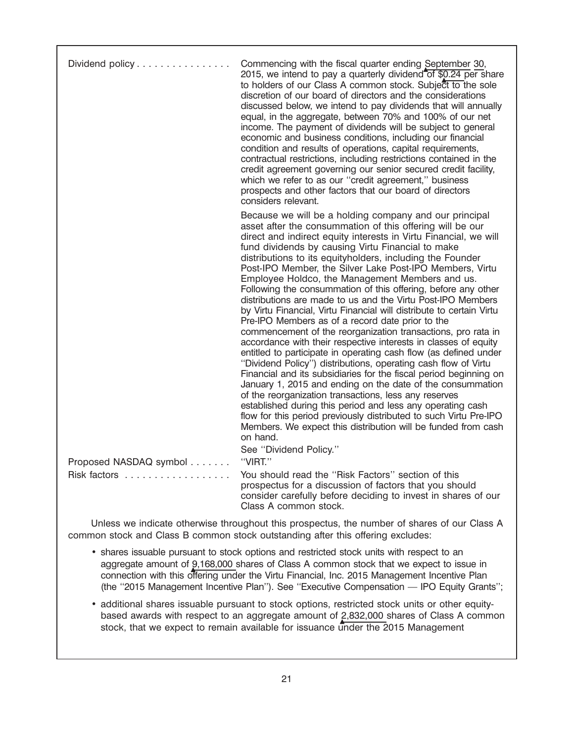| Dividend policy        | Commencing with the fiscal quarter ending September 30,<br>2015, we intend to pay a quarterly dividend of \$0.24 per share<br>to holders of our Class A common stock. Subject to the sole<br>discretion of our board of directors and the considerations<br>discussed below, we intend to pay dividends that will annually<br>equal, in the aggregate, between 70% and 100% of our net<br>income. The payment of dividends will be subject to general<br>economic and business conditions, including our financial<br>condition and results of operations, capital requirements,<br>contractual restrictions, including restrictions contained in the<br>credit agreement governing our senior secured credit facility,<br>which we refer to as our "credit agreement," business<br>prospects and other factors that our board of directors<br>considers relevant.                                                                                                                                                                                                                                                                                                                                                                                                                                                                                                                                             |
|------------------------|----------------------------------------------------------------------------------------------------------------------------------------------------------------------------------------------------------------------------------------------------------------------------------------------------------------------------------------------------------------------------------------------------------------------------------------------------------------------------------------------------------------------------------------------------------------------------------------------------------------------------------------------------------------------------------------------------------------------------------------------------------------------------------------------------------------------------------------------------------------------------------------------------------------------------------------------------------------------------------------------------------------------------------------------------------------------------------------------------------------------------------------------------------------------------------------------------------------------------------------------------------------------------------------------------------------------------------------------------------------------------------------------------------------|
| Proposed NASDAQ symbol | Because we will be a holding company and our principal<br>asset after the consummation of this offering will be our<br>direct and indirect equity interests in Virtu Financial, we will<br>fund dividends by causing Virtu Financial to make<br>distributions to its equityholders, including the Founder<br>Post-IPO Member, the Silver Lake Post-IPO Members, Virtu<br>Employee Holdco, the Management Members and us.<br>Following the consummation of this offering, before any other<br>distributions are made to us and the Virtu Post-IPO Members<br>by Virtu Financial, Virtu Financial will distribute to certain Virtu<br>Pre-IPO Members as of a record date prior to the<br>commencement of the reorganization transactions, pro rata in<br>accordance with their respective interests in classes of equity<br>entitled to participate in operating cash flow (as defined under<br>"Dividend Policy") distributions, operating cash flow of Virtu<br>Financial and its subsidiaries for the fiscal period beginning on<br>January 1, 2015 and ending on the date of the consummation<br>of the reorganization transactions, less any reserves<br>established during this period and less any operating cash<br>flow for this period previously distributed to such Virtu Pre-IPO<br>Members. We expect this distribution will be funded from cash<br>on hand.<br>See "Dividend Policy."<br>"VIRT." |
| Risk factors           | You should read the "Risk Factors" section of this<br>prospectus for a discussion of factors that you should<br>consider carefully before deciding to invest in shares of our<br>Class A common stock.                                                                                                                                                                                                                                                                                                                                                                                                                                                                                                                                                                                                                                                                                                                                                                                                                                                                                                                                                                                                                                                                                                                                                                                                         |

Unless we indicate otherwise throughout this prospectus, the number of shares of our Class A common stock and Class B common stock outstanding after this offering excludes:

- shares issuable pursuant to stock options and restricted stock units with respect to an aggregate amount of 9,168,000 shares of Class A common stock that we expect to issue in connection with this offering under the Virtu Financial, Inc. 2015 Management Incentive Plan (the ''2015 Management Incentive Plan''). See ''Executive Compensation — IPO Equity Grants'';
- additional shares issuable pursuant to stock options, restricted stock units or other equitybased awards with respect to an aggregate amount of 2,832,000 shares of Class A common stock, that we expect to remain available for issuance under the 2015 Management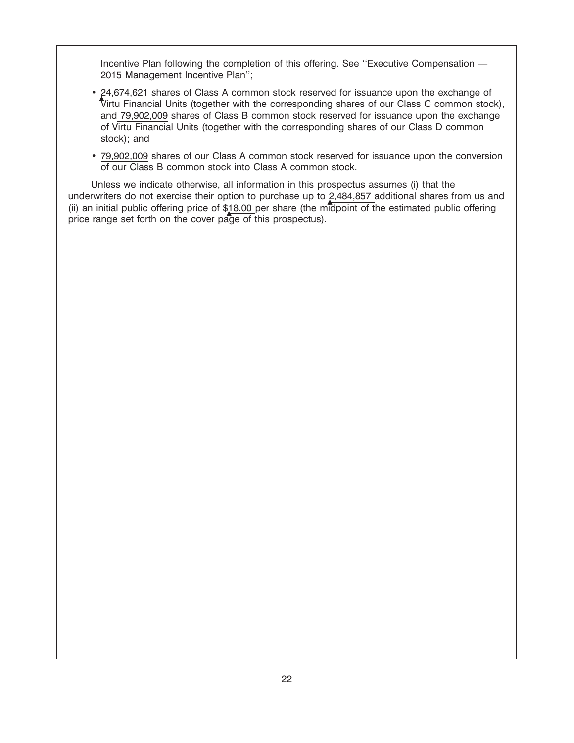Incentive Plan following the completion of this offering. See ''Executive Compensation — 2015 Management Incentive Plan'';

- 24,674,621 shares of Class A common stock reserved for issuance upon the exchange of Virtu Financial Units (together with the corresponding shares of our Class C common stock), and 79,902,009 shares of Class B common stock reserved for issuance upon the exchange of Virtu Financial Units (together with the corresponding shares of our Class D common stock); and
- 79,902,009 shares of our Class A common stock reserved for issuance upon the conversion of our Class B common stock into Class A common stock.

Unless we indicate otherwise, all information in this prospectus assumes (i) that the underwriters do not exercise their option to purchase up to 2,484,857 additional shares from us and (ii) an initial public offering price of \$18.00 per share (the midpoint of the estimated public offering price range set forth on the cover page of this prospectus).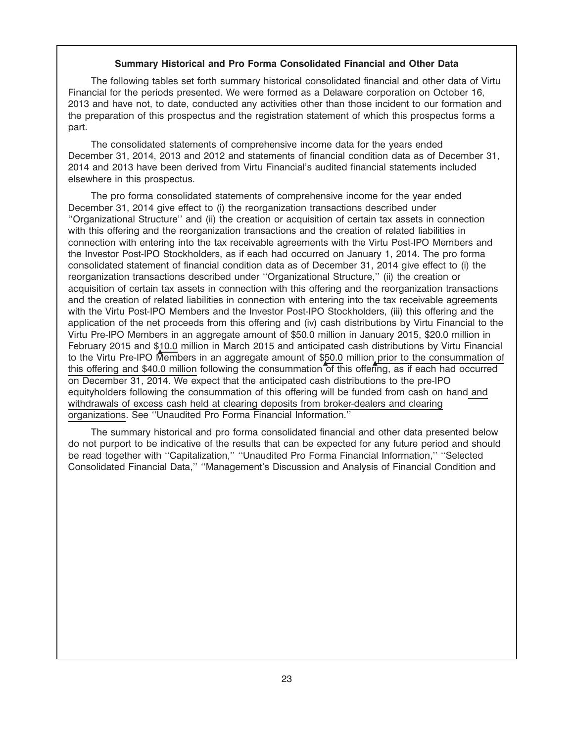### **Summary Historical and Pro Forma Consolidated Financial and Other Data**

The following tables set forth summary historical consolidated financial and other data of Virtu Financial for the periods presented. We were formed as a Delaware corporation on October 16, 2013 and have not, to date, conducted any activities other than those incident to our formation and the preparation of this prospectus and the registration statement of which this prospectus forms a part.

The consolidated statements of comprehensive income data for the years ended December 31, 2014, 2013 and 2012 and statements of financial condition data as of December 31, 2014 and 2013 have been derived from Virtu Financial's audited financial statements included elsewhere in this prospectus.

The pro forma consolidated statements of comprehensive income for the year ended December 31, 2014 give effect to (i) the reorganization transactions described under ''Organizational Structure'' and (ii) the creation or acquisition of certain tax assets in connection with this offering and the reorganization transactions and the creation of related liabilities in connection with entering into the tax receivable agreements with the Virtu Post-IPO Members and the Investor Post-IPO Stockholders, as if each had occurred on January 1, 2014. The pro forma consolidated statement of financial condition data as of December 31, 2014 give effect to (i) the reorganization transactions described under ''Organizational Structure,'' (ii) the creation or acquisition of certain tax assets in connection with this offering and the reorganization transactions and the creation of related liabilities in connection with entering into the tax receivable agreements with the Virtu Post-IPO Members and the Investor Post-IPO Stockholders, (iii) this offering and the application of the net proceeds from this offering and (iv) cash distributions by Virtu Financial to the Virtu Pre-IPO Members in an aggregate amount of \$50.0 million in January 2015, \$20.0 million in February 2015 and \$10.0 million in March 2015 and anticipated cash distributions by Virtu Financial to the Virtu Pre-IPO Members in an aggregate amount of \$50.0 million prior to the consummation of this offering and \$40.0 million following the consummation of this offering, as if each had occurred on December 31, 2014. We expect that the anticipated cash distributions to the pre-IPO equityholders following the consummation of this offering will be funded from cash on hand and withdrawals of excess cash held at clearing deposits from broker-dealers and clearing organizations. See ''Unaudited Pro Forma Financial Information.''

The summary historical and pro forma consolidated financial and other data presented below do not purport to be indicative of the results that can be expected for any future period and should be read together with "Capitalization," "Unaudited Pro Forma Financial Information," "Selected Consolidated Financial Data,'' ''Management's Discussion and Analysis of Financial Condition and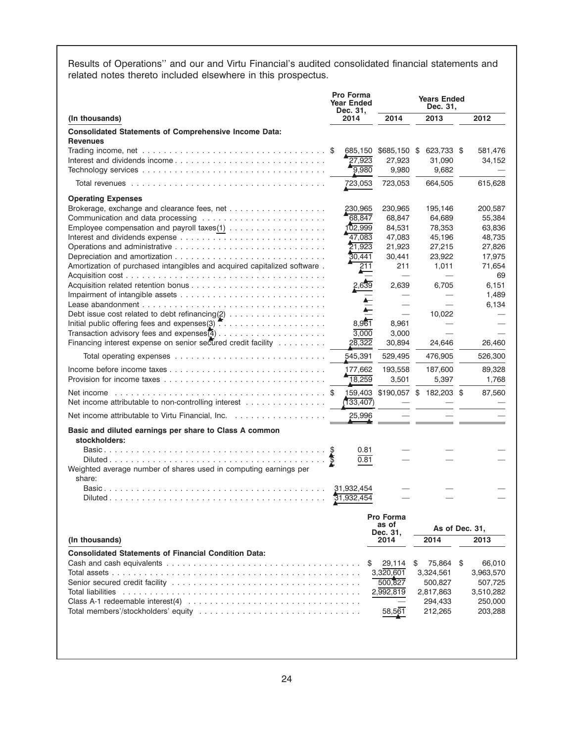Results of Operations'' and our and Virtu Financial's audited consolidated financial statements and related notes thereto included elsewhere in this prospectus.

|                                                                                                           | Pro Forma<br><b>Year Ended</b><br>Dec. 31, |                                 | <b>Years Ended</b><br>Dec. 31, |                    |
|-----------------------------------------------------------------------------------------------------------|--------------------------------------------|---------------------------------|--------------------------------|--------------------|
| (In thousands)                                                                                            | 2014                                       | 2014                            | 2013                           | 2012               |
| <b>Consolidated Statements of Comprehensive Income Data:</b><br><b>Revenues</b>                           |                                            |                                 |                                |                    |
| Trading income, net $\ldots \ldots \ldots \ldots \ldots \ldots \ldots \ldots \ldots \ldots \ldots \ldots$ | 685.150<br>S<br>27,923<br>9,980            | \$685,150 \$<br>27,923<br>9,980 | 623,733 \$<br>31,090<br>9,682  | 581,476<br>34,152  |
|                                                                                                           | 723,053                                    | 723.053                         | 664,505                        | 615,628            |
| <b>Operating Expenses</b>                                                                                 | 230,965                                    | 230,965                         | 195,146                        | 200,587            |
|                                                                                                           | 68,847                                     | 68,847                          | 64,689                         | 55,384             |
|                                                                                                           | 102,999<br>47,083                          | 84,531<br>47,083                | 78,353<br>45,196               | 63,836<br>48,735   |
|                                                                                                           | 21,923<br>30.441                           | 21,923<br>30,441                | 27,215<br>23,922               | 27,826<br>17,975   |
| Amortization of purchased intangibles and acquired capitalized software.                                  | 211                                        | 211                             | 1,011                          | 71,654<br>69       |
|                                                                                                           | 2,639                                      | 2.639                           | 6,705                          | 6,151<br>1,489     |
|                                                                                                           |                                            |                                 |                                | 6,134              |
| Debt issue cost related to debt refinancing(2)                                                            | 8,961                                      | 8,961                           | 10,022                         |                    |
| Financing interest expense on senior secured credit facility                                              | 3,000<br>28,322                            | 3,000<br>30,894                 | 24,646                         | 26,460             |
|                                                                                                           | 545,391                                    | 529,495                         | 476,905                        | 526,300            |
|                                                                                                           | 177,662<br>18,259                          | 193,558<br>3,501                | 187,600<br>5,397               | 89,328<br>1,768    |
| Net income attributable to non-controlling interest                                                       | 159,403<br>(133, 407)                      |                                 | \$190,057 \$ 182,203 \$        | 87,560             |
| Net income attributable to Virtu Financial, Inc.                                                          | 25,996                                     |                                 |                                |                    |
| Basic and diluted earnings per share to Class A common<br>stockholders:                                   | 0.81<br>0.81                               |                                 |                                |                    |
| Weighted average number of shares used in computing earnings per<br>share:                                | 31,932,454                                 |                                 |                                |                    |
|                                                                                                           | 31.932.454                                 |                                 |                                |                    |
|                                                                                                           |                                            | Pro Forma<br>as of<br>Dec. 31,  | As of Dec. 31,                 |                    |
| (In thousands)                                                                                            |                                            | 2014                            | 2014                           | 2013               |
| <b>Consolidated Statements of Financial Condition Data:</b>                                               | S                                          | 29,114                          | \$<br>75,864 \$                | 66,010             |
|                                                                                                           |                                            | 3,320,601                       | 3,324,561                      | 3,963,570          |
|                                                                                                           |                                            | 500,827                         | 500,827                        | 507,725            |
| <b>Total liabilities</b>                                                                                  |                                            | 2,992,819                       | 2,817,863                      | 3,510,282          |
|                                                                                                           |                                            | 58,561                          | 294,433<br>212,265             | 250,000<br>203,288 |
|                                                                                                           |                                            |                                 |                                |                    |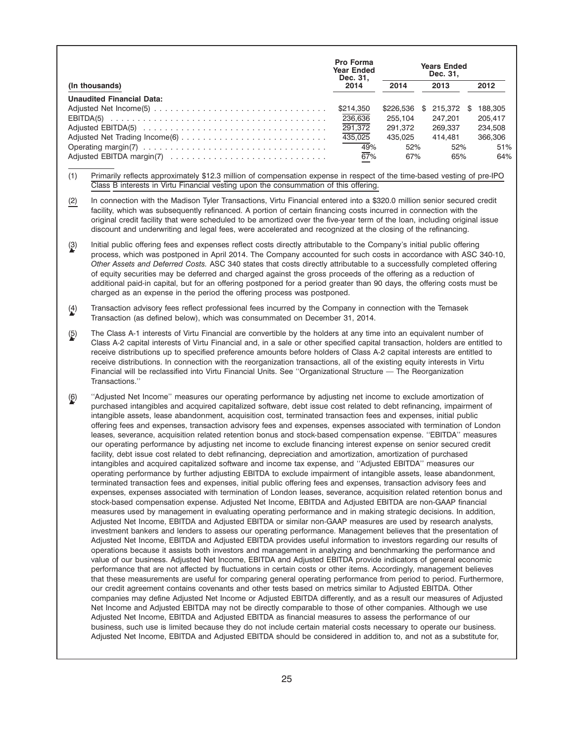|                                  | Pro Forma<br><b>Year Ended</b><br>Dec. 31. | <b>Years Ended</b><br>Dec. 31. |  |               |  |         |
|----------------------------------|--------------------------------------------|--------------------------------|--|---------------|--|---------|
| (In thousands)                   | 2014                                       | 2014                           |  | 2013          |  | 2012    |
| <b>Unaudited Financial Data:</b> |                                            |                                |  |               |  |         |
|                                  | \$214,350                                  | \$226.536                      |  | $$215.372$ \$ |  | 188,305 |
|                                  | 236,636                                    | 255.104                        |  | 247.201       |  | 205.417 |
|                                  | 291.372                                    | 291.372                        |  | 269.337       |  | 234.508 |
|                                  | 435,025                                    | 435.025                        |  | 414.481       |  | 366,306 |
|                                  | 49%                                        | 52%                            |  | 52%           |  | 51%     |
|                                  | 67%                                        | 67%                            |  | 65%           |  | 64%     |

<sup>(1)</sup> Primarily reflects approximately \$12.3 million of compensation expense in respect of the time-based vesting of pre-IPO Class B interests in Virtu Financial vesting upon the consummation of this offering.

(3) Initial public offering fees and expenses reflect costs directly attributable to the Company's initial public offering process, which was postponed in April 2014. The Company accounted for such costs in accordance with ASC 340-10, *Other Assets and Deferred Costs.* ASC 340 states that costs directly attributable to a successfully completed offering of equity securities may be deferred and charged against the gross proceeds of the offering as a reduction of additional paid-in capital, but for an offering postponed for a period greater than 90 days, the offering costs must be charged as an expense in the period the offering process was postponed.

(4) Transaction advisory fees reflect professional fees incurred by the Company in connection with the Temasek Transaction (as defined below), which was consummated on December 31, 2014.

- (5) The Class A-1 interests of Virtu Financial are convertible by the holders at any time into an equivalent number of Class A-2 capital interests of Virtu Financial and, in a sale or other specified capital transaction, holders are entitled to receive distributions up to specified preference amounts before holders of Class A-2 capital interests are entitled to receive distributions. In connection with the reorganization transactions, all of the existing equity interests in Virtu Financial will be reclassified into Virtu Financial Units. See ''Organizational Structure — The Reorganization Transactions.''
- (6) ''Adjusted Net Income'' measures our operating performance by adjusting net income to exclude amortization of purchased intangibles and acquired capitalized software, debt issue cost related to debt refinancing, impairment of intangible assets, lease abandonment, acquisition cost, terminated transaction fees and expenses, initial public offering fees and expenses, transaction advisory fees and expenses, expenses associated with termination of London leases, severance, acquisition related retention bonus and stock-based compensation expense. ''EBITDA'' measures our operating performance by adjusting net income to exclude financing interest expense on senior secured credit facility, debt issue cost related to debt refinancing, depreciation and amortization, amortization of purchased intangibles and acquired capitalized software and income tax expense, and ''Adjusted EBITDA'' measures our operating performance by further adjusting EBITDA to exclude impairment of intangible assets, lease abandonment, terminated transaction fees and expenses, initial public offering fees and expenses, transaction advisory fees and expenses, expenses associated with termination of London leases, severance, acquisition related retention bonus and stock-based compensation expense. Adjusted Net Income, EBITDA and Adjusted EBITDA are non-GAAP financial measures used by management in evaluating operating performance and in making strategic decisions. In addition, Adjusted Net Income, EBITDA and Adjusted EBITDA or similar non-GAAP measures are used by research analysts, investment bankers and lenders to assess our operating performance. Management believes that the presentation of Adjusted Net Income, EBITDA and Adjusted EBITDA provides useful information to investors regarding our results of operations because it assists both investors and management in analyzing and benchmarking the performance and value of our business. Adjusted Net Income, EBITDA and Adjusted EBITDA provide indicators of general economic performance that are not affected by fluctuations in certain costs or other items. Accordingly, management believes that these measurements are useful for comparing general operating performance from period to period. Furthermore, our credit agreement contains covenants and other tests based on metrics similar to Adjusted EBITDA. Other companies may define Adjusted Net Income or Adjusted EBITDA differently, and as a result our measures of Adjusted Net Income and Adjusted EBITDA may not be directly comparable to those of other companies. Although we use Adjusted Net Income, EBITDA and Adjusted EBITDA as financial measures to assess the performance of our business, such use is limited because they do not include certain material costs necessary to operate our business. Adjusted Net Income, EBITDA and Adjusted EBITDA should be considered in addition to, and not as a substitute for,

<sup>(2)</sup> In connection with the Madison Tyler Transactions, Virtu Financial entered into a \$320.0 million senior secured credit facility, which was subsequently refinanced. A portion of certain financing costs incurred in connection with the original credit facility that were scheduled to be amortized over the five-year term of the loan, including original issue discount and underwriting and legal fees, were accelerated and recognized at the closing of the refinancing.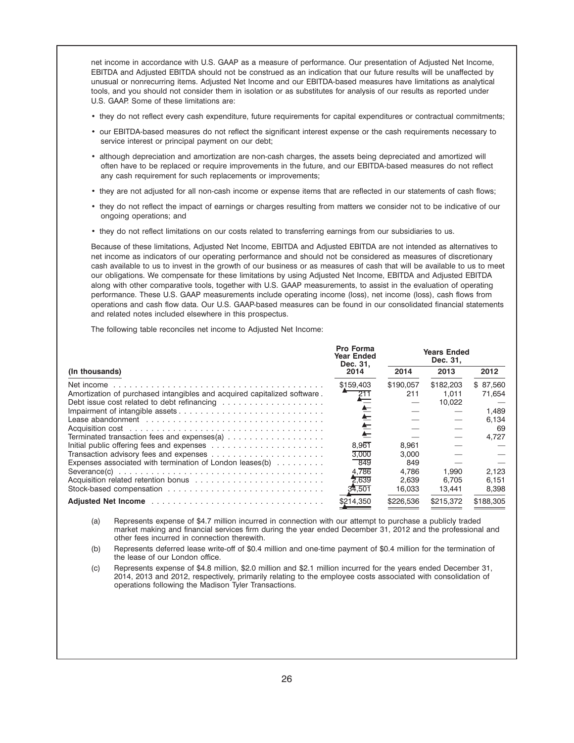net income in accordance with U.S. GAAP as a measure of performance. Our presentation of Adjusted Net Income, EBITDA and Adjusted EBITDA should not be construed as an indication that our future results will be unaffected by unusual or nonrecurring items. Adjusted Net Income and our EBITDA-based measures have limitations as analytical tools, and you should not consider them in isolation or as substitutes for analysis of our results as reported under U.S. GAAP. Some of these limitations are:

- they do not reflect every cash expenditure, future requirements for capital expenditures or contractual commitments;
- our EBITDA-based measures do not reflect the significant interest expense or the cash requirements necessary to service interest or principal payment on our debt;
- although depreciation and amortization are non-cash charges, the assets being depreciated and amortized will often have to be replaced or require improvements in the future, and our EBITDA-based measures do not reflect any cash requirement for such replacements or improvements;
- they are not adjusted for all non-cash income or expense items that are reflected in our statements of cash flows;
- they do not reflect the impact of earnings or charges resulting from matters we consider not to be indicative of our ongoing operations; and
- they do not reflect limitations on our costs related to transferring earnings from our subsidiaries to us.

Because of these limitations, Adjusted Net Income, EBITDA and Adjusted EBITDA are not intended as alternatives to net income as indicators of our operating performance and should not be considered as measures of discretionary cash available to us to invest in the growth of our business or as measures of cash that will be available to us to meet our obligations. We compensate for these limitations by using Adjusted Net Income, EBITDA and Adjusted EBITDA along with other comparative tools, together with U.S. GAAP measurements, to assist in the evaluation of operating performance. These U.S. GAAP measurements include operating income (loss), net income (loss), cash flows from operations and cash flow data. Our U.S. GAAP-based measures can be found in our consolidated financial statements and related notes included elsewhere in this prospectus.

The following table reconciles net income to Adjusted Net Income:

|                                                                                               | Pro Forma<br>Year Ended<br>Dec. 31, | Years Ended<br>Dec. 31, |           |           |  |
|-----------------------------------------------------------------------------------------------|-------------------------------------|-------------------------|-----------|-----------|--|
| (In thousands)                                                                                | 2014                                | 2014                    | 2013      | 2012      |  |
| Net income $\dots\dots\dots\dots\dots\dots\dots\dots\dots\dots\dots\dots\dots\dots\dots\dots$ | \$159,403                           | \$190.057               | \$182,203 | \$87,560  |  |
| Amortization of purchased intangibles and acquired capitalized software.                      | <u> 211</u>                         | 211                     | 1.011     | 71,654    |  |
|                                                                                               |                                     |                         | 10,022    |           |  |
|                                                                                               |                                     |                         |           | 1.489     |  |
|                                                                                               | EN                                  |                         |           | 6.134     |  |
|                                                                                               |                                     |                         |           | 69        |  |
| Terminated transaction fees and expenses(a) $\ldots \ldots \ldots \ldots \ldots$              | 트                                   |                         |           | 4.727     |  |
|                                                                                               | 8,961                               | 8,961                   |           |           |  |
|                                                                                               | 3,000                               | 3.000                   |           |           |  |
| Expenses associated with termination of London leases(b)                                      | -849                                | 849                     |           |           |  |
|                                                                                               | 4,786                               | 4.786                   | 1.990     | 2.123     |  |
|                                                                                               | 2.639                               | 2.639                   | 6.705     | 6.151     |  |
|                                                                                               | 34,501                              | 16.033                  | 13.441    | 8,398     |  |
|                                                                                               | \$214.350                           | \$226,536               | \$215,372 | \$188,305 |  |

(a) Represents expense of \$4.7 million incurred in connection with our attempt to purchase a publicly traded market making and financial services firm during the year ended December 31, 2012 and the professional and other fees incurred in connection therewith.

(b) Represents deferred lease write-off of \$0.4 million and one-time payment of \$0.4 million for the termination of the lease of our London office.

(c) Represents expense of \$4.8 million, \$2.0 million and \$2.1 million incurred for the years ended December 31, 2014, 2013 and 2012, respectively, primarily relating to the employee costs associated with consolidation of operations following the Madison Tyler Transactions.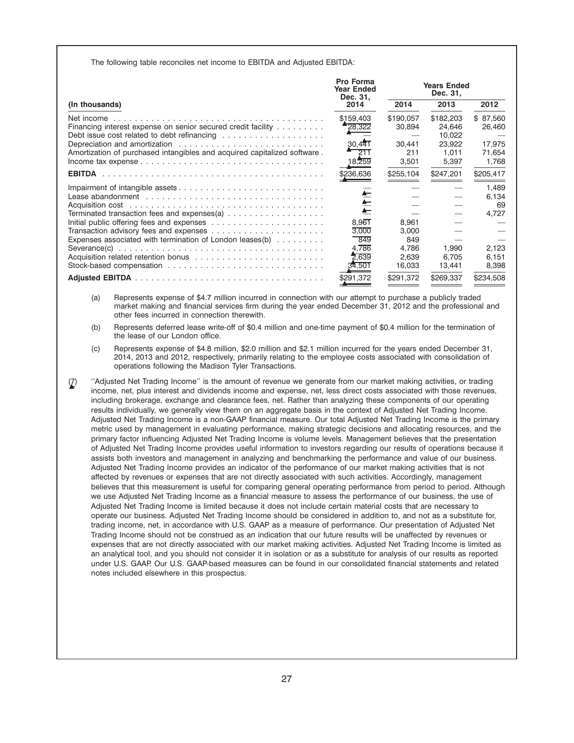The following table reconciles net income to EBITDA and Adjusted EBITDA:

|                                                                                                                                                                                 | Pro Forma<br><b>Year Ended</b><br>Dec. 31,     | <b>Years Ended</b><br>Dec. 31,                |                                                           |                                                 |  |  |
|---------------------------------------------------------------------------------------------------------------------------------------------------------------------------------|------------------------------------------------|-----------------------------------------------|-----------------------------------------------------------|-------------------------------------------------|--|--|
| (In thousands)                                                                                                                                                                  | 2014                                           | 2014                                          | 2013                                                      | 2012                                            |  |  |
| Financing interest expense on senior secured credit facility<br>Amortization of purchased intangibles and acquired capitalized software.                                        | \$159,403<br>28,322<br>30,441<br>211<br>18,259 | \$190,057<br>30,894<br>30,441<br>211<br>3,501 | \$182,203<br>24,646<br>10.022<br>23.922<br>1.011<br>5,397 | \$87,560<br>26,460<br>17,975<br>71,654<br>1,768 |  |  |
| <b>EBITDA</b>                                                                                                                                                                   | \$236,636                                      | \$255,104                                     | \$247.201                                                 | \$205,417                                       |  |  |
| Terminated transaction fees and expenses(a) $\dots \dots \dots \dots \dots \dots$                                                                                               | $\mathbf{r}$<br>$\mathbf{\tilde{r}}$           |                                               |                                                           | 1.489<br>6,134<br>69<br>4,727                   |  |  |
| Initial public offering fees and expenses $\ldots \ldots \ldots \ldots \ldots \ldots \ldots$<br>Expenses associated with termination of London leases(b) $\ldots \ldots \ldots$ | 8.96T<br>3,000<br>849                          | 8.961<br>3,000<br>849                         |                                                           |                                                 |  |  |
|                                                                                                                                                                                 | 4,786<br>2,639<br>34,501                       | 4,786<br>2,639<br>16,033                      | 1,990<br>6.705<br>13,441                                  | 2,123<br>6,151<br>8,398                         |  |  |
|                                                                                                                                                                                 | \$291,372                                      | \$291,372                                     | \$269,337                                                 | \$234,508                                       |  |  |

- (a) Represents expense of \$4.7 million incurred in connection with our attempt to purchase a publicly traded market making and financial services firm during the year ended December 31, 2012 and the professional and other fees incurred in connection therewith.
- (b) Represents deferred lease write-off of \$0.4 million and one-time payment of \$0.4 million for the termination of the lease of our London office.
- (c) Represents expense of \$4.8 million, \$2.0 million and \$2.1 million incurred for the years ended December 31, 2014, 2013 and 2012, respectively, primarily relating to the employee costs associated with consolidation of operations following the Madison Tyler Transactions.
- (7) ''Adjusted Net Trading Income'' is the amount of revenue we generate from our market making activities, or trading income, net, plus interest and dividends income and expense, net, less direct costs associated with those revenues, including brokerage, exchange and clearance fees, net. Rather than analyzing these components of our operating results individually, we generally view them on an aggregate basis in the context of Adjusted Net Trading Income. Adjusted Net Trading Income is a non-GAAP financial measure. Our total Adjusted Net Trading Income is the primary metric used by management in evaluating performance, making strategic decisions and allocating resources, and the primary factor influencing Adjusted Net Trading Income is volume levels. Management believes that the presentation of Adjusted Net Trading Income provides useful information to investors regarding our results of operations because it assists both investors and management in analyzing and benchmarking the performance and value of our business. Adjusted Net Trading Income provides an indicator of the performance of our market making activities that is not affected by revenues or expenses that are not directly associated with such activities. Accordingly, management believes that this measurement is useful for comparing general operating performance from period to period. Although we use Adjusted Net Trading Income as a financial measure to assess the performance of our business, the use of Adjusted Net Trading Income is limited because it does not include certain material costs that are necessary to operate our business. Adjusted Net Trading Income should be considered in addition to, and not as a substitute for, trading income, net, in accordance with U.S. GAAP as a measure of performance. Our presentation of Adjusted Net Trading Income should not be construed as an indication that our future results will be unaffected by revenues or expenses that are not directly associated with our market making activities. Adjusted Net Trading Income is limited as an analytical tool, and you should not consider it in isolation or as a substitute for analysis of our results as reported under U.S. GAAP. Our U.S. GAAP-based measures can be found in our consolidated financial statements and related notes included elsewhere in this prospectus.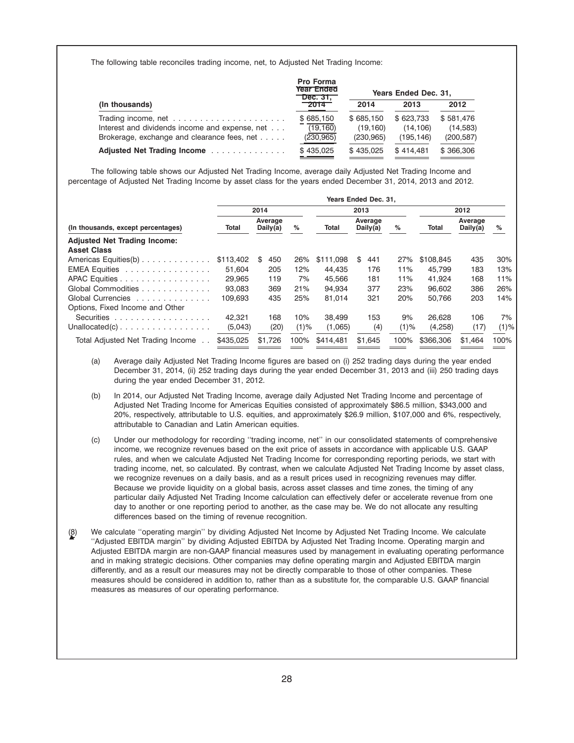The following table reconciles trading income, net, to Adjusted Net Trading Income:

|                                                | Pro Forma<br>Year Ended<br>Dec. 31. |                        | Years Ended Dec. 31,   |                        |
|------------------------------------------------|-------------------------------------|------------------------|------------------------|------------------------|
| (In thousands)                                 | -2014                               | 2014                   | 2013                   | 2012                   |
| Interest and dividends income and expense, net | \$685,150<br>(19, 160)              | \$685.150<br>(19, 160) | \$623.733<br>(14, 106) | \$581.476<br>(14, 583) |
| Brokerage, exchange and clearance fees, net    | (230, 965)                          | (230, 965)             | (195, 146)             | (200, 587)             |
| Adjusted Net Trading Income                    | \$435.025                           | \$435.025              | \$414.481              | \$366,306              |

The following table shows our Adjusted Net Trading Income, average daily Adjusted Net Trading Income and percentage of Adjusted Net Trading Income by asset class for the years ended December 31, 2014, 2013 and 2012.

| Years Ended Dec. 31,                                |           |                     |         |           |                     |         |           |                     |      |
|-----------------------------------------------------|-----------|---------------------|---------|-----------|---------------------|---------|-----------|---------------------|------|
|                                                     |           | 2014                |         |           | 2013                |         | 2012      |                     |      |
| (In thousands, except percentages)                  | Total     | Average<br>Daily(a) | %       | Total     | Average<br>Daily(a) | %       | Total     | Average<br>Daily(a) | %    |
| <b>Adjusted Net Trading Income:</b>                 |           |                     |         |           |                     |         |           |                     |      |
| <b>Asset Class</b>                                  |           |                     |         |           |                     |         |           |                     |      |
| Americas Equities(b)                                | \$113,402 | 450<br>\$           | 26%     | \$111.098 | S<br>441            | 27%     | \$108,845 | 435                 | 30%  |
| EMEA Equities                                       | 51.604    | 205                 | 12%     | 44.435    | 176                 | 11%     | 45.799    | 183                 | 13%  |
| APAC Equities                                       | 29.965    | 119                 | 7%      | 45.566    | 181                 | 11%     | 41.924    | 168                 | 11%  |
| Global Commodities                                  | 93.083    | 369                 | 21%     | 94.934    | 377                 | 23%     | 96.602    | 386                 | 26%  |
| Global Currencies                                   | 109,693   | 435                 | 25%     | 81,014    | 321                 | 20%     | 50,766    | 203                 | 14%  |
| Options, Fixed Income and Other                     |           |                     |         |           |                     |         |           |                     |      |
| Securities                                          | 42,321    | 168                 | 10%     | 38.499    | 153                 | 9%      | 26,628    | 106                 | 7%   |
| Unallocated(c) $\ldots \ldots \ldots \ldots \ldots$ | (5,043)   | (20)                | $(1)$ % | (1,065)   | (4)                 | $(1)$ % | (4,258)   | (17)                | (1)% |
| Total Adjusted Net Trading Income                   | \$435,025 | \$1.726             | 100%    | \$414.481 | \$1.645             | 100%    | \$366,306 | \$1.464             | 100% |

(a) Average daily Adjusted Net Trading Income figures are based on (i) 252 trading days during the year ended December 31, 2014, (ii) 252 trading days during the year ended December 31, 2013 and (iii) 250 trading days during the year ended December 31, 2012.

(b) In 2014, our Adjusted Net Trading Income, average daily Adjusted Net Trading Income and percentage of Adjusted Net Trading Income for Americas Equities consisted of approximately \$86.5 million, \$343,000 and 20%, respectively, attributable to U.S. equities, and approximately \$26.9 million, \$107,000 and 6%, respectively, attributable to Canadian and Latin American equities.

- (c) Under our methodology for recording ''trading income, net'' in our consolidated statements of comprehensive income, we recognize revenues based on the exit price of assets in accordance with applicable U.S. GAAP rules, and when we calculate Adjusted Net Trading Income for corresponding reporting periods, we start with trading income, net, so calculated. By contrast, when we calculate Adjusted Net Trading Income by asset class, we recognize revenues on a daily basis, and as a result prices used in recognizing revenues may differ. Because we provide liquidity on a global basis, across asset classes and time zones, the timing of any particular daily Adjusted Net Trading Income calculation can effectively defer or accelerate revenue from one day to another or one reporting period to another, as the case may be. We do not allocate any resulting differences based on the timing of revenue recognition.
- (8) We calculate ''operating margin'' by dividing Adjusted Net Income by Adjusted Net Trading Income. We calculate ''Adjusted EBITDA margin'' by dividing Adjusted EBITDA by Adjusted Net Trading Income. Operating margin and Adjusted EBITDA margin are non-GAAP financial measures used by management in evaluating operating performance and in making strategic decisions. Other companies may define operating margin and Adjusted EBITDA margin differently, and as a result our measures may not be directly comparable to those of other companies. These measures should be considered in addition to, rather than as a substitute for, the comparable U.S. GAAP financial measures as measures of our operating performance.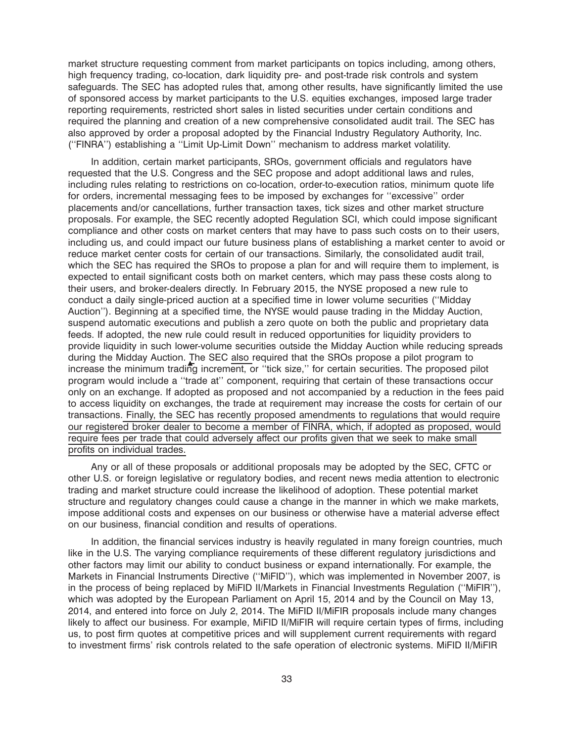market structure requesting comment from market participants on topics including, among others, high frequency trading, co-location, dark liquidity pre- and post-trade risk controls and system safeguards. The SEC has adopted rules that, among other results, have significantly limited the use of sponsored access by market participants to the U.S. equities exchanges, imposed large trader reporting requirements, restricted short sales in listed securities under certain conditions and required the planning and creation of a new comprehensive consolidated audit trail. The SEC has also approved by order a proposal adopted by the Financial Industry Regulatory Authority, Inc. (''FINRA'') establishing a ''Limit Up-Limit Down'' mechanism to address market volatility.

In addition, certain market participants, SROs, government officials and regulators have requested that the U.S. Congress and the SEC propose and adopt additional laws and rules, including rules relating to restrictions on co-location, order-to-execution ratios, minimum quote life for orders, incremental messaging fees to be imposed by exchanges for ''excessive'' order placements and/or cancellations, further transaction taxes, tick sizes and other market structure proposals. For example, the SEC recently adopted Regulation SCI, which could impose significant compliance and other costs on market centers that may have to pass such costs on to their users, including us, and could impact our future business plans of establishing a market center to avoid or reduce market center costs for certain of our transactions. Similarly, the consolidated audit trail, which the SEC has required the SROs to propose a plan for and will require them to implement, is expected to entail significant costs both on market centers, which may pass these costs along to their users, and broker-dealers directly. In February 2015, the NYSE proposed a new rule to conduct a daily single-priced auction at a specified time in lower volume securities (''Midday Auction''). Beginning at a specified time, the NYSE would pause trading in the Midday Auction, suspend automatic executions and publish a zero quote on both the public and proprietary data feeds. If adopted, the new rule could result in reduced opportunities for liquidity providers to provide liquidity in such lower-volume securities outside the Midday Auction while reducing spreads during the Midday Auction. The SEC also required that the SROs propose a pilot program to increase the minimum trading increment, or ''tick size,'' for certain securities. The proposed pilot program would include a ''trade at'' component, requiring that certain of these transactions occur only on an exchange. If adopted as proposed and not accompanied by a reduction in the fees paid to access liquidity on exchanges, the trade at requirement may increase the costs for certain of our transactions. Finally, the SEC has recently proposed amendments to regulations that would require our registered broker dealer to become a member of FINRA, which, if adopted as proposed, would require fees per trade that could adversely affect our profits given that we seek to make small profits on individual trades.

Any or all of these proposals or additional proposals may be adopted by the SEC, CFTC or other U.S. or foreign legislative or regulatory bodies, and recent news media attention to electronic trading and market structure could increase the likelihood of adoption. These potential market structure and regulatory changes could cause a change in the manner in which we make markets, impose additional costs and expenses on our business or otherwise have a material adverse effect on our business, financial condition and results of operations.

In addition, the financial services industry is heavily regulated in many foreign countries, much like in the U.S. The varying compliance requirements of these different regulatory jurisdictions and other factors may limit our ability to conduct business or expand internationally. For example, the Markets in Financial Instruments Directive (''MiFID''), which was implemented in November 2007, is in the process of being replaced by MiFID II/Markets in Financial Investments Regulation (''MiFIR''), which was adopted by the European Parliament on April 15, 2014 and by the Council on May 13, 2014, and entered into force on July 2, 2014. The MiFID II/MiFIR proposals include many changes likely to affect our business. For example, MiFID II/MiFIR will require certain types of firms, including us, to post firm quotes at competitive prices and will supplement current requirements with regard to investment firms' risk controls related to the safe operation of electronic systems. MiFID II/MiFIR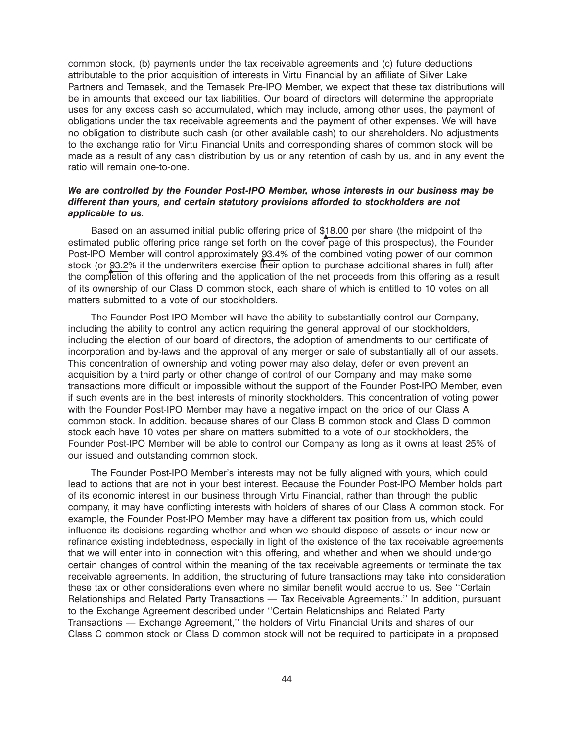common stock, (b) payments under the tax receivable agreements and (c) future deductions attributable to the prior acquisition of interests in Virtu Financial by an affiliate of Silver Lake Partners and Temasek, and the Temasek Pre-IPO Member, we expect that these tax distributions will be in amounts that exceed our tax liabilities. Our board of directors will determine the appropriate uses for any excess cash so accumulated, which may include, among other uses, the payment of obligations under the tax receivable agreements and the payment of other expenses. We will have no obligation to distribute such cash (or other available cash) to our shareholders. No adjustments to the exchange ratio for Virtu Financial Units and corresponding shares of common stock will be made as a result of any cash distribution by us or any retention of cash by us, and in any event the ratio will remain one-to-one.

# *We are controlled by the Founder Post-IPO Member, whose interests in our business may be different than yours, and certain statutory provisions afforded to stockholders are not applicable to us.*

Based on an assumed initial public offering price of \$18.00 per share (the midpoint of the estimated public offering price range set forth on the cover page of this prospectus), the Founder Post-IPO Member will control approximately 93.4% of the combined voting power of our common stock (or 93.2% if the underwriters exercise their option to purchase additional shares in full) after the completion of this offering and the application of the net proceeds from this offering as a result of its ownership of our Class D common stock, each share of which is entitled to 10 votes on all matters submitted to a vote of our stockholders.

The Founder Post-IPO Member will have the ability to substantially control our Company, including the ability to control any action requiring the general approval of our stockholders, including the election of our board of directors, the adoption of amendments to our certificate of incorporation and by-laws and the approval of any merger or sale of substantially all of our assets. This concentration of ownership and voting power may also delay, defer or even prevent an acquisition by a third party or other change of control of our Company and may make some transactions more difficult or impossible without the support of the Founder Post-IPO Member, even if such events are in the best interests of minority stockholders. This concentration of voting power with the Founder Post-IPO Member may have a negative impact on the price of our Class A common stock. In addition, because shares of our Class B common stock and Class D common stock each have 10 votes per share on matters submitted to a vote of our stockholders, the Founder Post-IPO Member will be able to control our Company as long as it owns at least 25% of our issued and outstanding common stock.

The Founder Post-IPO Member's interests may not be fully aligned with yours, which could lead to actions that are not in your best interest. Because the Founder Post-IPO Member holds part of its economic interest in our business through Virtu Financial, rather than through the public company, it may have conflicting interests with holders of shares of our Class A common stock. For example, the Founder Post-IPO Member may have a different tax position from us, which could influence its decisions regarding whether and when we should dispose of assets or incur new or refinance existing indebtedness, especially in light of the existence of the tax receivable agreements that we will enter into in connection with this offering, and whether and when we should undergo certain changes of control within the meaning of the tax receivable agreements or terminate the tax receivable agreements. In addition, the structuring of future transactions may take into consideration these tax or other considerations even where no similar benefit would accrue to us. See ''Certain Relationships and Related Party Transactions — Tax Receivable Agreements.'' In addition, pursuant to the Exchange Agreement described under ''Certain Relationships and Related Party Transactions — Exchange Agreement,'' the holders of Virtu Financial Units and shares of our Class C common stock or Class D common stock will not be required to participate in a proposed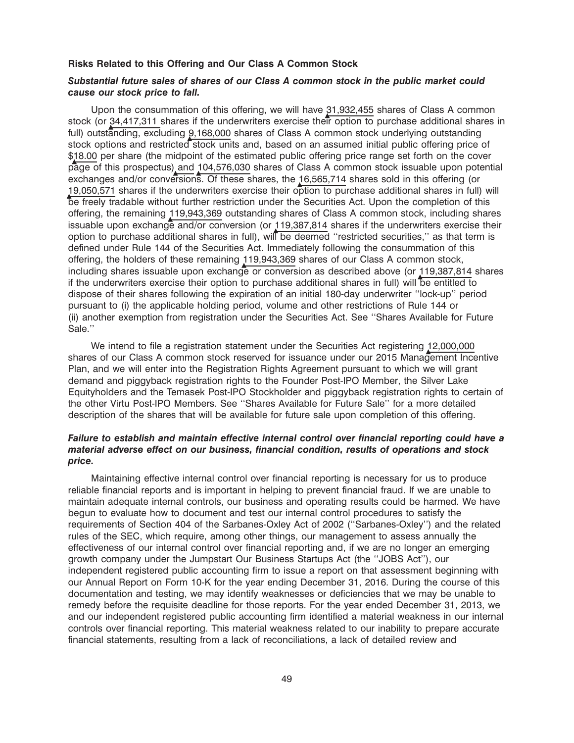### **Risks Related to this Offering and Our Class A Common Stock**

### *Substantial future sales of shares of our Class A common stock in the public market could cause our stock price to fall.*

Upon the consummation of this offering, we will have 31,932,455 shares of Class A common stock (or 34,417,311 shares if the underwriters exercise their option to purchase additional shares in full) outstanding, excluding 9,168,000 shares of Class A common stock underlying outstanding stock options and restricted stock units and, based on an assumed initial public offering price of \$18.00 per share (the midpoint of the estimated public offering price range set forth on the cover page of this prospectus) and 104,576,030 shares of Class A common stock issuable upon potential exchanges and/or conversions. Of these shares, the 16,565,714 shares sold in this offering (or 19,050,571 shares if the underwriters exercise their option to purchase additional shares in full) will be freely tradable without further restriction under the Securities Act. Upon the completion of this offering, the remaining 119,943,369 outstanding shares of Class A common stock, including shares issuable upon exchange and/or conversion (or 119,387,814 shares if the underwriters exercise their option to purchase additional shares in full), will be deemed "restricted securities," as that term is defined under Rule 144 of the Securities Act. Immediately following the consummation of this offering, the holders of these remaining 119,943,369 shares of our Class A common stock, including shares issuable upon exchange or conversion as described above (or 119,387,814 shares if the underwriters exercise their option to purchase additional shares in full) will be entitled to dispose of their shares following the expiration of an initial 180-day underwriter ''lock-up'' period pursuant to (i) the applicable holding period, volume and other restrictions of Rule 144 or (ii) another exemption from registration under the Securities Act. See ''Shares Available for Future Sale.''

We intend to file a registration statement under the Securities Act registering 12,000,000 shares of our Class A common stock reserved for issuance under our 2015 Management Incentive Plan, and we will enter into the Registration Rights Agreement pursuant to which we will grant demand and piggyback registration rights to the Founder Post-IPO Member, the Silver Lake Equityholders and the Temasek Post-IPO Stockholder and piggyback registration rights to certain of the other Virtu Post-IPO Members. See ''Shares Available for Future Sale'' for a more detailed description of the shares that will be available for future sale upon completion of this offering.

# *Failure to establish and maintain effective internal control over financial reporting could have a material adverse effect on our business, financial condition, results of operations and stock price.*

Maintaining effective internal control over financial reporting is necessary for us to produce reliable financial reports and is important in helping to prevent financial fraud. If we are unable to maintain adequate internal controls, our business and operating results could be harmed. We have begun to evaluate how to document and test our internal control procedures to satisfy the requirements of Section 404 of the Sarbanes-Oxley Act of 2002 (''Sarbanes-Oxley'') and the related rules of the SEC, which require, among other things, our management to assess annually the effectiveness of our internal control over financial reporting and, if we are no longer an emerging growth company under the Jumpstart Our Business Startups Act (the ''JOBS Act''), our independent registered public accounting firm to issue a report on that assessment beginning with our Annual Report on Form 10-K for the year ending December 31, 2016. During the course of this documentation and testing, we may identify weaknesses or deficiencies that we may be unable to remedy before the requisite deadline for those reports. For the year ended December 31, 2013, we and our independent registered public accounting firm identified a material weakness in our internal controls over financial reporting. This material weakness related to our inability to prepare accurate financial statements, resulting from a lack of reconciliations, a lack of detailed review and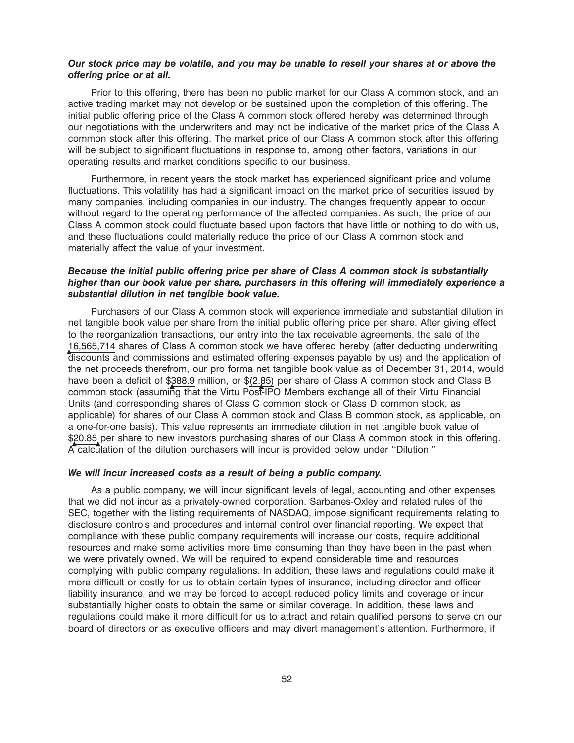# *Our stock price may be volatile, and you may be unable to resell your shares at or above the offering price or at all.*

Prior to this offering, there has been no public market for our Class A common stock, and an active trading market may not develop or be sustained upon the completion of this offering. The initial public offering price of the Class A common stock offered hereby was determined through our negotiations with the underwriters and may not be indicative of the market price of the Class A common stock after this offering. The market price of our Class A common stock after this offering will be subject to significant fluctuations in response to, among other factors, variations in our operating results and market conditions specific to our business.

Furthermore, in recent years the stock market has experienced significant price and volume fluctuations. This volatility has had a significant impact on the market price of securities issued by many companies, including companies in our industry. The changes frequently appear to occur without regard to the operating performance of the affected companies. As such, the price of our Class A common stock could fluctuate based upon factors that have little or nothing to do with us, and these fluctuations could materially reduce the price of our Class A common stock and materially affect the value of your investment.

# *Because the initial public offering price per share of Class A common stock is substantially higher than our book value per share, purchasers in this offering will immediately experience a substantial dilution in net tangible book value.*

Purchasers of our Class A common stock will experience immediate and substantial dilution in net tangible book value per share from the initial public offering price per share. After giving effect to the reorganization transactions, our entry into the tax receivable agreements, the sale of the 16,565,714 shares of Class A common stock we have offered hereby (after deducting underwriting discounts and commissions and estimated offering expenses payable by us) and the application of the net proceeds therefrom, our pro forma net tangible book value as of December 31, 2014, would have been a deficit of \$388.9 million, or \$(2.85) per share of Class A common stock and Class B common stock (assuming that the Virtu Post-IPO Members exchange all of their Virtu Financial Units (and corresponding shares of Class C common stock or Class D common stock, as applicable) for shares of our Class A common stock and Class B common stock, as applicable, on a one-for-one basis). This value represents an immediate dilution in net tangible book value of \$20.85 per share to new investors purchasing shares of our Class A common stock in this offering. A calculation of the dilution purchasers will incur is provided below under ''Dilution.''

#### *We will incur increased costs as a result of being a public company.*

As a public company, we will incur significant levels of legal, accounting and other expenses that we did not incur as a privately-owned corporation. Sarbanes-Oxley and related rules of the SEC, together with the listing requirements of NASDAQ, impose significant requirements relating to disclosure controls and procedures and internal control over financial reporting. We expect that compliance with these public company requirements will increase our costs, require additional resources and make some activities more time consuming than they have been in the past when we were privately owned. We will be required to expend considerable time and resources complying with public company regulations. In addition, these laws and regulations could make it more difficult or costly for us to obtain certain types of insurance, including director and officer liability insurance, and we may be forced to accept reduced policy limits and coverage or incur substantially higher costs to obtain the same or similar coverage. In addition, these laws and regulations could make it more difficult for us to attract and retain qualified persons to serve on our board of directors or as executive officers and may divert management's attention. Furthermore, if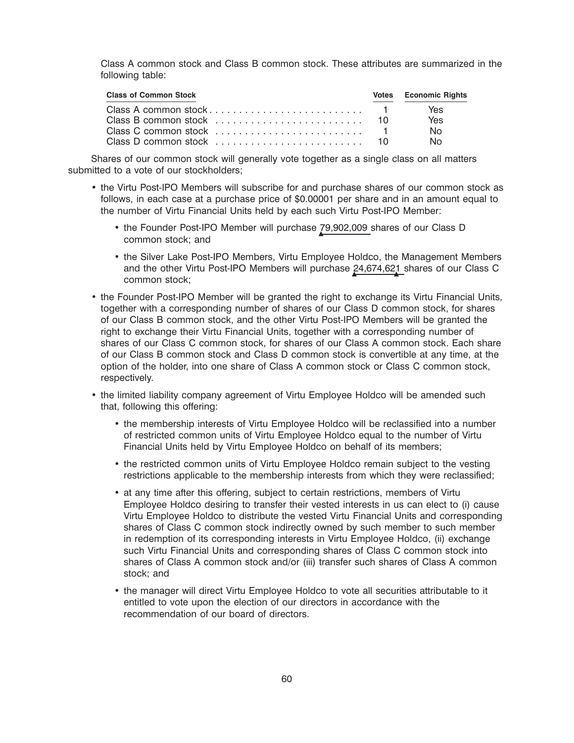Class A common stock and Class B common stock. These attributes are summarized in the following table:

| <b>Class of Common Stock</b>                                                                                 | <b>Votes</b> Economic Rights |
|--------------------------------------------------------------------------------------------------------------|------------------------------|
|                                                                                                              | Yes                          |
| Class B common stock expressions are seen that the state of the Class B common stock experience of the Class | Yes                          |
| Class C common stock entertainment and the Class C common stock entertainment of the Class                   | No.                          |
|                                                                                                              | N∩                           |

Shares of our common stock will generally vote together as a single class on all matters submitted to a vote of our stockholders;

- the Virtu Post-IPO Members will subscribe for and purchase shares of our common stock as follows, in each case at a purchase price of \$0.00001 per share and in an amount equal to the number of Virtu Financial Units held by each such Virtu Post-IPO Member:
	- the Founder Post-IPO Member will purchase 79,902,009 shares of our Class D common stock; and
	- the Silver Lake Post-IPO Members, Virtu Employee Holdco, the Management Members and the other Virtu Post-IPO Members will purchase 24,674,621 shares of our Class C common stock;
- the Founder Post-IPO Member will be granted the right to exchange its Virtu Financial Units, together with a corresponding number of shares of our Class D common stock, for shares of our Class B common stock, and the other Virtu Post-IPO Members will be granted the right to exchange their Virtu Financial Units, together with a corresponding number of shares of our Class C common stock, for shares of our Class A common stock. Each share of our Class B common stock and Class D common stock is convertible at any time, at the option of the holder, into one share of Class A common stock or Class C common stock, respectively.
- the limited liability company agreement of Virtu Employee Holdco will be amended such that, following this offering:
	- the membership interests of Virtu Employee Holdco will be reclassified into a number of restricted common units of Virtu Employee Holdco equal to the number of Virtu Financial Units held by Virtu Employee Holdco on behalf of its members;
	- the restricted common units of Virtu Employee Holdco remain subject to the vesting restrictions applicable to the membership interests from which they were reclassified;
	- at any time after this offering, subject to certain restrictions, members of Virtu Employee Holdco desiring to transfer their vested interests in us can elect to (i) cause Virtu Employee Holdco to distribute the vested Virtu Financial Units and corresponding shares of Class C common stock indirectly owned by such member to such member in redemption of its corresponding interests in Virtu Employee Holdco, (ii) exchange such Virtu Financial Units and corresponding shares of Class C common stock into shares of Class A common stock and/or (iii) transfer such shares of Class A common stock; and
	- the manager will direct Virtu Employee Holdco to vote all securities attributable to it entitled to vote upon the election of our directors in accordance with the recommendation of our board of directors.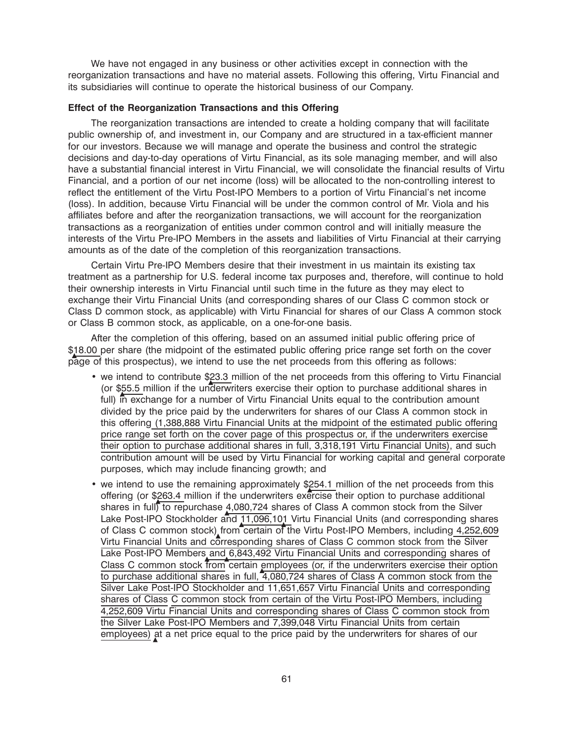We have not engaged in any business or other activities except in connection with the reorganization transactions and have no material assets. Following this offering, Virtu Financial and its subsidiaries will continue to operate the historical business of our Company.

### **Effect of the Reorganization Transactions and this Offering**

The reorganization transactions are intended to create a holding company that will facilitate public ownership of, and investment in, our Company and are structured in a tax-efficient manner for our investors. Because we will manage and operate the business and control the strategic decisions and day-to-day operations of Virtu Financial, as its sole managing member, and will also have a substantial financial interest in Virtu Financial, we will consolidate the financial results of Virtu Financial, and a portion of our net income (loss) will be allocated to the non-controlling interest to reflect the entitlement of the Virtu Post-IPO Members to a portion of Virtu Financial's net income (loss). In addition, because Virtu Financial will be under the common control of Mr. Viola and his affiliates before and after the reorganization transactions, we will account for the reorganization transactions as a reorganization of entities under common control and will initially measure the interests of the Virtu Pre-IPO Members in the assets and liabilities of Virtu Financial at their carrying amounts as of the date of the completion of this reorganization transactions.

Certain Virtu Pre-IPO Members desire that their investment in us maintain its existing tax treatment as a partnership for U.S. federal income tax purposes and, therefore, will continue to hold their ownership interests in Virtu Financial until such time in the future as they may elect to exchange their Virtu Financial Units (and corresponding shares of our Class C common stock or Class D common stock, as applicable) with Virtu Financial for shares of our Class A common stock or Class B common stock, as applicable, on a one-for-one basis.

After the completion of this offering, based on an assumed initial public offering price of \$18.00 per share (the midpoint of the estimated public offering price range set forth on the cover page of this prospectus), we intend to use the net proceeds from this offering as follows:

- we intend to contribute \$23.3 million of the net proceeds from this offering to Virtu Financial (or \$55.5 million if the underwriters exercise their option to purchase additional shares in full) in exchange for a number of Virtu Financial Units equal to the contribution amount divided by the price paid by the underwriters for shares of our Class A common stock in this offering (1,388,888 Virtu Financial Units at the midpoint of the estimated public offering price range set forth on the cover page of this prospectus or, if the underwriters exercise their option to purchase additional shares in full, 3,318,191 Virtu Financial Units), and such contribution amount will be used by Virtu Financial for working capital and general corporate purposes, which may include financing growth; and
- we intend to use the remaining approximately \$254.1 million of the net proceeds from this offering (or \$263.4 million if the underwriters exercise their option to purchase additional shares in full) to repurchase 4,080,724 shares of Class A common stock from the Silver Lake Post-IPO Stockholder and 11,096,101 Virtu Financial Units (and corresponding shares of Class C common stock) from certain of the Virtu Post-IPO Members, including 4,252,609 Virtu Financial Units and corresponding shares of Class C common stock from the Silver Lake Post-IPO Members and 6,843,492 Virtu Financial Units and corresponding shares of Class C common stock from certain employees (or, if the underwriters exercise their option to purchase additional shares in full, 4,080,724 shares of Class A common stock from the Silver Lake Post-IPO Stockholder and 11,651,657 Virtu Financial Units and corresponding shares of Class C common stock from certain of the Virtu Post-IPO Members, including 4,252,609 Virtu Financial Units and corresponding shares of Class C common stock from the Silver Lake Post-IPO Members and 7,399,048 Virtu Financial Units from certain employees) at a net price equal to the price paid by the underwriters for shares of our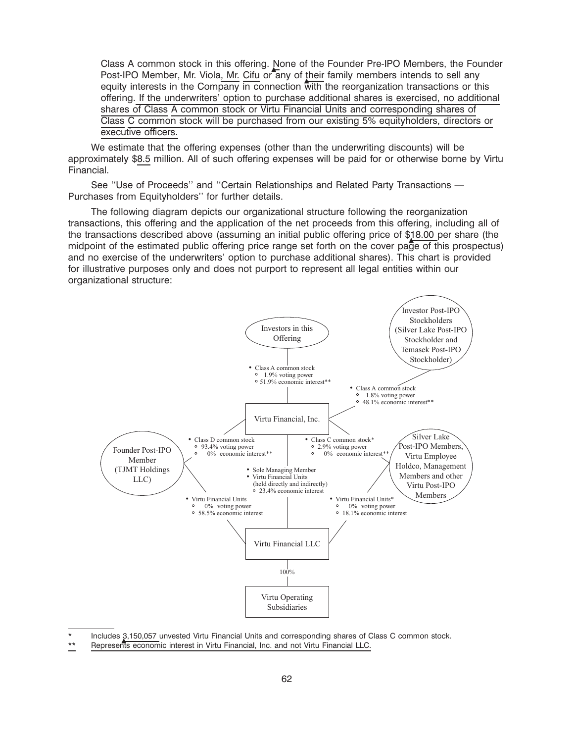Class A common stock in this offering. None of the Founder Pre-IPO Members, the Founder Post-IPO Member, Mr. Viola, Mr. Cifu or any of their family members intends to sell any equity interests in the Company in connection with the reorganization transactions or this offering. If the underwriters' option to purchase additional shares is exercised, no additional shares of Class A common stock or Virtu Financial Units and corresponding shares of Class C common stock will be purchased from our existing 5% equityholders, directors or executive officers.

We estimate that the offering expenses (other than the underwriting discounts) will be approximately \$8.5 million. All of such offering expenses will be paid for or otherwise borne by Virtu Financial.

See ''Use of Proceeds'' and ''Certain Relationships and Related Party Transactions — Purchases from Equityholders'' for further details.

The following diagram depicts our organizational structure following the reorganization transactions, this offering and the application of the net proceeds from this offering, including all of the transactions described above (assuming an initial public offering price of \$18.00 per share (the midpoint of the estimated public offering price range set forth on the cover page of this prospectus) and no exercise of the underwriters' option to purchase additional shares). This chart is provided for illustrative purposes only and does not purport to represent all legal entities within our organizational structure:



Includes 3,150,057 unvested Virtu Financial Units and corresponding shares of Class C common stock.

Represents economic interest in Virtu Financial, Inc. and not Virtu Financial LLC.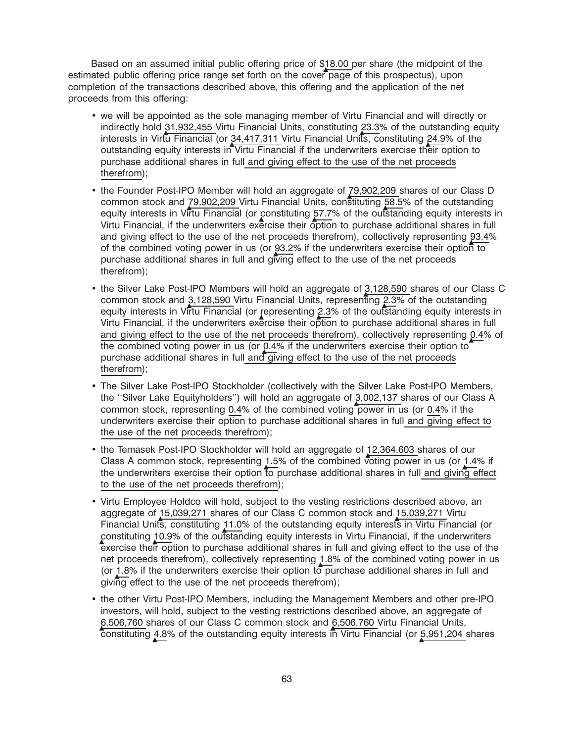Based on an assumed initial public offering price of \$18.00 per share (the midpoint of the estimated public offering price range set forth on the cover page of this prospectus), upon completion of the transactions described above, this offering and the application of the net proceeds from this offering:

- we will be appointed as the sole managing member of Virtu Financial and will directly or indirectly hold 31,932,455 Virtu Financial Units, constituting 23.3% of the outstanding equity interests in Virtu Financial (or 34,417,311 Virtu Financial Units, constituting 24.9% of the outstanding equity interests in Virtu Financial if the underwriters exercise their option to purchase additional shares in full and giving effect to the use of the net proceeds therefrom);
- the Founder Post-IPO Member will hold an aggregate of 79,902,209 shares of our Class D common stock and 79,902,209 Virtu Financial Units, constituting 58.5% of the outstanding equity interests in Virtu Financial (or constituting 57.7% of the outstanding equity interests in Virtu Financial, if the underwriters exercise their option to purchase additional shares in full and giving effect to the use of the net proceeds therefrom), collectively representing 93.4% of the combined voting power in us (or 93.2% if the underwriters exercise their option to purchase additional shares in full and giving effect to the use of the net proceeds therefrom);
- the Silver Lake Post-IPO Members will hold an aggregate of 3,128,590 shares of our Class C common stock and 3,128,590 Virtu Financial Units, representing 2.3% of the outstanding equity interests in Virtu Financial (or representing 2.3% of the outstanding equity interests in Virtu Financial, if the underwriters exercise their option to purchase additional shares in full and giving effect to the use of the net proceeds therefrom), collectively representing 0.4% of the combined voting power in us (or 0.4% if the underwriters exercise their option to purchase additional shares in full and giving effect to the use of the net proceeds therefrom);
- The Silver Lake Post-IPO Stockholder (collectively with the Silver Lake Post-IPO Members, the ''Silver Lake Equityholders'') will hold an aggregate of 3,002,137 shares of our Class A common stock, representing 0.4% of the combined voting power in us (or 0.4% if the underwriters exercise their option to purchase additional shares in full and giving effect to the use of the net proceeds therefrom);
- the Temasek Post-IPO Stockholder will hold an aggregate of 12,364,603 shares of our Class A common stock, representing 1.5% of the combined voting power in us (or 1.4% if the underwriters exercise their option to purchase additional shares in full and giving effect to the use of the net proceeds therefrom);
- Virtu Employee Holdco will hold, subject to the vesting restrictions described above, an aggregate of 15,039,271 shares of our Class C common stock and 15,039,271 Virtu Financial Units, constituting 11.0% of the outstanding equity interests in Virtu Financial (or constituting 10.9% of the outstanding equity interests in Virtu Financial, if the underwriters exercise their option to purchase additional shares in full and giving effect to the use of the net proceeds therefrom), collectively representing 1.8% of the combined voting power in us (or 1.8% if the underwriters exercise their option to purchase additional shares in full and giving effect to the use of the net proceeds therefrom);
- the other Virtu Post-IPO Members, including the Management Members and other pre-IPO investors, will hold, subject to the vesting restrictions described above, an aggregate of 6,506,760 shares of our Class C common stock and 6,506,760 Virtu Financial Units, constituting 4.8% of the outstanding equity interests in Virtu Financial (or 5,951,204 shares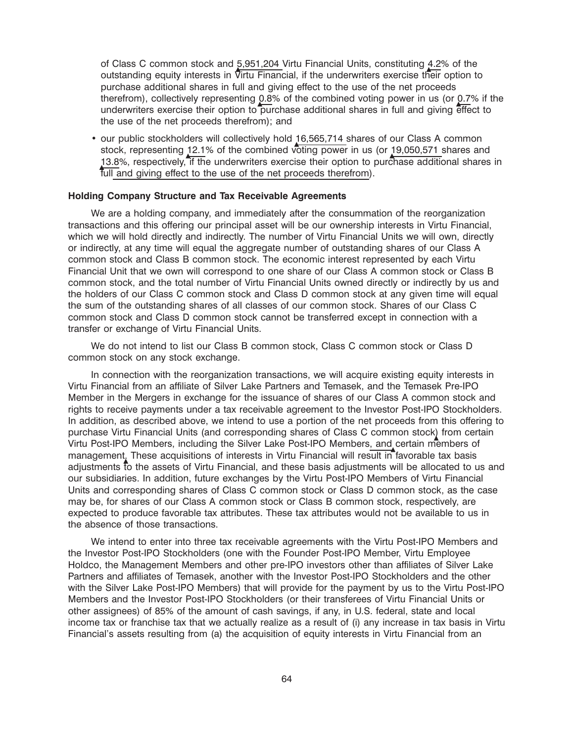of Class C common stock and 5,951,204 Virtu Financial Units, constituting 4.2% of the outstanding equity interests in Virtu Financial, if the underwriters exercise their option to purchase additional shares in full and giving effect to the use of the net proceeds therefrom), collectively representing 0.8% of the combined voting power in us (or 0.7% if the underwriters exercise their option to purchase additional shares in full and giving effect to the use of the net proceeds therefrom); and

• our public stockholders will collectively hold 16,565,714 shares of our Class A common stock, representing 12.1% of the combined voting power in us (or 19,050,571 shares and 13.8%, respectively, if the underwriters exercise their option to purchase additional shares in full and giving effect to the use of the net proceeds therefrom).

# **Holding Company Structure and Tax Receivable Agreements**

We are a holding company, and immediately after the consummation of the reorganization transactions and this offering our principal asset will be our ownership interests in Virtu Financial, which we will hold directly and indirectly. The number of Virtu Financial Units we will own, directly or indirectly, at any time will equal the aggregate number of outstanding shares of our Class A common stock and Class B common stock. The economic interest represented by each Virtu Financial Unit that we own will correspond to one share of our Class A common stock or Class B common stock, and the total number of Virtu Financial Units owned directly or indirectly by us and the holders of our Class C common stock and Class D common stock at any given time will equal the sum of the outstanding shares of all classes of our common stock. Shares of our Class C common stock and Class D common stock cannot be transferred except in connection with a transfer or exchange of Virtu Financial Units.

We do not intend to list our Class B common stock, Class C common stock or Class D common stock on any stock exchange.

In connection with the reorganization transactions, we will acquire existing equity interests in Virtu Financial from an affiliate of Silver Lake Partners and Temasek, and the Temasek Pre-IPO Member in the Mergers in exchange for the issuance of shares of our Class A common stock and rights to receive payments under a tax receivable agreement to the Investor Post-IPO Stockholders. In addition, as described above, we intend to use a portion of the net proceeds from this offering to purchase Virtu Financial Units (and corresponding shares of Class C common stock) from certain Virtu Post-IPO Members, including the Silver Lake Post-IPO Members, and certain members of management. These acquisitions of interests in Virtu Financial will result in favorable tax basis adjustments to the assets of Virtu Financial, and these basis adjustments will be allocated to us and our subsidiaries. In addition, future exchanges by the Virtu Post-IPO Members of Virtu Financial Units and corresponding shares of Class C common stock or Class D common stock, as the case may be, for shares of our Class A common stock or Class B common stock, respectively, are expected to produce favorable tax attributes. These tax attributes would not be available to us in the absence of those transactions.

We intend to enter into three tax receivable agreements with the Virtu Post-IPO Members and the Investor Post-IPO Stockholders (one with the Founder Post-IPO Member, Virtu Employee Holdco, the Management Members and other pre-IPO investors other than affiliates of Silver Lake Partners and affiliates of Temasek, another with the Investor Post-IPO Stockholders and the other with the Silver Lake Post-IPO Members) that will provide for the payment by us to the Virtu Post-IPO Members and the Investor Post-IPO Stockholders (or their transferees of Virtu Financial Units or other assignees) of 85% of the amount of cash savings, if any, in U.S. federal, state and local income tax or franchise tax that we actually realize as a result of (i) any increase in tax basis in Virtu Financial's assets resulting from (a) the acquisition of equity interests in Virtu Financial from an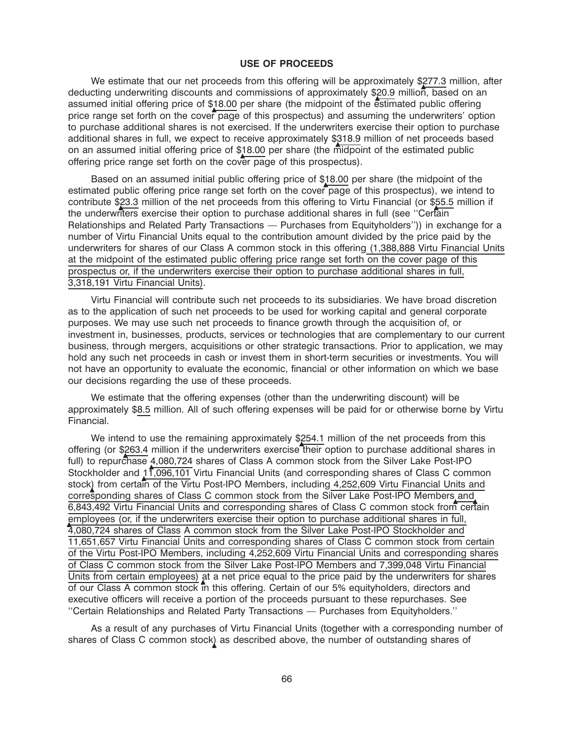### **USE OF PROCEEDS**

We estimate that our net proceeds from this offering will be approximately \$277.3 million, after deducting underwriting discounts and commissions of approximately \$20.9 million, based on an assumed initial offering price of \$18.00 per share (the midpoint of the estimated public offering price range set forth on the cover page of this prospectus) and assuming the underwriters' option to purchase additional shares is not exercised. If the underwriters exercise their option to purchase additional shares in full, we expect to receive approximately \$318.9 million of net proceeds based on an assumed initial offering price of \$18.00 per share (the midpoint of the estimated public offering price range set forth on the cover page of this prospectus).

Based on an assumed initial public offering price of \$18.00 per share (the midpoint of the estimated public offering price range set forth on the cover page of this prospectus), we intend to contribute \$23.3 million of the net proceeds from this offering to Virtu Financial (or \$55.5 million if the underwriters exercise their option to purchase additional shares in full (see ''Certain Relationships and Related Party Transactions — Purchases from Equityholders'')) in exchange for a number of Virtu Financial Units equal to the contribution amount divided by the price paid by the underwriters for shares of our Class A common stock in this offering (1,388,888 Virtu Financial Units at the midpoint of the estimated public offering price range set forth on the cover page of this prospectus or, if the underwriters exercise their option to purchase additional shares in full, 3,318,191 Virtu Financial Units).

Virtu Financial will contribute such net proceeds to its subsidiaries. We have broad discretion as to the application of such net proceeds to be used for working capital and general corporate purposes. We may use such net proceeds to finance growth through the acquisition of, or investment in, businesses, products, services or technologies that are complementary to our current business, through mergers, acquisitions or other strategic transactions. Prior to application, we may hold any such net proceeds in cash or invest them in short-term securities or investments. You will not have an opportunity to evaluate the economic, financial or other information on which we base our decisions regarding the use of these proceeds.

We estimate that the offering expenses (other than the underwriting discount) will be approximately \$8.5 million. All of such offering expenses will be paid for or otherwise borne by Virtu Financial.

We intend to use the remaining approximately \$254.1 million of the net proceeds from this offering (or \$263.4 million if the underwriters exercise their option to purchase additional shares in full) to repurchase 4,080,724 shares of Class A common stock from the Silver Lake Post-IPO Stockholder and 11,096,101 Virtu Financial Units (and corresponding shares of Class C common stock) from certain of the Virtu Post-IPO Members, including 4,252,609 Virtu Financial Units and corresponding shares of Class C common stock from the Silver Lake Post-IPO Members and 6,843,492 Virtu Financial Units and corresponding shares of Class C common stock from certain employees (or, if the underwriters exercise their option to purchase additional shares in full, 4,080,724 shares of Class A common stock from the Silver Lake Post-IPO Stockholder and 11,651,657 Virtu Financial Units and corresponding shares of Class C common stock from certain of the Virtu Post-IPO Members, including 4,252,609 Virtu Financial Units and corresponding shares of Class C common stock from the Silver Lake Post-IPO Members and 7,399,048 Virtu Financial Units from certain employees) at a net price equal to the price paid by the underwriters for shares of our Class A common stock in this offering. Certain of our 5% equityholders, directors and executive officers will receive a portion of the proceeds pursuant to these repurchases. See ''Certain Relationships and Related Party Transactions — Purchases from Equityholders.''

As a result of any purchases of Virtu Financial Units (together with a corresponding number of shares of Class C common stock) as described above, the number of outstanding shares of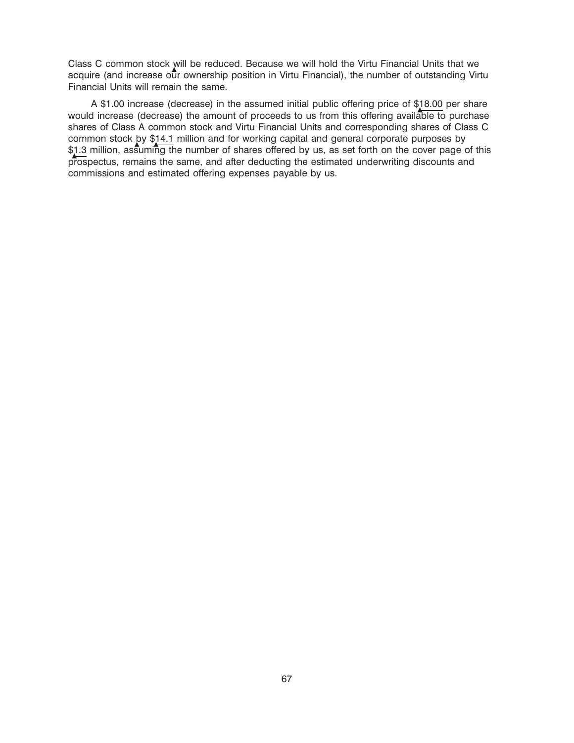Class C common stock will be reduced. Because we will hold the Virtu Financial Units that we acquire (and increase our ownership position in Virtu Financial), the number of outstanding Virtu Financial Units will remain the same.

A \$1.00 increase (decrease) in the assumed initial public offering price of \$18.00 per share would increase (decrease) the amount of proceeds to us from this offering available to purchase shares of Class A common stock and Virtu Financial Units and corresponding shares of Class C common stock by \$14.1 million and for working capital and general corporate purposes by \$1.3 million, assuming the number of shares offered by us, as set forth on the cover page of this prospectus, remains the same, and after deducting the estimated underwriting discounts and commissions and estimated offering expenses payable by us.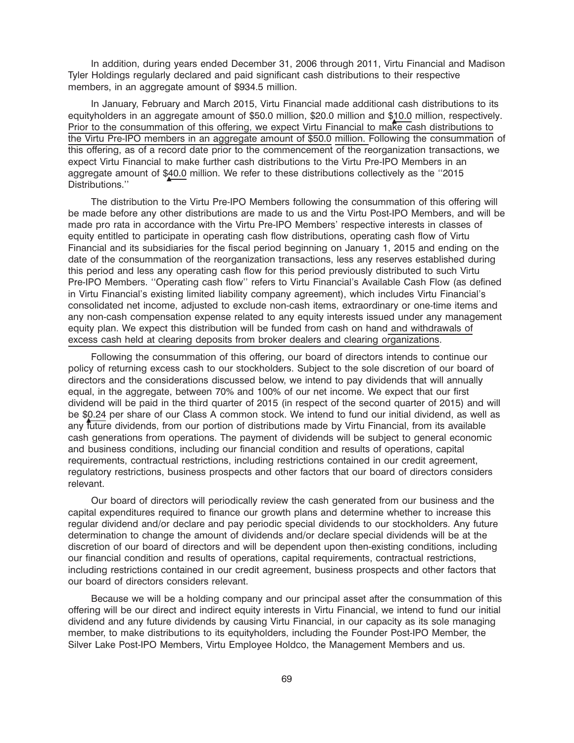In addition, during years ended December 31, 2006 through 2011, Virtu Financial and Madison Tyler Holdings regularly declared and paid significant cash distributions to their respective members, in an aggregate amount of \$934.5 million.

In January, February and March 2015, Virtu Financial made additional cash distributions to its equityholders in an aggregate amount of \$50.0 million, \$20.0 million and \$10.0 million, respectively. Prior to the consummation of this offering, we expect Virtu Financial to make cash distributions to the Virtu Pre-IPO members in an aggregate amount of \$50.0 million. Following the consummation of this offering, as of a record date prior to the commencement of the reorganization transactions, we expect Virtu Financial to make further cash distributions to the Virtu Pre-IPO Members in an aggregate amount of \$40.0 million. We refer to these distributions collectively as the ''2015 Distributions.''

The distribution to the Virtu Pre-IPO Members following the consummation of this offering will be made before any other distributions are made to us and the Virtu Post-IPO Members, and will be made pro rata in accordance with the Virtu Pre-IPO Members' respective interests in classes of equity entitled to participate in operating cash flow distributions, operating cash flow of Virtu Financial and its subsidiaries for the fiscal period beginning on January 1, 2015 and ending on the date of the consummation of the reorganization transactions, less any reserves established during this period and less any operating cash flow for this period previously distributed to such Virtu Pre-IPO Members. ''Operating cash flow'' refers to Virtu Financial's Available Cash Flow (as defined in Virtu Financial's existing limited liability company agreement), which includes Virtu Financial's consolidated net income, adjusted to exclude non-cash items, extraordinary or one-time items and any non-cash compensation expense related to any equity interests issued under any management equity plan. We expect this distribution will be funded from cash on hand and withdrawals of excess cash held at clearing deposits from broker dealers and clearing organizations.

Following the consummation of this offering, our board of directors intends to continue our policy of returning excess cash to our stockholders. Subject to the sole discretion of our board of directors and the considerations discussed below, we intend to pay dividends that will annually equal, in the aggregate, between 70% and 100% of our net income. We expect that our first dividend will be paid in the third quarter of 2015 (in respect of the second quarter of 2015) and will be \$0.24 per share of our Class A common stock. We intend to fund our initial dividend, as well as any future dividends, from our portion of distributions made by Virtu Financial, from its available cash generations from operations. The payment of dividends will be subject to general economic and business conditions, including our financial condition and results of operations, capital requirements, contractual restrictions, including restrictions contained in our credit agreement, regulatory restrictions, business prospects and other factors that our board of directors considers relevant.

Our board of directors will periodically review the cash generated from our business and the capital expenditures required to finance our growth plans and determine whether to increase this regular dividend and/or declare and pay periodic special dividends to our stockholders. Any future determination to change the amount of dividends and/or declare special dividends will be at the discretion of our board of directors and will be dependent upon then-existing conditions, including our financial condition and results of operations, capital requirements, contractual restrictions, including restrictions contained in our credit agreement, business prospects and other factors that our board of directors considers relevant.

Because we will be a holding company and our principal asset after the consummation of this offering will be our direct and indirect equity interests in Virtu Financial, we intend to fund our initial dividend and any future dividends by causing Virtu Financial, in our capacity as its sole managing member, to make distributions to its equityholders, including the Founder Post-IPO Member, the Silver Lake Post-IPO Members, Virtu Employee Holdco, the Management Members and us.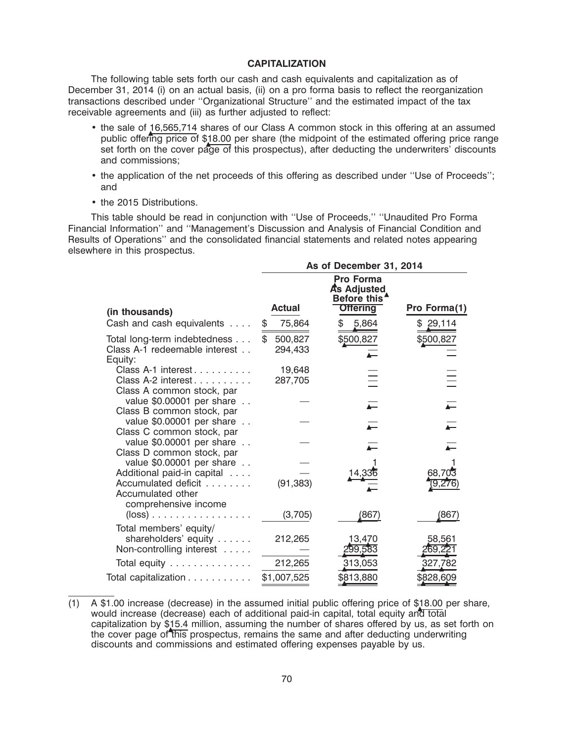### **CAPITALIZATION**

The following table sets forth our cash and cash equivalents and capitalization as of December 31, 2014 (i) on an actual basis, (ii) on a pro forma basis to reflect the reorganization transactions described under ''Organizational Structure'' and the estimated impact of the tax receivable agreements and (iii) as further adjusted to reflect:

- the sale of 16,565,714 shares of our Class A common stock in this offering at an assumed public offering price of \$18.00 per share (the midpoint of the estimated offering price range set forth on the cover page of this prospectus), after deducting the underwriters' discounts and commissions;
- the application of the net proceeds of this offering as described under ''Use of Proceeds''; and
- the 2015 Distributions.

This table should be read in conjunction with ''Use of Proceeds,'' ''Unaudited Pro Forma Financial Information'' and ''Management's Discussion and Analysis of Financial Condition and Results of Operations'' and the consolidated financial statements and related notes appearing elsewhere in this prospectus.

|                                                                                                     |                          | As of December 31, 2014                                    |                |
|-----------------------------------------------------------------------------------------------------|--------------------------|------------------------------------------------------------|----------------|
| (in thousands)                                                                                      | <b>Actual</b>            | Pro Forma<br>As Adjusted<br>Before this<br><b>Offering</b> | Pro Forma(1)   |
| Cash and cash equivalents                                                                           | 75,864<br>S.             | 5,864                                                      | \$29,114       |
| Total long-term indebtedness<br>Class A-1 redeemable interest<br>Equity:                            | 500,827<br>\$<br>294,433 | \$500,827                                                  | \$500,827      |
| Class A-1 interest<br>Class A-2 interest<br>Class A common stock, par                               | 19,648<br>287,705        |                                                            |                |
| value \$0.00001 per share<br>Class B common stock, par                                              |                          |                                                            |                |
| value \$0.00001 per share<br>Class C common stock, par                                              |                          | 二                                                          |                |
| value \$0.00001 per share<br>Class D common stock, par                                              |                          |                                                            |                |
| value \$0.00001 per share<br>Additional paid-in capital<br>Accumulated deficit<br>Accumulated other | (91, 383)                |                                                            | 68.71          |
| comprehensive income<br>$(\text{loss})$                                                             | (3,705)                  | (867)                                                      | (867)          |
| Total members' equity/<br>shareholders' equity<br>Non-controlling interest                          | 212,265                  | 13.470<br>99.583                                           | 58,561<br>69.2 |
| Total equity                                                                                        | 212,265                  | 313,053                                                    | 327,782        |
| Total capitalization                                                                                | \$1,007,525              | \$813,880                                                  | \$828,609      |

(1) A \$1.00 increase (decrease) in the assumed initial public offering price of \$18.00 per share, would increase (decrease) each of additional paid-in capital, total equity and total capitalization by \$15.4 million, assuming the number of shares offered by us, as set forth on the cover page of this prospectus, remains the same and after deducting underwriting discounts and commissions and estimated offering expenses payable by us.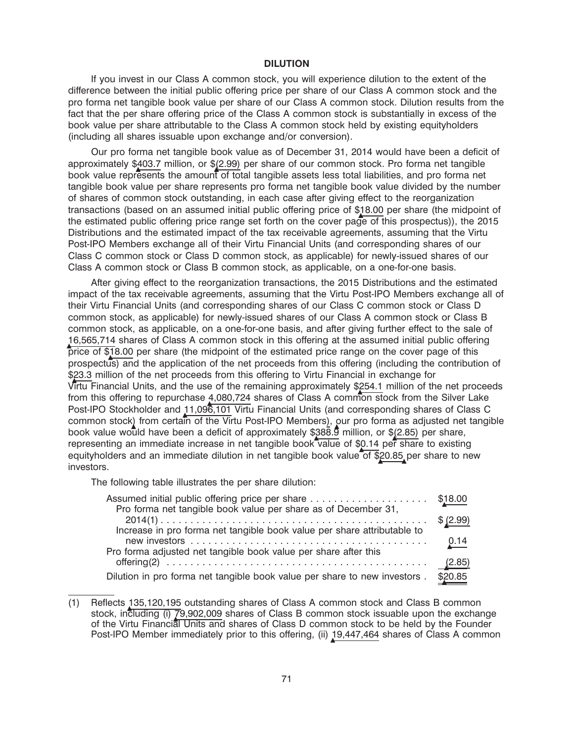### **DILUTION**

If you invest in our Class A common stock, you will experience dilution to the extent of the difference between the initial public offering price per share of our Class A common stock and the pro forma net tangible book value per share of our Class A common stock. Dilution results from the fact that the per share offering price of the Class A common stock is substantially in excess of the book value per share attributable to the Class A common stock held by existing equityholders (including all shares issuable upon exchange and/or conversion).

Our pro forma net tangible book value as of December 31, 2014 would have been a deficit of approximately \$403.7 million, or \$(2.99) per share of our common stock. Pro forma net tangible book value represents the amount of total tangible assets less total liabilities, and pro forma net tangible book value per share represents pro forma net tangible book value divided by the number of shares of common stock outstanding, in each case after giving effect to the reorganization transactions (based on an assumed initial public offering price of \$18.00 per share (the midpoint of the estimated public offering price range set forth on the cover page of this prospectus)), the 2015 Distributions and the estimated impact of the tax receivable agreements, assuming that the Virtu Post-IPO Members exchange all of their Virtu Financial Units (and corresponding shares of our Class C common stock or Class D common stock, as applicable) for newly-issued shares of our Class A common stock or Class B common stock, as applicable, on a one-for-one basis.

After giving effect to the reorganization transactions, the 2015 Distributions and the estimated impact of the tax receivable agreements, assuming that the Virtu Post-IPO Members exchange all of their Virtu Financial Units (and corresponding shares of our Class C common stock or Class D common stock, as applicable) for newly-issued shares of our Class A common stock or Class B common stock, as applicable, on a one-for-one basis, and after giving further effect to the sale of 16,565,714 shares of Class A common stock in this offering at the assumed initial public offering price of \$18.00 per share (the midpoint of the estimated price range on the cover page of this prospectus) and the application of the net proceeds from this offering (including the contribution of \$23.3 million of the net proceeds from this offering to Virtu Financial in exchange for Virtu Financial Units, and the use of the remaining approximately \$254.1 million of the net proceeds from this offering to repurchase 4,080,724 shares of Class A common stock from the Silver Lake Post-IPO Stockholder and 11,096,101 Virtu Financial Units (and corresponding shares of Class C common stock) from certain of the Virtu Post-IPO Members), our pro forma as adjusted net tangible book value would have been a deficit of approximately \$388.9 million, or \$ $(2.85)$  per share, representing an immediate increase in net tangible book value of \$0.14 per share to existing equityholders and an immediate dilution in net tangible book value of  $$20.85$  per share to new investors.

The following table illustrates the per share dilution:

| Assumed initial public offering price per share \$18.00 |
|---------------------------------------------------------|
|                                                         |
| \$(2.99)                                                |
|                                                         |
| 0.14                                                    |
|                                                         |
| (2.85)                                                  |
| \$20.85                                                 |
|                                                         |

<sup>(1)</sup> Reflects 135,120,195 outstanding shares of Class A common stock and Class B common stock, including (i) 79,902,009 shares of Class B common stock issuable upon the exchange of the Virtu Financial Units and shares of Class D common stock to be held by the Founder Post-IPO Member immediately prior to this offering, (ii) 19,447,464 shares of Class A common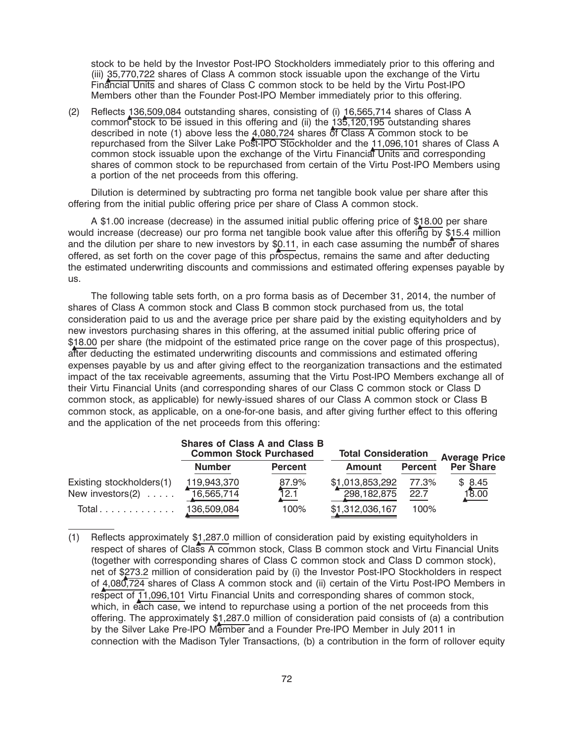stock to be held by the Investor Post-IPO Stockholders immediately prior to this offering and (iii) 35,770,722 shares of Class A common stock issuable upon the exchange of the Virtu Financial Units and shares of Class C common stock to be held by the Virtu Post-IPO Members other than the Founder Post-IPO Member immediately prior to this offering.

(2) Reflects 136,509,084 outstanding shares, consisting of (i) 16,565,714 shares of Class A common stock to be issued in this offering and (ii) the 135,120,195 outstanding shares described in note (1) above less the 4,080,724 shares of Class A common stock to be repurchased from the Silver Lake Po<del>st</del>-IPO Stockholder and the 11,096,101 shares of Class A common stock issuable upon the exchange of the Virtu Financial Units and corresponding shares of common stock to be repurchased from certain of the Virtu Post-IPO Members using a portion of the net proceeds from this offering.

Dilution is determined by subtracting pro forma net tangible book value per share after this offering from the initial public offering price per share of Class A common stock.

A \$1.00 increase (decrease) in the assumed initial public offering price of \$18.00 per share would increase (decrease) our pro forma net tangible book value after this offering by \$15.4 million and the dilution per share to new investors by \$0.11, in each case assuming the number of shares offered, as set forth on the cover page of this prospectus, remains the same and after deducting the estimated underwriting discounts and commissions and estimated offering expenses payable by us.

The following table sets forth, on a pro forma basis as of December 31, 2014, the number of shares of Class A common stock and Class B common stock purchased from us, the total consideration paid to us and the average price per share paid by the existing equityholders and by new investors purchasing shares in this offering, at the assumed initial public offering price of \$18.00 per share (the midpoint of the estimated price range on the cover page of this prospectus), after deducting the estimated underwriting discounts and commissions and estimated offering expenses payable by us and after giving effect to the reorganization transactions and the estimated impact of the tax receivable agreements, assuming that the Virtu Post-IPO Members exchange all of their Virtu Financial Units (and corresponding shares of our Class C common stock or Class D common stock, as applicable) for newly-issued shares of our Class A common stock or Class B common stock, as applicable, on a one-for-one basis, and after giving further effect to this offering and the application of the net proceeds from this offering:

|                                                 | <b>Shares of Class A and Class B</b><br><b>Common Stock Purchased</b> |                     | <b>Total Consideration</b>           | <b>Average Price</b> |                        |  |
|-------------------------------------------------|-----------------------------------------------------------------------|---------------------|--------------------------------------|----------------------|------------------------|--|
|                                                 | <b>Number</b>                                                         | <b>Percent</b>      | <b>Amount</b>                        | <b>Percent</b>       | <b>Per Share</b>       |  |
| Existing stockholders(1)<br>New investors $(2)$ | 119,943,370<br>16,565,714                                             | $\frac{87.9}{12.1}$ | \$1,013,853,292 77.3%<br>298,182,875 | $\overline{22.7}$    | $$ \frac{8.45}{18.00}$ |  |
| Total 136,509,084                               |                                                                       | 100%                | \$1,312,036,167                      | 100%                 |                        |  |

<sup>(1)</sup> Reflects approximately \$1,287.0 million of consideration paid by existing equityholders in respect of shares of Class A common stock, Class B common stock and Virtu Financial Units (together with corresponding shares of Class C common stock and Class D common stock), net of \$273.2 million of consideration paid by (i) the Investor Post-IPO Stockholders in respect of 4,080,724 shares of Class A common stock and (ii) certain of the Virtu Post-IPO Members in respect of 11,096,101 Virtu Financial Units and corresponding shares of common stock, which, in each case, we intend to repurchase using a portion of the net proceeds from this offering. The approximately \$1,287.0 million of consideration paid consists of (a) a contribution by the Silver Lake Pre-IPO Member and a Founder Pre-IPO Member in July 2011 in connection with the Madison Tyler Transactions, (b) a contribution in the form of rollover equity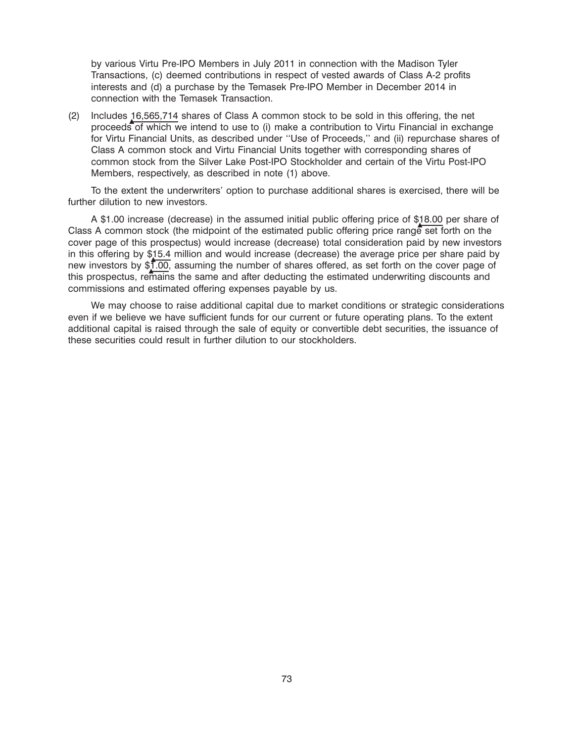by various Virtu Pre-IPO Members in July 2011 in connection with the Madison Tyler Transactions, (c) deemed contributions in respect of vested awards of Class A-2 profits interests and (d) a purchase by the Temasek Pre-IPO Member in December 2014 in connection with the Temasek Transaction.

(2) Includes 16,565,714 shares of Class A common stock to be sold in this offering, the net proceeds of which we intend to use to (i) make a contribution to Virtu Financial in exchange for Virtu Financial Units, as described under ''Use of Proceeds,'' and (ii) repurchase shares of Class A common stock and Virtu Financial Units together with corresponding shares of common stock from the Silver Lake Post-IPO Stockholder and certain of the Virtu Post-IPO Members, respectively, as described in note (1) above.

To the extent the underwriters' option to purchase additional shares is exercised, there will be further dilution to new investors.

A \$1.00 increase (decrease) in the assumed initial public offering price of \$18.00 per share of Class A common stock (the midpoint of the estimated public offering price range set forth on the cover page of this prospectus) would increase (decrease) total consideration paid by new investors in this offering by \$15.4 million and would increase (decrease) the average price per share paid by new investors by \$1.00, assuming the number of shares offered, as set forth on the cover page of this prospectus, remains the same and after deducting the estimated underwriting discounts and commissions and estimated offering expenses payable by us.

We may choose to raise additional capital due to market conditions or strategic considerations even if we believe we have sufficient funds for our current or future operating plans. To the extent additional capital is raised through the sale of equity or convertible debt securities, the issuance of these securities could result in further dilution to our stockholders.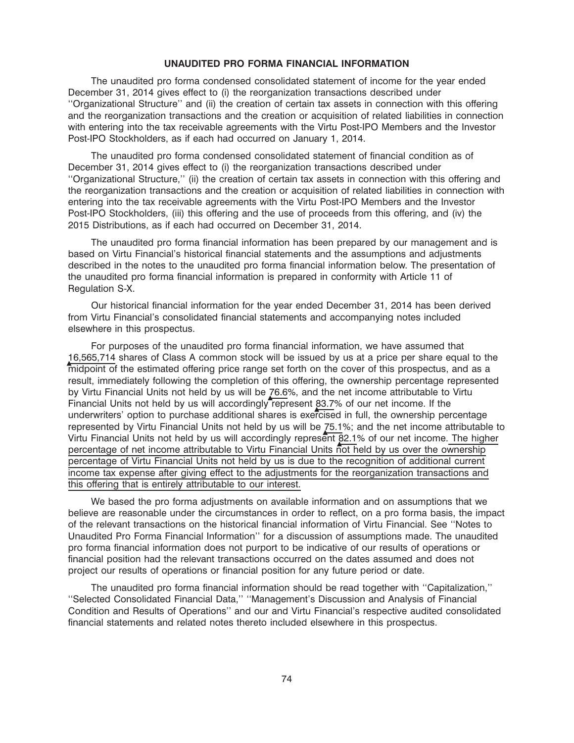### **UNAUDITED PRO FORMA FINANCIAL INFORMATION**

The unaudited pro forma condensed consolidated statement of income for the year ended December 31, 2014 gives effect to (i) the reorganization transactions described under ''Organizational Structure'' and (ii) the creation of certain tax assets in connection with this offering and the reorganization transactions and the creation or acquisition of related liabilities in connection with entering into the tax receivable agreements with the Virtu Post-IPO Members and the Investor Post-IPO Stockholders, as if each had occurred on January 1, 2014.

The unaudited pro forma condensed consolidated statement of financial condition as of December 31, 2014 gives effect to (i) the reorganization transactions described under ''Organizational Structure,'' (ii) the creation of certain tax assets in connection with this offering and the reorganization transactions and the creation or acquisition of related liabilities in connection with entering into the tax receivable agreements with the Virtu Post-IPO Members and the Investor Post-IPO Stockholders, (iii) this offering and the use of proceeds from this offering, and (iv) the 2015 Distributions, as if each had occurred on December 31, 2014.

The unaudited pro forma financial information has been prepared by our management and is based on Virtu Financial's historical financial statements and the assumptions and adjustments described in the notes to the unaudited pro forma financial information below. The presentation of the unaudited pro forma financial information is prepared in conformity with Article 11 of Regulation S-X.

Our historical financial information for the year ended December 31, 2014 has been derived from Virtu Financial's consolidated financial statements and accompanying notes included elsewhere in this prospectus.

For purposes of the unaudited pro forma financial information, we have assumed that 16,565,714 shares of Class A common stock will be issued by us at a price per share equal to the midpoint of the estimated offering price range set forth on the cover of this prospectus, and as a result, immediately following the completion of this offering, the ownership percentage represented by Virtu Financial Units not held by us will be 76.6%, and the net income attributable to Virtu Financial Units not held by us will accordingly represent 83.7% of our net income. If the underwriters' option to purchase additional shares is exercised in full, the ownership percentage represented by Virtu Financial Units not held by us will be 75.1%; and the net income attributable to Virtu Financial Units not held by us will accordingly represent 82.1% of our net income. The higher percentage of net income attributable to Virtu Financial Units not held by us over the ownership percentage of Virtu Financial Units not held by us is due to the recognition of additional current income tax expense after giving effect to the adjustments for the reorganization transactions and this offering that is entirely attributable to our interest.

We based the pro forma adjustments on available information and on assumptions that we believe are reasonable under the circumstances in order to reflect, on a pro forma basis, the impact of the relevant transactions on the historical financial information of Virtu Financial. See ''Notes to Unaudited Pro Forma Financial Information'' for a discussion of assumptions made. The unaudited pro forma financial information does not purport to be indicative of our results of operations or financial position had the relevant transactions occurred on the dates assumed and does not project our results of operations or financial position for any future period or date.

The unaudited pro forma financial information should be read together with ''Capitalization,'' ''Selected Consolidated Financial Data,'' ''Management's Discussion and Analysis of Financial Condition and Results of Operations'' and our and Virtu Financial's respective audited consolidated financial statements and related notes thereto included elsewhere in this prospectus.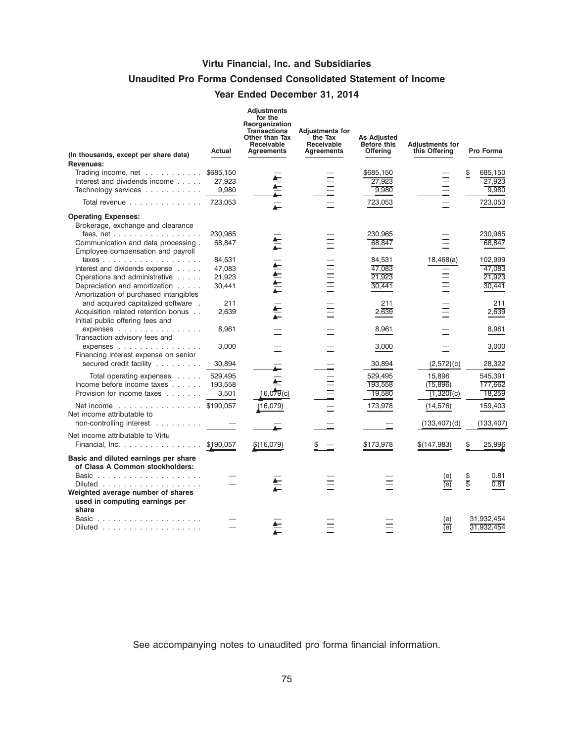# **Virtu Financial, Inc. and Subsidiaries**

# **Unaudited Pro Forma Condensed Consolidated Statement of Income**

# **Year Ended December 31, 2014**

| (In thousands, except per share data)                                                                                                                            | Actual                       | <b>Adjustments</b><br>for the<br>Reorganization<br><b>Transactions</b><br>Other than Tax<br>Receivable<br>Agreements | <b>Adiustments for</b><br>the Tax<br>Receivable<br><b>Agreements</b> | As Adjusted<br><b>Before this</b><br><b>Offering</b> | <b>Adiustments for</b><br>this Offering | Pro Forma                                       |
|------------------------------------------------------------------------------------------------------------------------------------------------------------------|------------------------------|----------------------------------------------------------------------------------------------------------------------|----------------------------------------------------------------------|------------------------------------------------------|-----------------------------------------|-------------------------------------------------|
| <b>Revenues:</b>                                                                                                                                                 |                              |                                                                                                                      |                                                                      |                                                      |                                         |                                                 |
| Trading income, net $\ldots \ldots \ldots$<br>Interest and dividends income<br>Technology services                                                               | \$685.150<br>27,923<br>9,980 |                                                                                                                      |                                                                      | \$685,150<br>27,923<br>9,980                         |                                         | \$<br>685,150<br>27,923<br>9,980                |
| Total revenue                                                                                                                                                    | 723,053                      |                                                                                                                      |                                                                      | 723,053                                              |                                         | 723,053                                         |
| <b>Operating Expenses:</b><br>Brokerage, exchange and clearance<br>fees, net<br>Communication and data processing.                                               | 230,965<br>68,847            |                                                                                                                      |                                                                      | 230,965<br>68,847                                    |                                         | 230,965<br>68,847                               |
| Employee compensation and payroll                                                                                                                                | 84,531                       |                                                                                                                      |                                                                      | 84,531                                               | 18,468(a)                               | 102,999                                         |
| Interest and dividends expense<br>Operations and administrative<br>Depreciation and amortization<br>Amortization of purchased intangibles                        | 47,083<br>21,923<br>30,441   |                                                                                                                      |                                                                      | 47.083<br>21,923<br>30.441                           |                                         | 47.083<br>21,923<br>30.441                      |
| and acquired capitalized software .<br>Acquisition related retention bonus<br>Initial public offering fees and                                                   | 211<br>2,639                 |                                                                                                                      |                                                                      | 211<br>2,639                                         |                                         | 211<br>2,639                                    |
| $expenses$<br>Transaction advisory fees and                                                                                                                      | 8,961                        |                                                                                                                      |                                                                      | 8,961                                                |                                         | 8,961                                           |
| $expenses$<br>Financing interest expense on senior<br>secured credit facility                                                                                    | 3,000<br>30,894              |                                                                                                                      |                                                                      | 3,000<br>30,894                                      | $(2,572)$ (b)                           | 3,000<br>28,322                                 |
| Total operating expenses<br>Income before income taxes<br>Provision for income taxes                                                                             | 529,495<br>193,558<br>3,501  | 16,079(c)                                                                                                            |                                                                      | 529,495<br>193.558<br>19.580                         | 15.896<br>(15,896)<br>(1,320)(c)        | 545,391<br>177,662<br>18,259                    |
| Net income $\ldots$ , $\ldots$ , $\ldots$ , $\ldots$<br>Net income attributable to<br>non-controlling interest                                                   | \$190,057                    | (16,079                                                                                                              |                                                                      | 173,978                                              | (14, 576)<br>(133,407)(d)               | 159,403<br>(133,407)                            |
| Net income attributable to Virtu                                                                                                                                 |                              |                                                                                                                      |                                                                      |                                                      |                                         |                                                 |
| Financial, Inc.                                                                                                                                                  | \$190,057                    | \$(16,079)                                                                                                           |                                                                      | \$173,978                                            | \$(147,983)                             | \$<br>25,996<br>÷                               |
| Basic and diluted earnings per share<br>of Class A Common stockholders:                                                                                          |                              |                                                                                                                      |                                                                      |                                                      |                                         |                                                 |
| Basic<br>Diluted $\ldots$ , $\ldots$ , $\ldots$ , $\ldots$ , $\ldots$ , $\ldots$<br>Weighted average number of shares<br>used in computing earnings per<br>share |                              |                                                                                                                      |                                                                      |                                                      | (e)<br>$\overline{e}$                   | \$<br>0.81<br>$\overline{\mathfrak{F}}$<br>0.81 |
| Basic                                                                                                                                                            |                              |                                                                                                                      |                                                                      |                                                      | (e)<br>(e)                              | 31,932,454<br>31,932,454                        |

See accompanying notes to unaudited pro forma financial information.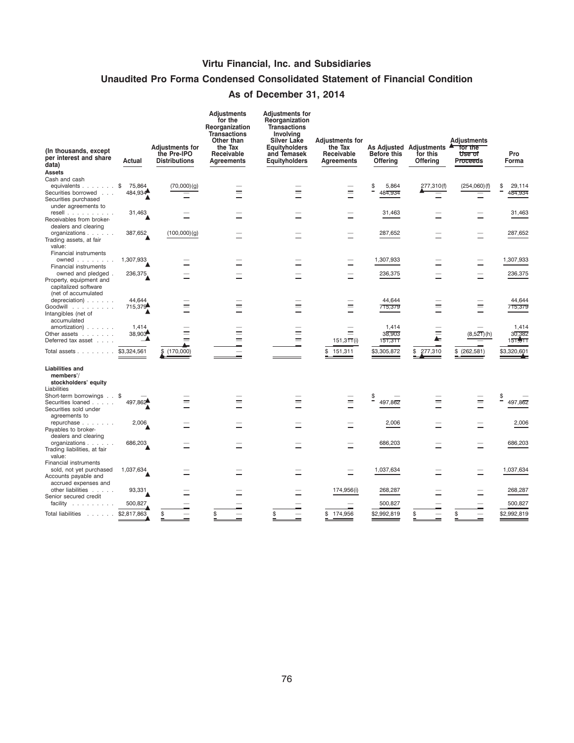# **Virtu Financial, Inc. and Subsidiaries**

# **Unaudited Pro Forma Condensed Consolidated Statement of Financial Condition**

# **As of December 31, 2014**

| (In thousands, except<br>per interest and share<br>data)<br><b>Assets</b>  | Actual                  | <b>Adjustments for</b><br>the Pre-IPO<br><b>Distributions</b> | <b>Adjustments</b><br>for the<br>Reorganization<br><b>Transactions</b><br>Other than<br>the Tax<br>Receivable<br>Agreements | <b>Adjustments for</b><br>Reorganization<br><b>Transactions</b><br>Involvina<br><b>Silver Lake</b><br><b>Equityholders</b><br>and Temasek<br>Equityholders | <b>Adjustments for</b><br>the Tax<br>Receivable<br><b>Agreements</b> | <b>Before this</b><br>Offering | As Adjusted Adjustments<br>for this<br>Offering | <b>Adjustments</b><br>for the<br>Use of<br><b>Proceeds</b> | Pro<br>Forma            |
|----------------------------------------------------------------------------|-------------------------|---------------------------------------------------------------|-----------------------------------------------------------------------------------------------------------------------------|------------------------------------------------------------------------------------------------------------------------------------------------------------|----------------------------------------------------------------------|--------------------------------|-------------------------------------------------|------------------------------------------------------------|-------------------------|
| Cash and cash                                                              |                         |                                                               |                                                                                                                             |                                                                                                                                                            |                                                                      |                                |                                                 |                                                            |                         |
| equivalents<br>Securities borrowed                                         | 75,864<br>\$<br>484,934 | (70,000)(q)                                                   | $=$                                                                                                                         | $=$                                                                                                                                                        | $=$                                                                  | \$<br>5,864<br>484,934         | 277,310(f)                                      | $(254,060)$ (f)                                            | \$<br>29,114<br>484,934 |
| Securities purchased                                                       |                         |                                                               |                                                                                                                             |                                                                                                                                                            |                                                                      |                                |                                                 |                                                            |                         |
| under agreements to                                                        |                         |                                                               |                                                                                                                             |                                                                                                                                                            |                                                                      |                                |                                                 |                                                            |                         |
| $resell \ldots \ldots \ldots$<br>Receivables from broker-                  | 31,463                  |                                                               |                                                                                                                             |                                                                                                                                                            |                                                                      | 31,463                         |                                                 |                                                            | 31,463                  |
| dealers and clearing                                                       |                         |                                                               |                                                                                                                             |                                                                                                                                                            |                                                                      |                                |                                                 |                                                            |                         |
| organizations                                                              | 387,652                 | (100,000)(g)                                                  |                                                                                                                             |                                                                                                                                                            |                                                                      | 287,652                        |                                                 |                                                            | 287,652                 |
| Trading assets, at fair                                                    |                         |                                                               |                                                                                                                             |                                                                                                                                                            |                                                                      |                                |                                                 |                                                            |                         |
| value:                                                                     |                         |                                                               |                                                                                                                             |                                                                                                                                                            |                                                                      |                                |                                                 |                                                            |                         |
| <b>Financial instruments</b><br>owned $\ldots$                             | 1,307,933               |                                                               |                                                                                                                             |                                                                                                                                                            |                                                                      | 1,307,933                      |                                                 |                                                            | 1,307,933               |
| Financial instruments                                                      |                         |                                                               |                                                                                                                             |                                                                                                                                                            |                                                                      |                                |                                                 |                                                            |                         |
| owned and pledged.                                                         | 236,375                 |                                                               |                                                                                                                             |                                                                                                                                                            |                                                                      | 236,375                        |                                                 |                                                            | 236,375                 |
| Property, equipment and                                                    |                         |                                                               |                                                                                                                             |                                                                                                                                                            |                                                                      |                                |                                                 |                                                            |                         |
| capitalized software<br>(net of accumulated                                |                         |                                                               |                                                                                                                             |                                                                                                                                                            |                                                                      |                                |                                                 |                                                            |                         |
| depreciation) $\ldots$                                                     | 44,644                  |                                                               |                                                                                                                             |                                                                                                                                                            |                                                                      | 44,644                         |                                                 |                                                            | 44,644                  |
| Goodwill                                                                   | 715,379                 | =                                                             | $=$                                                                                                                         |                                                                                                                                                            |                                                                      | 715,379                        | =                                               | =                                                          | 715,379                 |
| Intangibles (net of                                                        |                         |                                                               |                                                                                                                             |                                                                                                                                                            |                                                                      |                                |                                                 |                                                            |                         |
| accumulated                                                                |                         |                                                               |                                                                                                                             |                                                                                                                                                            |                                                                      |                                |                                                 |                                                            |                         |
| amortization)<br>Other assets                                              | 1,414<br>38,903         | $=$                                                           | $=$                                                                                                                         | $=$                                                                                                                                                        | -                                                                    | 1.414<br>38,903                | $=$                                             | (8,52T)(h)                                                 | 1,414<br>30,382         |
| Deferred tax asset                                                         |                         | $=$                                                           | $=$                                                                                                                         | $=$                                                                                                                                                        | 151,3TT(i)                                                           | 151,311                        | ◣                                               |                                                            | 151,511                 |
| Total assets                                                               | \$3,324,561             | ┶<br>(170,000)<br>\$                                          |                                                                                                                             |                                                                                                                                                            | \$<br>151,311                                                        | \$3,305,872                    | 277,310<br>\$                                   | \$ (262, 581)                                              | \$3,320,601             |
|                                                                            |                         |                                                               |                                                                                                                             |                                                                                                                                                            |                                                                      |                                |                                                 |                                                            |                         |
| <b>Liabilities and</b><br>members'/<br>stockholders' equity<br>Liabilities |                         |                                                               |                                                                                                                             |                                                                                                                                                            |                                                                      |                                |                                                 |                                                            |                         |
| Short-term borrowings \$<br>Securities loaned                              | 497,862                 | =                                                             | $=$                                                                                                                         | $=$                                                                                                                                                        | $=$                                                                  | \$<br>497,862                  | =                                               | $=$                                                        | 497,862                 |
| Securities sold under<br>agreements to                                     |                         |                                                               |                                                                                                                             |                                                                                                                                                            |                                                                      |                                |                                                 |                                                            |                         |
| repurchase                                                                 | 2,006                   |                                                               |                                                                                                                             |                                                                                                                                                            |                                                                      | 2,006                          |                                                 |                                                            | 2,006                   |
| Payables to broker-                                                        |                         |                                                               |                                                                                                                             |                                                                                                                                                            |                                                                      |                                |                                                 |                                                            |                         |
| dealers and clearing                                                       |                         |                                                               |                                                                                                                             |                                                                                                                                                            |                                                                      |                                |                                                 |                                                            |                         |
| organizations<br>Trading liabilities, at fair<br>value:                    | 686,203                 |                                                               |                                                                                                                             |                                                                                                                                                            |                                                                      | 686,203                        |                                                 |                                                            | 686,203                 |
| <b>Financial instruments</b>                                               |                         |                                                               |                                                                                                                             |                                                                                                                                                            |                                                                      |                                |                                                 |                                                            |                         |
| sold, not yet purchased<br>Accounts payable and                            | 1,037,634               |                                                               |                                                                                                                             |                                                                                                                                                            |                                                                      | 1,037,634                      |                                                 |                                                            | 1,037,634               |
| accrued expenses and                                                       |                         |                                                               |                                                                                                                             |                                                                                                                                                            |                                                                      |                                |                                                 |                                                            |                         |
| other liabilities                                                          | 93,331                  |                                                               |                                                                                                                             |                                                                                                                                                            | 174,956(i)                                                           | 268,287                        |                                                 |                                                            | 268,287                 |
| Senior secured credit                                                      |                         |                                                               |                                                                                                                             |                                                                                                                                                            |                                                                      |                                |                                                 |                                                            |                         |
| facility                                                                   | 500,827                 |                                                               |                                                                                                                             |                                                                                                                                                            |                                                                      | 500,827                        |                                                 |                                                            | 500,827                 |
| Total liabilities                                                          | \$2,817,863             |                                                               | \$                                                                                                                          | \$                                                                                                                                                         | 174,956<br>\$                                                        | \$2,992,819                    | \$                                              | \$                                                         | \$2,992,819             |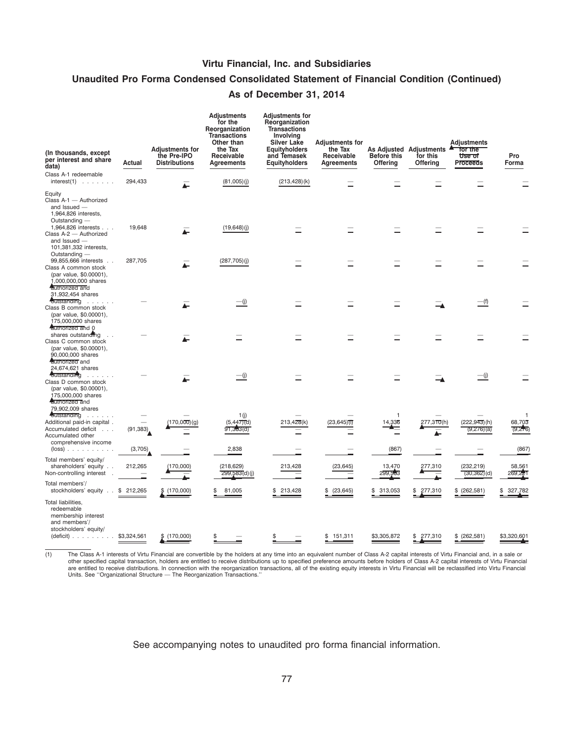# **Virtu Financial, Inc. and Subsidiaries**

# **Unaudited Pro Forma Condensed Consolidated Statement of Financial Condition (Continued) As of December 31, 2014**

| (In thousands, except<br>per interest and share<br>data)                                                                                                                | Actual      | <b>Adjustments for</b><br>the Pre-IPO<br><b>Distributions</b> | Adjustments<br>for the<br>Reorganization<br><b>Transactions</b><br>Other than<br>the Tax<br>Receivable<br>Agreements | <b>Adjustments for</b><br>Reorganization<br><b>Transactions</b><br>Involving<br><b>Silver Lake</b><br><b>Equityholders</b><br>and Temasek<br><b>Equityholders</b> | <b>Adjustments for</b><br>the Tax<br>Receivable<br><b>Agreements</b> | <b>Before this</b><br>Offering | As Adjusted Adjustments<br>for this<br>Offering | Adjustments<br>for the<br>Use of<br><b>Proceeds</b> | Pro<br>Forma                      |
|-------------------------------------------------------------------------------------------------------------------------------------------------------------------------|-------------|---------------------------------------------------------------|----------------------------------------------------------------------------------------------------------------------|-------------------------------------------------------------------------------------------------------------------------------------------------------------------|----------------------------------------------------------------------|--------------------------------|-------------------------------------------------|-----------------------------------------------------|-----------------------------------|
| Class A-1 redeemable<br>$interest(1) \ldots \ldots$                                                                                                                     | 294,433     |                                                               | $(81,005)$ (j)                                                                                                       | $(213, 428)$ (k)                                                                                                                                                  |                                                                      |                                |                                                 |                                                     |                                   |
| Equity<br>Class A-1 - Authorized<br>and Issued -<br>1,964,826 interests,<br>Outstanding —                                                                               |             | ┶                                                             |                                                                                                                      |                                                                                                                                                                   |                                                                      |                                |                                                 |                                                     |                                   |
| 1,964,826 interests<br>Class A-2 - Authorized<br>and Issued -<br>101,381,332 interests,<br>Outstanding -                                                                | 19,648      | ┶                                                             | $(19,648)$ (j)                                                                                                       |                                                                                                                                                                   |                                                                      |                                |                                                 |                                                     |                                   |
| 99,855,666 interests<br>Class A common stock<br>(par value, \$0.00001),<br>1,000,000,000 shares<br>authorized and<br>31,932,454 shares                                  | 287,705     | ▴                                                             | $(287, 705)$ (j)                                                                                                     |                                                                                                                                                                   |                                                                      |                                |                                                 |                                                     |                                   |
| outstanding<br>Class B common stock<br>(par value, \$0.00001),<br>175,000,000 shares<br>authorized and 0                                                                |             |                                                               | —(j)                                                                                                                 |                                                                                                                                                                   |                                                                      |                                |                                                 | —(f)                                                |                                   |
| shares outstanding<br>Class C common stock<br>(par value, \$0.00001),<br>90,000,000 shares<br>authorized and<br>24,674,621 shares                                       |             |                                                               |                                                                                                                      |                                                                                                                                                                   |                                                                      |                                |                                                 |                                                     |                                   |
| outstanding<br>Class D common stock<br>(par value, \$0.00001),<br>175,000,000 shares<br>authorized and<br>79,902,009 shares                                             |             |                                                               | -(j)                                                                                                                 |                                                                                                                                                                   |                                                                      |                                |                                                 | —(j)                                                |                                   |
| outstanding<br>Additional paid-in capital.<br>Accumulated deficit<br>Accumulated other<br>comprehensive income                                                          | (91, 383)   | (170,000)(g)                                                  | 1(j)<br>(5,447)(d)<br>91,363(d)                                                                                      | 213,428(k)                                                                                                                                                        | $(23, 645)$ (T)                                                      | 1<br>14,336                    | 77,310(h)                                       | $(222, 943)$ (h)<br>(9,276) (a)                     | $\mathbf{1}$<br>68,703<br>(9,276) |
| $(\text{loss})$                                                                                                                                                         | (3,705)     |                                                               | 2,838                                                                                                                |                                                                                                                                                                   |                                                                      | (867)                          |                                                 |                                                     | (867)                             |
| Total members' equity/<br>shareholders' equity<br>Non-controlling interest                                                                                              | 212,265     | 170,000)                                                      | (218, 629)<br>299,583(d)(j)                                                                                          | 213,428                                                                                                                                                           | (23, 645)                                                            | 13,470<br>299,563              | 277,310                                         | (232, 219)<br>$(30, 362)$ (d)                       | 58,561<br>269,221                 |
| Total members'/<br>stockholders' equity                                                                                                                                 | \$212,265   | \$(170,000)                                                   | 81,005<br>\$                                                                                                         | 213,428<br>\$                                                                                                                                                     | (23, 645)<br>\$                                                      | \$313,053                      | 277,310<br>\$                                   | \$ (262, 581)                                       | 327,782<br>\$                     |
| Total liabilities.<br>redeemable<br>membership interest<br>and members'/<br>stockholders' equity/<br>$(\text{deficit}) \cdot \cdot \cdot \cdot \cdot \cdot \cdot \cdot$ | \$3,324,561 | (170,000)<br>\$                                               | \$                                                                                                                   | \$                                                                                                                                                                | \$<br>151,311                                                        | \$3,305,872                    | \$<br>277,310                                   | \$ (262, 581)                                       | \$3,320,601                       |

 $(1)$  The Class A-1 interests of Virtu Financial are convertible by the holders at any time into an equivalent number of Class A-2 capital interests of Virtu Financial and, in a sale or other specified capital transaction, holders are entitled to receive distributions up to specified preference amounts before holders of Class A-2 capital interests of Virtu Financial<br>are entitled to receive distributions.

See accompanying notes to unaudited pro forma financial information.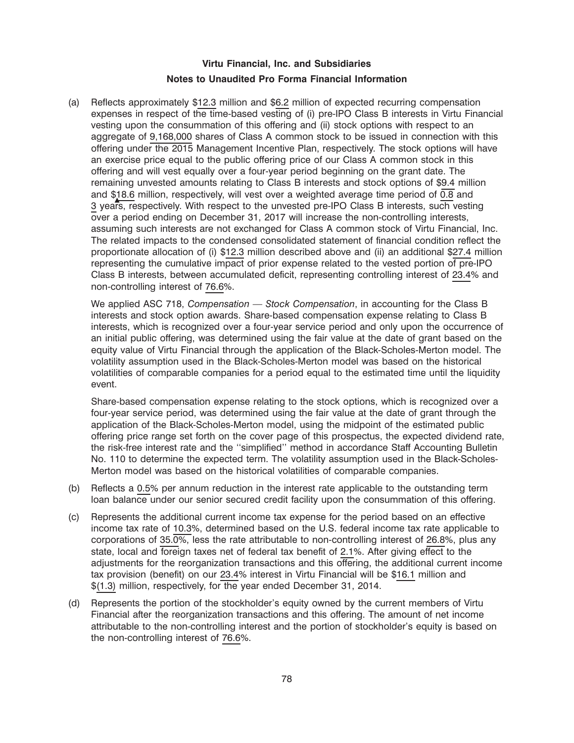(a) Reflects approximately \$12.3 million and \$6.2 million of expected recurring compensation expenses in respect of the time-based vesting of (i) pre-IPO Class B interests in Virtu Financial vesting upon the consummation of this offering and (ii) stock options with respect to an aggregate of 9,168,000 shares of Class A common stock to be issued in connection with this offering under the 2015 Management Incentive Plan, respectively. The stock options will have an exercise price equal to the public offering price of our Class A common stock in this offering and will vest equally over a four-year period beginning on the grant date. The remaining unvested amounts relating to Class B interests and stock options of \$9.4 million and \$18.6 million, respectively, will vest over a weighted average time period of 0.8 and 3 years, respectively. With respect to the unvested pre-IPO Class B interests, such vesting over a period ending on December 31, 2017 will increase the non-controlling interests, assuming such interests are not exchanged for Class A common stock of Virtu Financial, Inc. The related impacts to the condensed consolidated statement of financial condition reflect the proportionate allocation of (i) \$12.3 million described above and (ii) an additional \$27.4 million representing the cumulative impact of prior expense related to the vested portion of pre-IPO Class B interests, between accumulated deficit, representing controlling interest of 23.4% and non-controlling interest of 76.6%.

We applied ASC 718, *Compensation — Stock Compensation*, in accounting for the Class B interests and stock option awards. Share-based compensation expense relating to Class B interests, which is recognized over a four-year service period and only upon the occurrence of an initial public offering, was determined using the fair value at the date of grant based on the equity value of Virtu Financial through the application of the Black-Scholes-Merton model. The volatility assumption used in the Black-Scholes-Merton model was based on the historical volatilities of comparable companies for a period equal to the estimated time until the liquidity event.

Share-based compensation expense relating to the stock options, which is recognized over a four-year service period, was determined using the fair value at the date of grant through the application of the Black-Scholes-Merton model, using the midpoint of the estimated public offering price range set forth on the cover page of this prospectus, the expected dividend rate, the risk-free interest rate and the ''simplified'' method in accordance Staff Accounting Bulletin No. 110 to determine the expected term. The volatility assumption used in the Black-Scholes-Merton model was based on the historical volatilities of comparable companies.

- (b) Reflects a 0.5% per annum reduction in the interest rate applicable to the outstanding term loan balance under our senior secured credit facility upon the consummation of this offering.
- (c) Represents the additional current income tax expense for the period based on an effective income tax rate of 10.3%, determined based on the U.S. federal income tax rate applicable to corporations of 35.0%, less the rate attributable to non-controlling interest of 26.8%, plus any state, local and foreign taxes net of federal tax benefit of 2.1%. After giving effect to the adjustments for the reorganization transactions and this offering, the additional current income tax provision (benefit) on our 23.4% interest in Virtu Financial will be \$16.1 million and \$(1.3) million, respectively, for the year ended December 31, 2014.
- (d) Represents the portion of the stockholder's equity owned by the current members of Virtu Financial after the reorganization transactions and this offering. The amount of net income attributable to the non-controlling interest and the portion of stockholder's equity is based on the non-controlling interest of 76.6%.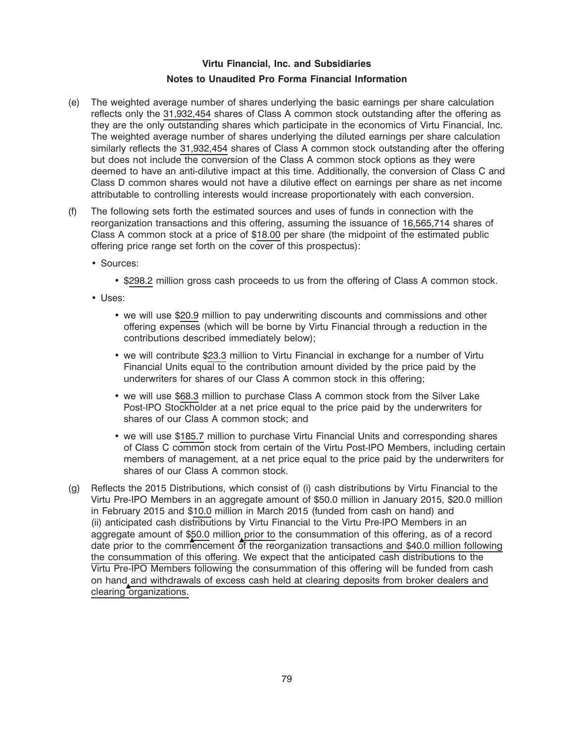- (e) The weighted average number of shares underlying the basic earnings per share calculation reflects only the 31,932,454 shares of Class A common stock outstanding after the offering as they are the only outstanding shares which participate in the economics of Virtu Financial, Inc. The weighted average number of shares underlying the diluted earnings per share calculation similarly reflects the 31,932,454 shares of Class A common stock outstanding after the offering but does not include the conversion of the Class A common stock options as they were deemed to have an anti-dilutive impact at this time. Additionally, the conversion of Class C and Class D common shares would not have a dilutive effect on earnings per share as net income attributable to controlling interests would increase proportionately with each conversion.
- (f) The following sets forth the estimated sources and uses of funds in connection with the reorganization transactions and this offering, assuming the issuance of 16,565,714 shares of Class A common stock at a price of \$18.00 per share (the midpoint of the estimated public offering price range set forth on the cover of this prospectus):
	- Sources:
		- \$298.2 million gross cash proceeds to us from the offering of Class A common stock.
	- Uses:
		- we will use \$20.9 million to pay underwriting discounts and commissions and other offering expenses (which will be borne by Virtu Financial through a reduction in the contributions described immediately below);
		- we will contribute \$23.3 million to Virtu Financial in exchange for a number of Virtu Financial Units equal to the contribution amount divided by the price paid by the underwriters for shares of our Class A common stock in this offering;
		- we will use \$68.3 million to purchase Class A common stock from the Silver Lake Post-IPO Stockholder at a net price equal to the price paid by the underwriters for shares of our Class A common stock; and
		- we will use \$185.7 million to purchase Virtu Financial Units and corresponding shares of Class C common stock from certain of the Virtu Post-IPO Members, including certain members of management, at a net price equal to the price paid by the underwriters for shares of our Class A common stock.
- (g) Reflects the 2015 Distributions, which consist of (i) cash distributions by Virtu Financial to the Virtu Pre-IPO Members in an aggregate amount of \$50.0 million in January 2015, \$20.0 million in February 2015 and \$10.0 million in March 2015 (funded from cash on hand) and (ii) anticipated cash distributions by Virtu Financial to the Virtu Pre-IPO Members in an aggregate amount of \$50.0 million prior to the consummation of this offering, as of a record date prior to the commencement of the reorganization transactions and \$40.0 million following the consummation of this offering. We expect that the anticipated cash distributions to the Virtu Pre-IPO Members following the consummation of this offering will be funded from cash on hand and withdrawals of excess cash held at clearing deposits from broker dealers and clearing organizations.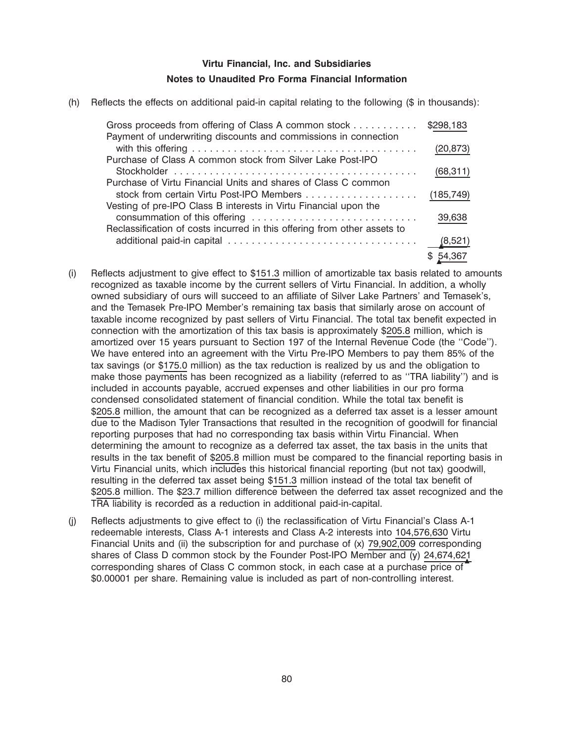(h) Reflects the effects on additional paid-in capital relating to the following (\$ in thousands):

| Gross proceeds from offering of Class A common stock                     | \$298,183  |
|--------------------------------------------------------------------------|------------|
| Payment of underwriting discounts and commissions in connection          |            |
|                                                                          | (20,873)   |
| Purchase of Class A common stock from Silver Lake Post-IPO               |            |
|                                                                          | (68,311)   |
| Purchase of Virtu Financial Units and shares of Class C common           |            |
|                                                                          | (185, 749) |
| Vesting of pre-IPO Class B interests in Virtu Financial upon the         |            |
|                                                                          | 39,638     |
| Reclassification of costs incurred in this offering from other assets to |            |
|                                                                          | (8,521     |
|                                                                          | \$ 54,367  |

- (i) Reflects adjustment to give effect to \$151.3 million of amortizable tax basis related to amounts recognized as taxable income by the current sellers of Virtu Financial. In addition, a wholly owned subsidiary of ours will succeed to an affiliate of Silver Lake Partners' and Temasek's, and the Temasek Pre-IPO Member's remaining tax basis that similarly arose on account of taxable income recognized by past sellers of Virtu Financial. The total tax benefit expected in connection with the amortization of this tax basis is approximately \$205.8 million, which is amortized over 15 years pursuant to Section 197 of the Internal Revenue Code (the ''Code''). We have entered into an agreement with the Virtu Pre-IPO Members to pay them 85% of the tax savings (or \$175.0 million) as the tax reduction is realized by us and the obligation to make those payments has been recognized as a liability (referred to as ''TRA liability'') and is included in accounts payable, accrued expenses and other liabilities in our pro forma condensed consolidated statement of financial condition. While the total tax benefit is \$205.8 million, the amount that can be recognized as a deferred tax asset is a lesser amount due to the Madison Tyler Transactions that resulted in the recognition of goodwill for financial reporting purposes that had no corresponding tax basis within Virtu Financial. When determining the amount to recognize as a deferred tax asset, the tax basis in the units that results in the tax benefit of \$205.8 million must be compared to the financial reporting basis in Virtu Financial units, which includes this historical financial reporting (but not tax) goodwill, resulting in the deferred tax asset being \$151.3 million instead of the total tax benefit of \$205.8 million. The \$23.7 million difference between the deferred tax asset recognized and the TRA liability is recorded as a reduction in additional paid-in-capital.
- (j) Reflects adjustments to give effect to (i) the reclassification of Virtu Financial's Class A-1 redeemable interests, Class A-1 interests and Class A-2 interests into 104,576,630 Virtu Financial Units and (ii) the subscription for and purchase of (x) 79,902,009 corresponding shares of Class D common stock by the Founder Post-IPO Member and (y) 24,674,621 corresponding shares of Class C common stock, in each case at a purchase price of \$0.00001 per share. Remaining value is included as part of non-controlling interest.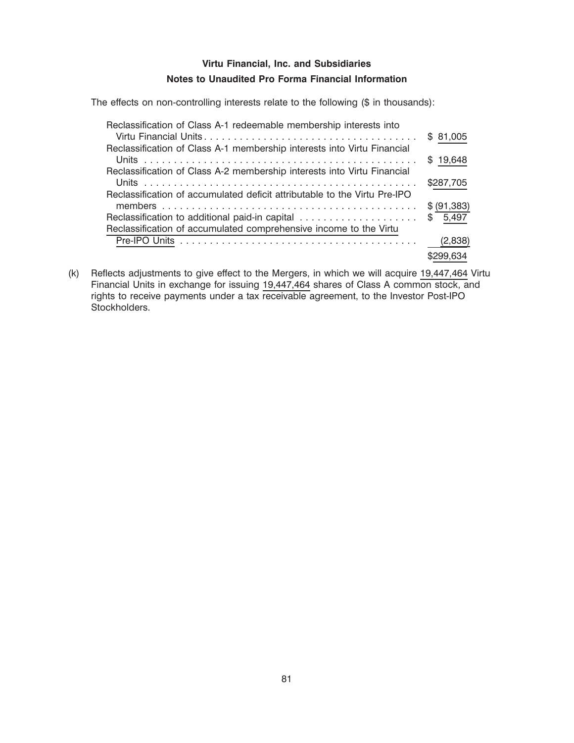The effects on non-controlling interests relate to the following (\$ in thousands):

| Reclassification of Class A-1 redeemable membership interests into                           |              |
|----------------------------------------------------------------------------------------------|--------------|
|                                                                                              | \$81,005     |
| Reclassification of Class A-1 membership interests into Virtu Financial                      |              |
|                                                                                              | \$19,648     |
| Reclassification of Class A-2 membership interests into Virtu Financial                      |              |
|                                                                                              | \$287,705    |
| Reclassification of accumulated deficit attributable to the Virtu Pre-IPO                    |              |
|                                                                                              | \$ (91, 383) |
| Reclassification to additional paid-in capital $\ldots \ldots \ldots \ldots \ldots$ \$ 5,497 |              |
| Reclassification of accumulated comprehensive income to the Virtu                            |              |
|                                                                                              | (2,838)      |
|                                                                                              | \$299.634    |

(k) Reflects adjustments to give effect to the Mergers, in which we will acquire 19,447,464 Virtu Financial Units in exchange for issuing 19,447,464 shares of Class A common stock, and rights to receive payments under a tax receivable agreement, to the Investor Post-IPO Stockholders.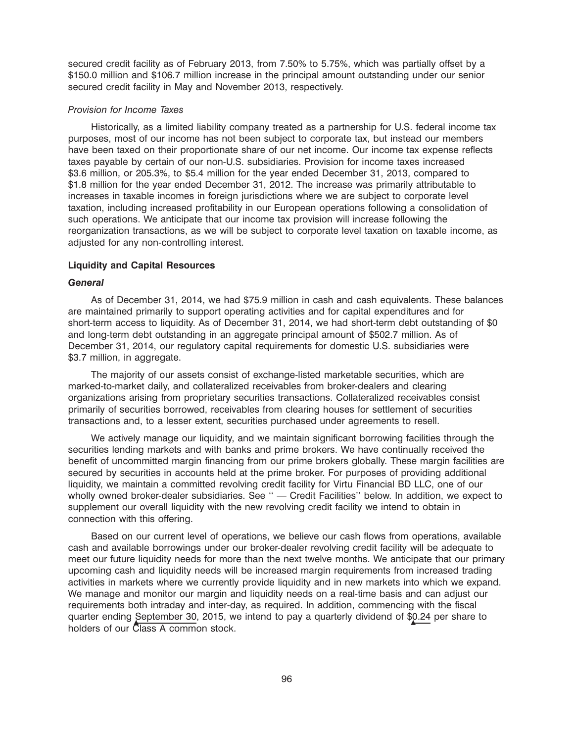secured credit facility as of February 2013, from 7.50% to 5.75%, which was partially offset by a \$150.0 million and \$106.7 million increase in the principal amount outstanding under our senior secured credit facility in May and November 2013, respectively.

### *Provision for Income Taxes*

Historically, as a limited liability company treated as a partnership for U.S. federal income tax purposes, most of our income has not been subject to corporate tax, but instead our members have been taxed on their proportionate share of our net income. Our income tax expense reflects taxes payable by certain of our non-U.S. subsidiaries. Provision for income taxes increased \$3.6 million, or 205.3%, to \$5.4 million for the year ended December 31, 2013, compared to \$1.8 million for the year ended December 31, 2012. The increase was primarily attributable to increases in taxable incomes in foreign jurisdictions where we are subject to corporate level taxation, including increased profitability in our European operations following a consolidation of such operations. We anticipate that our income tax provision will increase following the reorganization transactions, as we will be subject to corporate level taxation on taxable income, as adjusted for any non-controlling interest.

### **Liquidity and Capital Resources**

#### *General*

As of December 31, 2014, we had \$75.9 million in cash and cash equivalents. These balances are maintained primarily to support operating activities and for capital expenditures and for short-term access to liquidity. As of December 31, 2014, we had short-term debt outstanding of \$0 and long-term debt outstanding in an aggregate principal amount of \$502.7 million. As of December 31, 2014, our regulatory capital requirements for domestic U.S. subsidiaries were \$3.7 million, in aggregate.

The majority of our assets consist of exchange-listed marketable securities, which are marked-to-market daily, and collateralized receivables from broker-dealers and clearing organizations arising from proprietary securities transactions. Collateralized receivables consist primarily of securities borrowed, receivables from clearing houses for settlement of securities transactions and, to a lesser extent, securities purchased under agreements to resell.

We actively manage our liquidity, and we maintain significant borrowing facilities through the securities lending markets and with banks and prime brokers. We have continually received the benefit of uncommitted margin financing from our prime brokers globally. These margin facilities are secured by securities in accounts held at the prime broker. For purposes of providing additional liquidity, we maintain a committed revolving credit facility for Virtu Financial BD LLC, one of our wholly owned broker-dealer subsidiaries. See " — Credit Facilities" below. In addition, we expect to supplement our overall liquidity with the new revolving credit facility we intend to obtain in connection with this offering.

Based on our current level of operations, we believe our cash flows from operations, available cash and available borrowings under our broker-dealer revolving credit facility will be adequate to meet our future liquidity needs for more than the next twelve months. We anticipate that our primary upcoming cash and liquidity needs will be increased margin requirements from increased trading activities in markets where we currently provide liquidity and in new markets into which we expand. We manage and monitor our margin and liquidity needs on a real-time basis and can adjust our requirements both intraday and inter-day, as required. In addition, commencing with the fiscal quarter ending September 30, 2015, we intend to pay a quarterly dividend of \$0.24 per share to holders of our Class A common stock.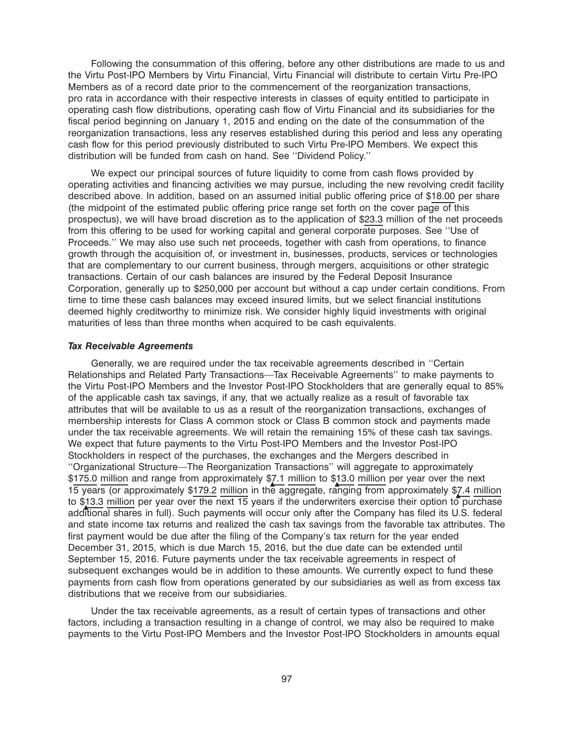Following the consummation of this offering, before any other distributions are made to us and the Virtu Post-IPO Members by Virtu Financial, Virtu Financial will distribute to certain Virtu Pre-IPO Members as of a record date prior to the commencement of the reorganization transactions, pro rata in accordance with their respective interests in classes of equity entitled to participate in operating cash flow distributions, operating cash flow of Virtu Financial and its subsidiaries for the fiscal period beginning on January 1, 2015 and ending on the date of the consummation of the reorganization transactions, less any reserves established during this period and less any operating cash flow for this period previously distributed to such Virtu Pre-IPO Members. We expect this distribution will be funded from cash on hand. See ''Dividend Policy.''

We expect our principal sources of future liquidity to come from cash flows provided by operating activities and financing activities we may pursue, including the new revolving credit facility described above. In addition, based on an assumed initial public offering price of \$18.00 per share (the midpoint of the estimated public offering price range set forth on the cover page of this prospectus), we will have broad discretion as to the application of \$23.3 million of the net proceeds from this offering to be used for working capital and general corporate purposes. See ''Use of Proceeds.'' We may also use such net proceeds, together with cash from operations, to finance growth through the acquisition of, or investment in, businesses, products, services or technologies that are complementary to our current business, through mergers, acquisitions or other strategic transactions. Certain of our cash balances are insured by the Federal Deposit Insurance Corporation, generally up to \$250,000 per account but without a cap under certain conditions. From time to time these cash balances may exceed insured limits, but we select financial institutions deemed highly creditworthy to minimize risk. We consider highly liquid investments with original maturities of less than three months when acquired to be cash equivalents.

### *Tax Receivable Agreements*

Generally, we are required under the tax receivable agreements described in ''Certain Relationships and Related Party Transactions—Tax Receivable Agreements'' to make payments to the Virtu Post-IPO Members and the Investor Post-IPO Stockholders that are generally equal to 85% of the applicable cash tax savings, if any, that we actually realize as a result of favorable tax attributes that will be available to us as a result of the reorganization transactions, exchanges of membership interests for Class A common stock or Class B common stock and payments made under the tax receivable agreements. We will retain the remaining 15% of these cash tax savings. We expect that future payments to the Virtu Post-IPO Members and the Investor Post-IPO Stockholders in respect of the purchases, the exchanges and the Mergers described in ''Organizational Structure—The Reorganization Transactions'' will aggregate to approximately \$175.0 million and range from approximately \$7.1 million to \$13.0 million per year over the next 15 years (or approximately \$179.2 million in the aggregate, ranging from approximately \$7.4 million to \$13.3 million per year over the next 15 years if the underwriters exercise their option to purchase additional shares in full). Such payments will occur only after the Company has filed its U.S. federal and state income tax returns and realized the cash tax savings from the favorable tax attributes. The first payment would be due after the filing of the Company's tax return for the year ended December 31, 2015, which is due March 15, 2016, but the due date can be extended until September 15, 2016. Future payments under the tax receivable agreements in respect of subsequent exchanges would be in addition to these amounts. We currently expect to fund these payments from cash flow from operations generated by our subsidiaries as well as from excess tax distributions that we receive from our subsidiaries.

Under the tax receivable agreements, as a result of certain types of transactions and other factors, including a transaction resulting in a change of control, we may also be required to make payments to the Virtu Post-IPO Members and the Investor Post-IPO Stockholders in amounts equal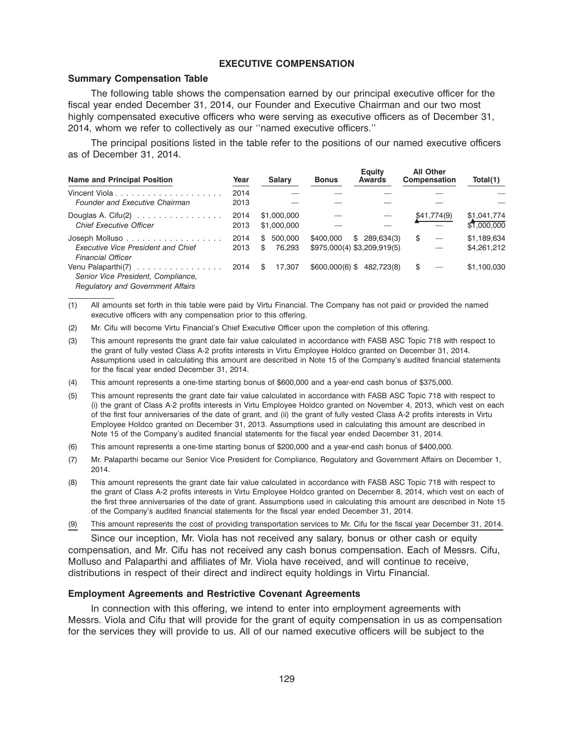# **EXECUTIVE COMPENSATION**

### **Summary Compensation Table**

The following table shows the compensation earned by our principal executive officer for the fiscal year ended December 31, 2014, our Founder and Executive Chairman and our two most highly compensated executive officers who were serving as executive officers as of December 31, 2014, whom we refer to collectively as our ''named executive officers.''

The principal positions listed in the table refer to the positions of our named executive officers as of December 31, 2014.

| <b>Name and Principal Position</b>                            | Year         | <b>Salary</b>                 | <b>Bonus</b> | Equity<br><b>Awards</b>                     | <b>All Other</b><br>Compensation | Total(1)                   |
|---------------------------------------------------------------|--------------|-------------------------------|--------------|---------------------------------------------|----------------------------------|----------------------------|
|                                                               | 2014         |                               |              |                                             |                                  |                            |
| <b>Founder and Executive Chairman</b>                         | 2013         |                               |              |                                             |                                  |                            |
| <b>Chief Executive Officer</b>                                | 2014<br>2013 | \$1,000,000<br>\$1,000,000    |              |                                             | \$41,774(9)                      | \$1,041,774<br>\$1,000,000 |
| Joseph Molluso<br><b>Executive Vice President and Chief</b>   | 2014<br>2013 | 500.000<br>\$.<br>76.293<br>S | \$400,000    | \$289,634(3)<br>\$975,000(4) \$3,209,919(5) | \$                               | \$1,189,634<br>\$4,261,212 |
| <b>Financial Officer</b>                                      |              |                               |              |                                             |                                  |                            |
| Venu Palaparthi(7) 2014<br>Senior Vice President, Compliance, |              | 17.307<br>-S                  |              | $$600,000(6)$ \$ 482,723(8)                 | \$                               | \$1,100,030                |

*Regulatory and Government Affairs*

(1) All amounts set forth in this table were paid by Virtu Financial. The Company has not paid or provided the named executive officers with any compensation prior to this offering.

(2) Mr. Cifu will become Virtu Financial's Chief Executive Officer upon the completion of this offering.

(3) This amount represents the grant date fair value calculated in accordance with FASB ASC Topic 718 with respect to the grant of fully vested Class A-2 profits interests in Virtu Employee Holdco granted on December 31, 2014. Assumptions used in calculating this amount are described in Note 15 of the Company's audited financial statements for the fiscal year ended December 31, 2014.

(4) This amount represents a one-time starting bonus of \$600,000 and a year-end cash bonus of \$375,000.

(5) This amount represents the grant date fair value calculated in accordance with FASB ASC Topic 718 with respect to (i) the grant of Class A-2 profits interests in Virtu Employee Holdco granted on November 4, 2013, which vest on each of the first four anniversaries of the date of grant, and (ii) the grant of fully vested Class A-2 profits interests in Virtu Employee Holdco granted on December 31, 2013. Assumptions used in calculating this amount are described in Note 15 of the Company's audited financial statements for the fiscal year ended December 31, 2014.

(6) This amount represents a one-time starting bonus of \$200,000 and a year-end cash bonus of \$400,000.

(7) Mr. Palaparthi became our Senior Vice President for Compliance, Regulatory and Government Affairs on December 1, 2014.

(8) This amount represents the grant date fair value calculated in accordance with FASB ASC Topic 718 with respect to the grant of Class A-2 profits interests in Virtu Employee Holdco granted on December 8, 2014, which vest on each of the first three anniversaries of the date of grant. Assumptions used in calculating this amount are described in Note 15 of the Company's audited financial statements for the fiscal year ended December 31, 2014.

(9) This amount represents the cost of providing transportation services to Mr. Cifu for the fiscal year December 31, 2014.

Since our inception, Mr. Viola has not received any salary, bonus or other cash or equity compensation, and Mr. Cifu has not received any cash bonus compensation. Each of Messrs. Cifu, Molluso and Palaparthi and affiliates of Mr. Viola have received, and will continue to receive, distributions in respect of their direct and indirect equity holdings in Virtu Financial.

### **Employment Agreements and Restrictive Covenant Agreements**

In connection with this offering, we intend to enter into employment agreements with Messrs. Viola and Cifu that will provide for the grant of equity compensation in us as compensation for the services they will provide to us. All of our named executive officers will be subject to the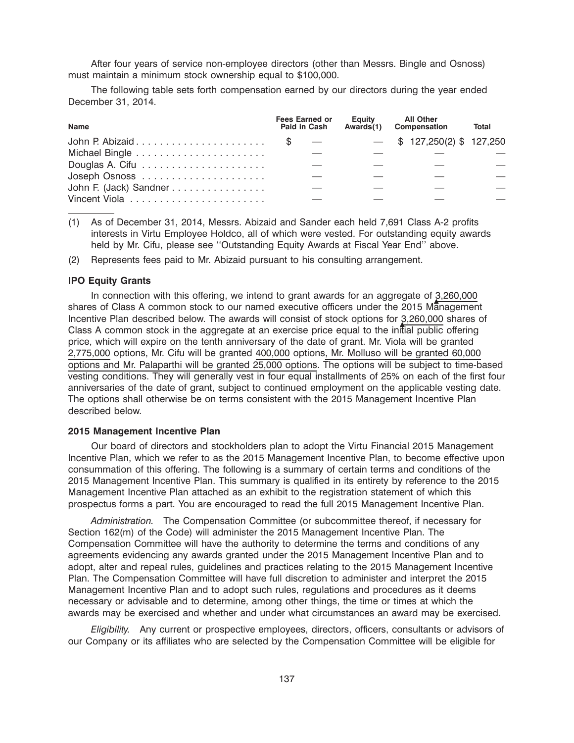After four years of service non-employee directors (other than Messrs. Bingle and Osnoss) must maintain a minimum stock ownership equal to \$100,000.

The following table sets forth compensation earned by our directors during the year ended December 31, 2014.

| <b>Name</b>            | <b>Fees Earned or</b><br>Paid in Cash |  |                              | <b>Total</b> |
|------------------------|---------------------------------------|--|------------------------------|--------------|
|                        |                                       |  | $-$ \$ 127,250(2) \$ 127,250 |              |
|                        |                                       |  |                              |              |
|                        |                                       |  |                              |              |
|                        |                                       |  |                              |              |
| John F. (Jack) Sandner |                                       |  |                              |              |
|                        |                                       |  |                              |              |

(1) As of December 31, 2014, Messrs. Abizaid and Sander each held 7,691 Class A-2 profits interests in Virtu Employee Holdco, all of which were vested. For outstanding equity awards held by Mr. Cifu, please see ''Outstanding Equity Awards at Fiscal Year End'' above.

(2) Represents fees paid to Mr. Abizaid pursuant to his consulting arrangement.

### **IPO Equity Grants**

In connection with this offering, we intend to grant awards for an aggregate of 3,260,000 shares of Class A common stock to our named executive officers under the 2015 Management Incentive Plan described below. The awards will consist of stock options for 3,260,000 shares of Class A common stock in the aggregate at an exercise price equal to the initial public offering price, which will expire on the tenth anniversary of the date of grant. Mr. Viola will be granted 2,775,000 options, Mr. Cifu will be granted 400,000 options, Mr. Molluso will be granted 60,000 options and Mr. Palaparthi will be granted 25,000 options. The options will be subject to time-based vesting conditions. They will generally vest in four equal installments of 25% on each of the first four anniversaries of the date of grant, subject to continued employment on the applicable vesting date. The options shall otherwise be on terms consistent with the 2015 Management Incentive Plan described below.

### **2015 Management Incentive Plan**

Our board of directors and stockholders plan to adopt the Virtu Financial 2015 Management Incentive Plan, which we refer to as the 2015 Management Incentive Plan, to become effective upon consummation of this offering. The following is a summary of certain terms and conditions of the 2015 Management Incentive Plan. This summary is qualified in its entirety by reference to the 2015 Management Incentive Plan attached as an exhibit to the registration statement of which this prospectus forms a part. You are encouraged to read the full 2015 Management Incentive Plan.

*Administration.* The Compensation Committee (or subcommittee thereof, if necessary for Section 162(m) of the Code) will administer the 2015 Management Incentive Plan. The Compensation Committee will have the authority to determine the terms and conditions of any agreements evidencing any awards granted under the 2015 Management Incentive Plan and to adopt, alter and repeal rules, guidelines and practices relating to the 2015 Management Incentive Plan. The Compensation Committee will have full discretion to administer and interpret the 2015 Management Incentive Plan and to adopt such rules, regulations and procedures as it deems necessary or advisable and to determine, among other things, the time or times at which the awards may be exercised and whether and under what circumstances an award may be exercised.

*Eligibility.* Any current or prospective employees, directors, officers, consultants or advisors of our Company or its affiliates who are selected by the Compensation Committee will be eligible for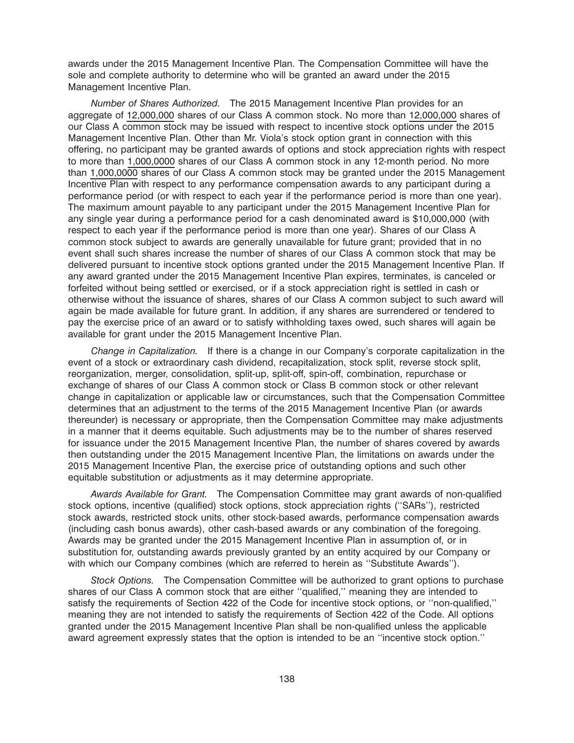awards under the 2015 Management Incentive Plan. The Compensation Committee will have the sole and complete authority to determine who will be granted an award under the 2015 Management Incentive Plan.

*Number of Shares Authorized.* The 2015 Management Incentive Plan provides for an aggregate of 12,000,000 shares of our Class A common stock. No more than 12,000,000 shares of our Class A common stock may be issued with respect to incentive stock options under the 2015 Management Incentive Plan. Other than Mr. Viola's stock option grant in connection with this offering, no participant may be granted awards of options and stock appreciation rights with respect to more than 1,000,0000 shares of our Class A common stock in any 12-month period. No more than 1,000,0000 shares of our Class A common stock may be granted under the 2015 Management Incentive Plan with respect to any performance compensation awards to any participant during a performance period (or with respect to each year if the performance period is more than one year). The maximum amount payable to any participant under the 2015 Management Incentive Plan for any single year during a performance period for a cash denominated award is \$10,000,000 (with respect to each year if the performance period is more than one year). Shares of our Class A common stock subject to awards are generally unavailable for future grant; provided that in no event shall such shares increase the number of shares of our Class A common stock that may be delivered pursuant to incentive stock options granted under the 2015 Management Incentive Plan. If any award granted under the 2015 Management Incentive Plan expires, terminates, is canceled or forfeited without being settled or exercised, or if a stock appreciation right is settled in cash or otherwise without the issuance of shares, shares of our Class A common subject to such award will again be made available for future grant. In addition, if any shares are surrendered or tendered to pay the exercise price of an award or to satisfy withholding taxes owed, such shares will again be available for grant under the 2015 Management Incentive Plan.

*Change in Capitalization.* If there is a change in our Company's corporate capitalization in the event of a stock or extraordinary cash dividend, recapitalization, stock split, reverse stock split, reorganization, merger, consolidation, split-up, split-off, spin-off, combination, repurchase or exchange of shares of our Class A common stock or Class B common stock or other relevant change in capitalization or applicable law or circumstances, such that the Compensation Committee determines that an adjustment to the terms of the 2015 Management Incentive Plan (or awards thereunder) is necessary or appropriate, then the Compensation Committee may make adjustments in a manner that it deems equitable. Such adjustments may be to the number of shares reserved for issuance under the 2015 Management Incentive Plan, the number of shares covered by awards then outstanding under the 2015 Management Incentive Plan, the limitations on awards under the 2015 Management Incentive Plan, the exercise price of outstanding options and such other equitable substitution or adjustments as it may determine appropriate.

*Awards Available for Grant.* The Compensation Committee may grant awards of non-qualified stock options, incentive (qualified) stock options, stock appreciation rights (''SARs''), restricted stock awards, restricted stock units, other stock-based awards, performance compensation awards (including cash bonus awards), other cash-based awards or any combination of the foregoing. Awards may be granted under the 2015 Management Incentive Plan in assumption of, or in substitution for, outstanding awards previously granted by an entity acquired by our Company or with which our Company combines (which are referred to herein as "Substitute Awards").

*Stock Options.* The Compensation Committee will be authorized to grant options to purchase shares of our Class A common stock that are either ''qualified,'' meaning they are intended to satisfy the requirements of Section 422 of the Code for incentive stock options, or ''non-qualified,'' meaning they are not intended to satisfy the requirements of Section 422 of the Code. All options granted under the 2015 Management Incentive Plan shall be non-qualified unless the applicable award agreement expressly states that the option is intended to be an ''incentive stock option.''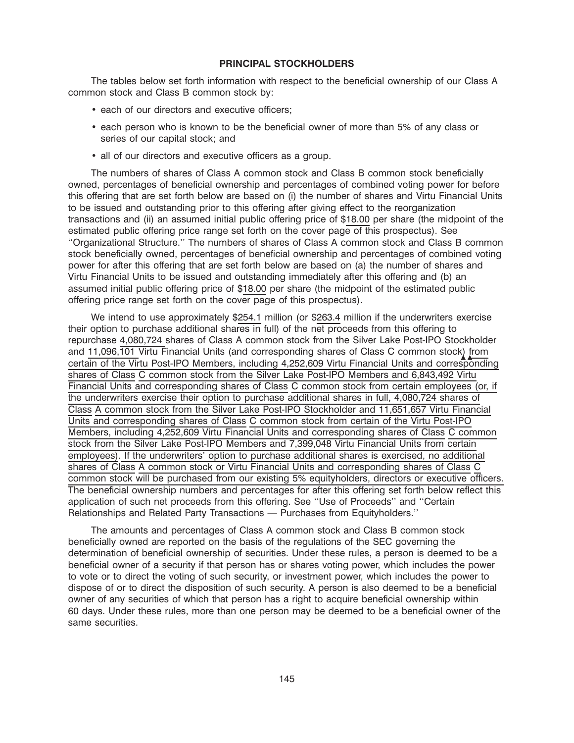## **PRINCIPAL STOCKHOLDERS**

The tables below set forth information with respect to the beneficial ownership of our Class A common stock and Class B common stock by:

- each of our directors and executive officers;
- each person who is known to be the beneficial owner of more than 5% of any class or series of our capital stock; and
- all of our directors and executive officers as a group.

The numbers of shares of Class A common stock and Class B common stock beneficially owned, percentages of beneficial ownership and percentages of combined voting power for before this offering that are set forth below are based on (i) the number of shares and Virtu Financial Units to be issued and outstanding prior to this offering after giving effect to the reorganization transactions and (ii) an assumed initial public offering price of \$18.00 per share (the midpoint of the estimated public offering price range set forth on the cover page of this prospectus). See ''Organizational Structure.'' The numbers of shares of Class A common stock and Class B common stock beneficially owned, percentages of beneficial ownership and percentages of combined voting power for after this offering that are set forth below are based on (a) the number of shares and Virtu Financial Units to be issued and outstanding immediately after this offering and (b) an assumed initial public offering price of \$18.00 per share (the midpoint of the estimated public offering price range set forth on the cover page of this prospectus).

We intend to use approximately \$254.1 million (or \$263.4 million if the underwriters exercise their option to purchase additional shares in full) of the net proceeds from this offering to repurchase 4,080,724 shares of Class A common stock from the Silver Lake Post-IPO Stockholder and 11,096,101 Virtu Financial Units (and corresponding shares of Class C common stock) from certain of the Virtu Post-IPO Members, including 4,252,609 Virtu Financial Units and corresponding shares of Class C common stock from the Silver Lake Post-IPO Members and 6,843,492 Virtu Financial Units and corresponding shares of Class C common stock from certain employees (or, if the underwriters exercise their option to purchase additional shares in full, 4,080,724 shares of Class A common stock from the Silver Lake Post-IPO Stockholder and 11,651,657 Virtu Financial Units and corresponding shares of Class C common stock from certain of the Virtu Post-IPO Members, including 4,252,609 Virtu Financial Units and corresponding shares of Class C common stock from the Silver Lake Post-IPO Members and 7,399,048 Virtu Financial Units from certain employees). If the underwriters' option to purchase additional shares is exercised, no additional shares of Class A common stock or Virtu Financial Units and corresponding shares of Class C common stock will be purchased from our existing 5% equityholders, directors or executive officers. The beneficial ownership numbers and percentages for after this offering set forth below reflect this application of such net proceeds from this offering. See ''Use of Proceeds'' and ''Certain Relationships and Related Party Transactions — Purchases from Equityholders.''

The amounts and percentages of Class A common stock and Class B common stock beneficially owned are reported on the basis of the regulations of the SEC governing the determination of beneficial ownership of securities. Under these rules, a person is deemed to be a beneficial owner of a security if that person has or shares voting power, which includes the power to vote or to direct the voting of such security, or investment power, which includes the power to dispose of or to direct the disposition of such security. A person is also deemed to be a beneficial owner of any securities of which that person has a right to acquire beneficial ownership within 60 days. Under these rules, more than one person may be deemed to be a beneficial owner of the same securities.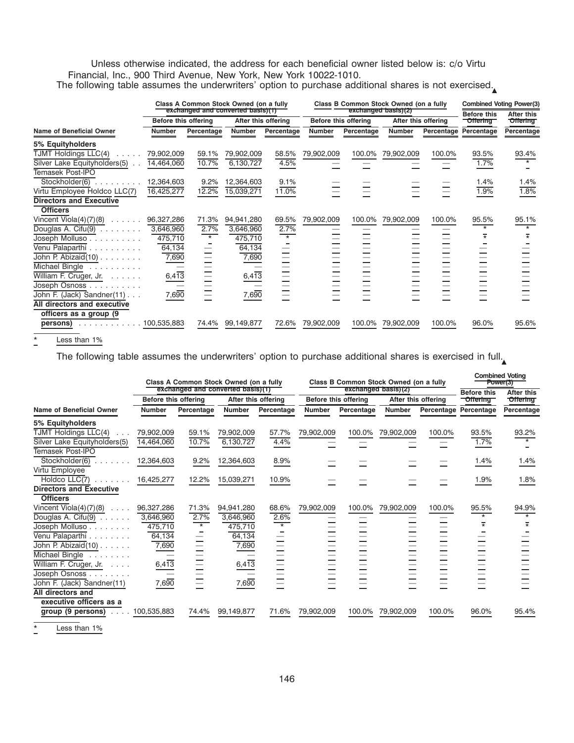Unless otherwise indicated, the address for each beneficial owner listed below is: c/o Virtu Financial, Inc., 900 Third Avenue, New York, New York 10022-1010. The following table assumes the underwriters' option to purchase additional shares is not exercised.

|                                                                         |                      | Class A Common Stock Owned (on a fully<br>exchanged and converted basis)(1) |                     |                          | Class B Common Stock Owned (on a fully |                             |                                            |                               | <b>Combined Voting Power(3)</b>          |                               |
|-------------------------------------------------------------------------|----------------------|-----------------------------------------------------------------------------|---------------------|--------------------------|----------------------------------------|-----------------------------|--------------------------------------------|-------------------------------|------------------------------------------|-------------------------------|
|                                                                         | Before this offering |                                                                             | After this offering |                          |                                        | <b>Before this offering</b> | exchanged basis)(2)<br>After this offering |                               | <b>Before this</b>                       | <b>After this</b>             |
| <b>Name of Beneficial Owner</b>                                         | <b>Number</b>        |                                                                             | Number              | Percentage               | <b>Number</b>                          | Percentage                  | Number                                     |                               | <b>Offering</b><br>Percentage Percentage | <b>Offering</b><br>Percentage |
|                                                                         |                      | Percentage                                                                  |                     |                          |                                        |                             |                                            |                               |                                          |                               |
| 5% Equityholders                                                        |                      |                                                                             |                     |                          |                                        |                             |                                            |                               |                                          |                               |
| <b>TJMT Holdings LLC(4)</b>                                             | 79,902,009           | 59.1%                                                                       | 79,902,009          | 58.5%                    | 79,902,009                             | 100.0%                      | 79,902,009                                 | 100.0%                        | 93.5%                                    | 93.4%                         |
| Silver Lake Equityholders(5)                                            | 14,464,060           | 10.7%                                                                       | 6,130,727           | 4.5%                     |                                        |                             |                                            |                               | 1.7%                                     | $\overline{\ast}$             |
| Temasek Post-IPO                                                        |                      |                                                                             |                     |                          |                                        |                             |                                            |                               |                                          |                               |
| Stockholder(6)                                                          | 12,364,603           | 9.2%                                                                        | 12,364,603          | 9.1%                     |                                        |                             |                                            |                               | 1.4%                                     | 1.4%                          |
| Virtu Employee Holdco LLC(7)                                            | 16,425,277           | 12.2%                                                                       | 15,039,271          | 11.0%                    |                                        |                             |                                            | $\overbrace{\phantom{12332}}$ | 1.9%                                     | 1.8%                          |
| <b>Directors and Executive</b>                                          |                      |                                                                             |                     |                          |                                        |                             |                                            |                               |                                          |                               |
| <b>Officers</b>                                                         |                      |                                                                             |                     |                          |                                        |                             |                                            |                               |                                          |                               |
| Vincent $Viola(4)(7)(8)$<br>$\mathcal{L}$ . In the set of $\mathcal{L}$ | 96,327,286           | 71.3%                                                                       | 94,941,280          | 69.5%                    | 79,902,009                             | 100.0%                      | 79,902,009                                 | 100.0%                        | 95.5%                                    | 95.1%                         |
| Douglas A. Cifu $(9)$                                                   | 3,646,960            | 2.7%                                                                        | 3,646,960           | 2.7%                     |                                        |                             |                                            |                               | $\overline{\ast}$                        | $\overline{\ast}$             |
| Joseph Molluso                                                          | 475,710              | $\overline{\phantom{a}}$                                                    | 475,710             | ∓                        |                                        |                             |                                            |                               | $\overline{\ast}$                        | ∓                             |
| Venu Palaparthi                                                         | 64,134               |                                                                             | 64,134              |                          |                                        |                             |                                            |                               |                                          |                               |
| John P. Abizaid(10)                                                     | 7,690                | $\equiv$                                                                    | 7,690               | $\overline{\phantom{0}}$ |                                        |                             |                                            |                               |                                          |                               |
| <b>Michael Bingle</b><br>.                                              |                      |                                                                             |                     |                          |                                        |                             |                                            |                               |                                          |                               |
| William F. Cruger, Jr.                                                  | $6,4\overline{13}$   | Ξ                                                                           | $6,4\overline{13}$  | $\overline{\phantom{0}}$ |                                        |                             |                                            |                               |                                          |                               |
| Joseph Osnoss                                                           |                      |                                                                             |                     | –                        |                                        |                             |                                            |                               |                                          |                               |
| John F. (Jack) Sandner(11)                                              | 7,690                | $\equiv$                                                                    | 7,690               | $\overline{\phantom{0}}$ |                                        |                             |                                            |                               |                                          |                               |
| All directors and executive                                             |                      |                                                                             |                     |                          |                                        |                             |                                            |                               |                                          |                               |
| officers as a group (9                                                  |                      |                                                                             |                     |                          |                                        |                             |                                            |                               |                                          |                               |
| persons)<br>and a straightful and straight                              | 100,535,883          | 74.4%                                                                       | 99,149,877          | 72.6%                    | 79,902,009                             | 100.0%                      | 79,902,009                                 | 100.0%                        | 96.0%                                    | 95.6%                         |

# \* Less than 1%

The following table assumes the underwriters' option to purchase additional shares is exercised in full.

|                                       |                      | Class A Common Stock Owned (on a fully |                    |                     |               |                      | Class B Common Stock Owned (on a fully |                     |                                       | <b>Combined Voting</b><br>Power(3)   |
|---------------------------------------|----------------------|----------------------------------------|--------------------|---------------------|---------------|----------------------|----------------------------------------|---------------------|---------------------------------------|--------------------------------------|
|                                       | Before this offering | exchanged and converted basis)(1)      |                    | After this offering |               | Before this offering | exchanged basis)(2)                    | After this offering | <b>Before this</b><br><b>Offering</b> | <b>After this</b><br><b>Offering</b> |
| Name of Beneficial Owner              | Number               | Percentage                             | <b>Number</b>      | Percentage          | <b>Number</b> | Percentage           | Number                                 |                     | Percentage Percentage                 | Percentage                           |
| 5% Equityholders                      |                      |                                        |                    |                     |               |                      |                                        |                     |                                       |                                      |
| TJMT Holdings LLC(4)                  | 79,902,009           | 59.1%                                  | 79,902,009         | 57.7%               | 79,902,009    | 100.0%               | 79,902,009                             | 100.0%              | 93.5%                                 | 93.2%                                |
| Silver Lake Equityholders(5)          | 14,464,060           | 10.7%                                  | 6,130,727          | 4.4%                |               |                      |                                        |                     | 1.7%                                  | $\overline{\ast}$                    |
| Temasek Post-IPO                      |                      |                                        |                    |                     |               |                      |                                        |                     |                                       |                                      |
| Stockholder(6)<br>and a strain of     | 12,364,603           | 9.2%                                   | 12,364,603         | 8.9%                |               |                      |                                        |                     | 1.4%                                  | 1.4%                                 |
| Virtu Employee                        |                      |                                        |                    |                     |               |                      |                                        |                     |                                       |                                      |
| Holdco LLC(7)                         | 16,425,277           | 12.2%                                  | 15,039,271         | 10.9%               |               |                      |                                        |                     | 1.9%                                  | 1.8%                                 |
| <b>Directors and Executive</b>        |                      |                                        |                    |                     |               |                      |                                        |                     |                                       |                                      |
| <b>Officers</b>                       |                      |                                        |                    |                     |               |                      |                                        |                     |                                       |                                      |
| Vincent Viola $(4)(7)(8)$<br>$\ldots$ | 96,327,286           | 71.3%                                  | 94.941.280         | 68.6%               | 79,902,009    | 100.0%               | 79,902,009                             | 100.0%              | 95.5%                                 | 94.9%                                |
| Douglas A. Cifu $(9)$                 | 3,646,960            | 2.7%                                   | 3,646,960          | 2.6%                |               |                      |                                        |                     | $\overline{\ast}$                     | $\overline{\ast}$                    |
| Joseph Molluso                        | 475,710              | $\overline{\phantom{a}}$               | 475,710            | $\overline{\cdot}$  |               |                      |                                        |                     | ∓                                     | ∓                                    |
| Venu Palaparthi                       | 64,134               | $\equiv$                               | 64,134             |                     |               |                      |                                        |                     |                                       |                                      |
| John P. Abizaid(10)                   | 7,690                | $\equiv$                               | 7,690              |                     |               |                      |                                        |                     |                                       |                                      |
| Michael Bingle                        |                      |                                        |                    |                     |               |                      | -                                      |                     |                                       |                                      |
| William F. Cruger, Jr.                | 6,413                | $\equiv$                               | $6,4\overline{13}$ |                     |               |                      |                                        | —                   |                                       |                                      |
| Joseph Osnoss                         |                      |                                        |                    |                     |               |                      |                                        |                     |                                       |                                      |
| John F. (Jack) Sandner(11)            | 7,690                | $\equiv$                               | 7,690              |                     |               |                      |                                        |                     |                                       |                                      |
| All directors and                     |                      |                                        |                    |                     |               |                      |                                        |                     |                                       |                                      |
| executive officers as a               |                      |                                        |                    |                     |               |                      |                                        |                     |                                       |                                      |
| group (9 persons)                     | 100,535,883          | 74.4%                                  | 99,149,877         | 71.6%               | 79,902,009    | 100.0%               | 79,902,009                             | 100.0%              | 96.0%                                 | 95.4%                                |
|                                       |                      |                                        |                    |                     |               |                      |                                        |                     |                                       |                                      |

\* Less than 1%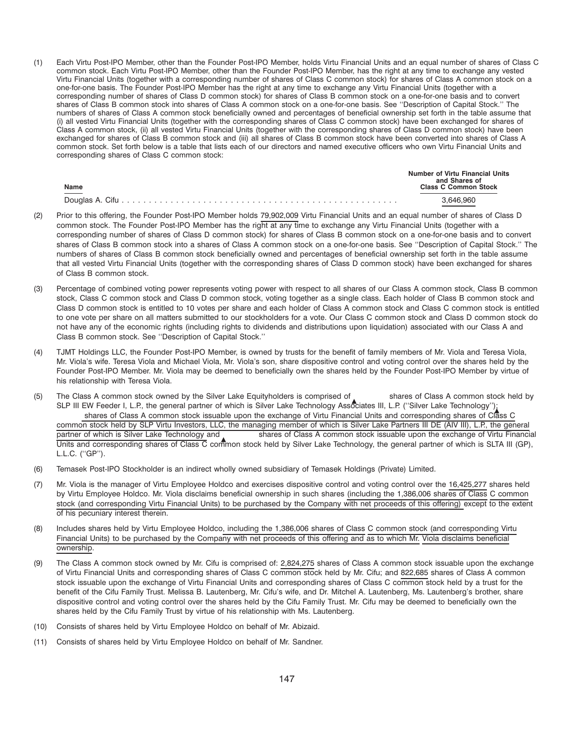(1) Each Virtu Post-IPO Member, other than the Founder Post-IPO Member, holds Virtu Financial Units and an equal number of shares of Class C common stock. Each Virtu Post-IPO Member, other than the Founder Post-IPO Member, has the right at any time to exchange any vested Virtu Financial Units (together with a corresponding number of shares of Class C common stock) for shares of Class A common stock on a one-for-one basis. The Founder Post-IPO Member has the right at any time to exchange any Virtu Financial Units (together with a corresponding number of shares of Class D common stock) for shares of Class B common stock on a one-for-one basis and to convert shares of Class B common stock into shares of Class A common stock on a one-for-one basis. See ''Description of Capital Stock.'' The numbers of shares of Class A common stock beneficially owned and percentages of beneficial ownership set forth in the table assume that (i) all vested Virtu Financial Units (together with the corresponding shares of Class C common stock) have been exchanged for shares of Class A common stock, (ii) all vested Virtu Financial Units (together with the corresponding shares of Class D common stock) have been exchanged for shares of Class B common stock and (iii) all shares of Class B common stock have been converted into shares of Class A common stock. Set forth below is a table that lists each of our directors and named executive officers who own Virtu Financial Units and corresponding shares of Class C common stock:

| <b>Name</b><br>$\overline{\phantom{a}}$ | Number of Virtu Financial Units<br>and Shares of<br><b>Class C Common Stock</b> |
|-----------------------------------------|---------------------------------------------------------------------------------|
|                                         | 3.646.960                                                                       |

- (2) Prior to this offering, the Founder Post-IPO Member holds 79,902,009 Virtu Financial Units and an equal number of shares of Class D common stock. The Founder Post-IPO Member has the right at any time to exchange any Virtu Financial Units (together with a corresponding number of shares of Class D common stock) for shares of Class B common stock on a one-for-one basis and to convert shares of Class B common stock into a shares of Class A common stock on a one-for-one basis. See ''Description of Capital Stock.'' The numbers of shares of Class B common stock beneficially owned and percentages of beneficial ownership set forth in the table assume that all vested Virtu Financial Units (together with the corresponding shares of Class D common stock) have been exchanged for shares of Class B common stock.
- (3) Percentage of combined voting power represents voting power with respect to all shares of our Class A common stock, Class B common stock, Class C common stock and Class D common stock, voting together as a single class. Each holder of Class B common stock and Class D common stock is entitled to 10 votes per share and each holder of Class A common stock and Class C common stock is entitled to one vote per share on all matters submitted to our stockholders for a vote. Our Class C common stock and Class D common stock do not have any of the economic rights (including rights to dividends and distributions upon liquidation) associated with our Class A and Class B common stock. See ''Description of Capital Stock.''
- (4) TJMT Holdings LLC, the Founder Post-IPO Member, is owned by trusts for the benefit of family members of Mr. Viola and Teresa Viola, Mr. Viola's wife. Teresa Viola and Michael Viola, Mr. Viola's son, share dispositive control and voting control over the shares held by the Founder Post-IPO Member. Mr. Viola may be deemed to beneficially own the shares held by the Founder Post-IPO Member by virtue of his relationship with Teresa Viola.
- (5) The Class A common stock owned by the Silver Lake Equityholders is comprised of shares of Class A common stock held by SLP III EW Feeder I, L.P., the general partner of which is Silver Lake Technology Associates III, L.P. (''Silver Lake Technology''); shares of Class A common stock issuable upon the exchange of Virtu Financial Units and corresponding shares of Class C common stock held by SLP Virtu Investors, LLC, the managing member of which is Silver Lake Partners III DE (AIV III), L.P., the general partner of which is Silver Lake Technology and shares of Class A common stock issuable upon the exchange of Virtu Financial Units and corresponding shares of Class C common stock held by Silver Lake Technology, the general partner of which is SLTA III (GP), L.L.C. (''GP'').
- (6) Temasek Post-IPO Stockholder is an indirect wholly owned subsidiary of Temasek Holdings (Private) Limited.
- (7) Mr. Viola is the manager of Virtu Employee Holdco and exercises dispositive control and voting control over the 16,425,277 shares held by Virtu Employee Holdco. Mr. Viola disclaims beneficial ownership in such shares (including the 1,386,006 shares of Class C common stock (and corresponding Virtu Financial Units) to be purchased by the Company with net proceeds of this offering) except to the extent of his pecuniary interest therein.
- (8) Includes shares held by Virtu Employee Holdco, including the 1,386,006 shares of Class C common stock (and corresponding Virtu Financial Units) to be purchased by the Company with net proceeds of this offering and as to which Mr. Viola disclaims beneficial ownership.
- (9) The Class A common stock owned by Mr. Cifu is comprised of: 2,824,275 shares of Class A common stock issuable upon the exchange of Virtu Financial Units and corresponding shares of Class C common stock held by Mr. Cifu; and 822,685 shares of Class A common stock issuable upon the exchange of Virtu Financial Units and corresponding shares of Class C common stock held by a trust for the benefit of the Cifu Family Trust. Melissa B. Lautenberg, Mr. Cifu's wife, and Dr. Mitchel A. Lautenberg, Ms. Lautenberg's brother, share dispositive control and voting control over the shares held by the Cifu Family Trust. Mr. Cifu may be deemed to beneficially own the shares held by the Cifu Family Trust by virtue of his relationship with Ms. Lautenberg.
- (10) Consists of shares held by Virtu Employee Holdco on behalf of Mr. Abizaid.
- (11) Consists of shares held by Virtu Employee Holdco on behalf of Mr. Sandner.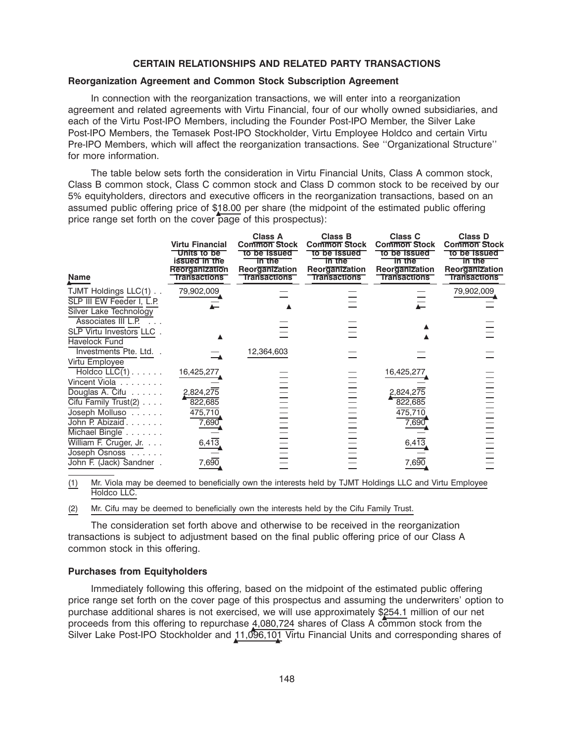#### **CERTAIN RELATIONSHIPS AND RELATED PARTY TRANSACTIONS**

#### **Reorganization Agreement and Common Stock Subscription Agreement**

In connection with the reorganization transactions, we will enter into a reorganization agreement and related agreements with Virtu Financial, four of our wholly owned subsidiaries, and each of the Virtu Post-IPO Members, including the Founder Post-IPO Member, the Silver Lake Post-IPO Members, the Temasek Post-IPO Stockholder, Virtu Employee Holdco and certain Virtu Pre-IPO Members, which will affect the reorganization transactions. See ''Organizational Structure'' for more information.

The table below sets forth the consideration in Virtu Financial Units, Class A common stock, Class B common stock, Class C common stock and Class D common stock to be received by our 5% equityholders, directors and executive officers in the reorganization transactions, based on an assumed public offering price of \$18.00 per share (the midpoint of the estimated public offering price range set forth on the cover page of this prospectus):

| Name                                                                          | <b>Virtu Financial</b><br>Units to be<br>issued in the<br>Reorganization<br><b>Transactions</b> | <b>Class A</b><br><b>Common Stock</b><br>to be Issued<br>in the<br>Reorganization<br><b>Transactions</b> | <b>Class B</b><br><b>Common Stock</b><br>to be Issued<br>in the<br>Reorganization<br><b>Transactions</b> | <b>Class C</b><br><b>Common Stock</b><br>to be issued<br>in the<br>Reorganization<br><b>Transactions</b> | <b>Class D</b><br><b>Common Stock</b><br>to be Issued<br>in the<br><b>Reorganization</b><br><b>Transactions</b> |
|-------------------------------------------------------------------------------|-------------------------------------------------------------------------------------------------|----------------------------------------------------------------------------------------------------------|----------------------------------------------------------------------------------------------------------|----------------------------------------------------------------------------------------------------------|-----------------------------------------------------------------------------------------------------------------|
| TJMT Holdings LLC(1)                                                          | 79,902,009                                                                                      |                                                                                                          |                                                                                                          |                                                                                                          | 79,902,009                                                                                                      |
| SLP III EW Feeder I, L.P.<br>Silver Lake Technology                           |                                                                                                 |                                                                                                          |                                                                                                          |                                                                                                          |                                                                                                                 |
| Associates III L.P.<br><b>SLP Virtu Investors LLC</b><br><b>Havelock Fund</b> |                                                                                                 |                                                                                                          |                                                                                                          |                                                                                                          |                                                                                                                 |
| Investments Pte. Ltd.<br>Virtu Employee                                       |                                                                                                 | 12,364,603                                                                                               |                                                                                                          |                                                                                                          |                                                                                                                 |
| Holdco LLC(1)<br>Vincent Viola                                                | 16,425,277                                                                                      |                                                                                                          |                                                                                                          | 16,425,277                                                                                               |                                                                                                                 |
| Douglas A. Cifu<br>Cifu Family Trust(2)<br>Joseph Molluso                     | 2,824,275<br>822,685<br>475,710                                                                 |                                                                                                          |                                                                                                          | 2,824,275<br>822,685<br>475,710                                                                          |                                                                                                                 |
| John P. Abizaid.<br>Michael Bingle                                            | 7,690,                                                                                          |                                                                                                          |                                                                                                          | 7,690                                                                                                    |                                                                                                                 |
| William F. Cruger, Jr.<br>Joseph Osnoss<br>John F. (Jack) Sandner             | $6,4\overline{13}$<br>7,690                                                                     |                                                                                                          |                                                                                                          | 6,413<br>7,690                                                                                           |                                                                                                                 |
|                                                                               |                                                                                                 |                                                                                                          |                                                                                                          |                                                                                                          |                                                                                                                 |

(1) Mr. Viola may be deemed to beneficially own the interests held by TJMT Holdings LLC and Virtu Employee Holdco LLC.

(2) Mr. Cifu may be deemed to beneficially own the interests held by the Cifu Family Trust.

The consideration set forth above and otherwise to be received in the reorganization transactions is subject to adjustment based on the final public offering price of our Class A common stock in this offering.

### **Purchases from Equityholders**

Immediately following this offering, based on the midpoint of the estimated public offering price range set forth on the cover page of this prospectus and assuming the underwriters' option to purchase additional shares is not exercised, we will use approximately \$254.1 million of our net proceeds from this offering to repurchase  $4,080,724$  shares of Class A common stock from the Silver Lake Post-IPO Stockholder and 11,096,101 Virtu Financial Units and corresponding shares of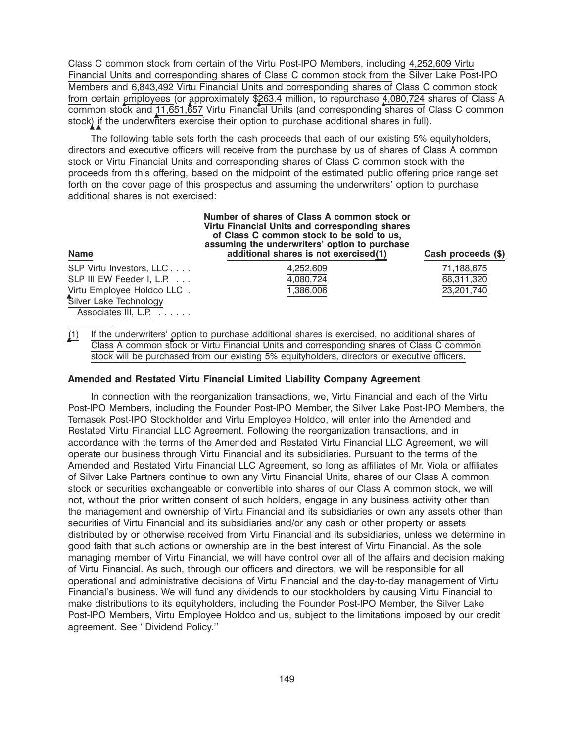Class C common stock from certain of the Virtu Post-IPO Members, including 4,252,609 Virtu Financial Units and corresponding shares of Class C common stock from the Silver Lake Post-IPO Members and 6,843,492 Virtu Financial Units and corresponding shares of Class C common stock from certain employees (or approximately \$263.4 million, to repurchase 4,080,724 shares of Class A common stock and 11,651,657 Virtu Financial Units (and corresponding shares of Class C common stock) if the underwriters exercise their option to purchase additional shares in full).

The following table sets forth the cash proceeds that each of our existing 5% equityholders, directors and executive officers will receive from the purchase by us of shares of Class A common stock or Virtu Financial Units and corresponding shares of Class C common stock with the proceeds from this offering, based on the midpoint of the estimated public offering price range set forth on the cover page of this prospectus and assuming the underwriters' option to purchase additional shares is not exercised:

| <b>Name</b>                | Number of shares of Class A common stock or<br>Virtu Financial Units and corresponding shares<br>of Class C common stock to be sold to us,<br>assuming the underwriters' option to purchase<br>additional shares is not exercised(1) | Cash proceeds (\$) |
|----------------------------|--------------------------------------------------------------------------------------------------------------------------------------------------------------------------------------------------------------------------------------|--------------------|
| SLP Virtu Investors, LLC   | 4,252,609                                                                                                                                                                                                                            | 71,188,675         |
| SLP III EW Feeder I, L.P.  | 4,080,724                                                                                                                                                                                                                            | 68,311,320         |
| Virtu Employee Holdco LLC. | 1,386,006                                                                                                                                                                                                                            | 23,201,740         |
| Silver Lake Technology     |                                                                                                                                                                                                                                      |                    |
| Associates III, L.P.       |                                                                                                                                                                                                                                      |                    |
|                            |                                                                                                                                                                                                                                      |                    |
| <u>(1)</u>                 | If the underwriters' option to purchase additional shares is exercised, no additional shares of                                                                                                                                      |                    |
|                            | Class A common stock or Virtu Financial Units and corresponding shares of Class C common                                                                                                                                             |                    |

stock will be purchased from our existing 5% equityholders, directors or executive officers.

### **Amended and Restated Virtu Financial Limited Liability Company Agreement**

In connection with the reorganization transactions, we, Virtu Financial and each of the Virtu Post-IPO Members, including the Founder Post-IPO Member, the Silver Lake Post-IPO Members, the Temasek Post-IPO Stockholder and Virtu Employee Holdco, will enter into the Amended and Restated Virtu Financial LLC Agreement. Following the reorganization transactions, and in accordance with the terms of the Amended and Restated Virtu Financial LLC Agreement, we will operate our business through Virtu Financial and its subsidiaries. Pursuant to the terms of the Amended and Restated Virtu Financial LLC Agreement, so long as affiliates of Mr. Viola or affiliates of Silver Lake Partners continue to own any Virtu Financial Units, shares of our Class A common stock or securities exchangeable or convertible into shares of our Class A common stock, we will not, without the prior written consent of such holders, engage in any business activity other than the management and ownership of Virtu Financial and its subsidiaries or own any assets other than securities of Virtu Financial and its subsidiaries and/or any cash or other property or assets distributed by or otherwise received from Virtu Financial and its subsidiaries, unless we determine in good faith that such actions or ownership are in the best interest of Virtu Financial. As the sole managing member of Virtu Financial, we will have control over all of the affairs and decision making of Virtu Financial. As such, through our officers and directors, we will be responsible for all operational and administrative decisions of Virtu Financial and the day-to-day management of Virtu Financial's business. We will fund any dividends to our stockholders by causing Virtu Financial to make distributions to its equityholders, including the Founder Post-IPO Member, the Silver Lake Post-IPO Members, Virtu Employee Holdco and us, subject to the limitations imposed by our credit agreement. See ''Dividend Policy.''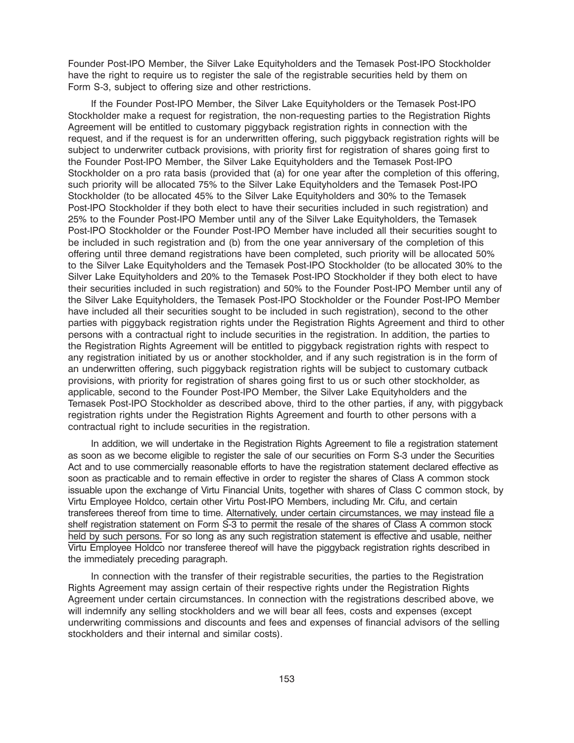Founder Post-IPO Member, the Silver Lake Equityholders and the Temasek Post-IPO Stockholder have the right to require us to register the sale of the registrable securities held by them on Form S-3, subject to offering size and other restrictions.

If the Founder Post-IPO Member, the Silver Lake Equityholders or the Temasek Post-IPO Stockholder make a request for registration, the non-requesting parties to the Registration Rights Agreement will be entitled to customary piggyback registration rights in connection with the request, and if the request is for an underwritten offering, such piggyback registration rights will be subject to underwriter cutback provisions, with priority first for registration of shares going first to the Founder Post-IPO Member, the Silver Lake Equityholders and the Temasek Post-IPO Stockholder on a pro rata basis (provided that (a) for one year after the completion of this offering, such priority will be allocated 75% to the Silver Lake Equityholders and the Temasek Post-IPO Stockholder (to be allocated 45% to the Silver Lake Equityholders and 30% to the Temasek Post-IPO Stockholder if they both elect to have their securities included in such registration) and 25% to the Founder Post-IPO Member until any of the Silver Lake Equityholders, the Temasek Post-IPO Stockholder or the Founder Post-IPO Member have included all their securities sought to be included in such registration and (b) from the one year anniversary of the completion of this offering until three demand registrations have been completed, such priority will be allocated 50% to the Silver Lake Equityholders and the Temasek Post-IPO Stockholder (to be allocated 30% to the Silver Lake Equityholders and 20% to the Temasek Post-IPO Stockholder if they both elect to have their securities included in such registration) and 50% to the Founder Post-IPO Member until any of the Silver Lake Equityholders, the Temasek Post-IPO Stockholder or the Founder Post-IPO Member have included all their securities sought to be included in such registration), second to the other parties with piggyback registration rights under the Registration Rights Agreement and third to other persons with a contractual right to include securities in the registration. In addition, the parties to the Registration Rights Agreement will be entitled to piggyback registration rights with respect to any registration initiated by us or another stockholder, and if any such registration is in the form of an underwritten offering, such piggyback registration rights will be subject to customary cutback provisions, with priority for registration of shares going first to us or such other stockholder, as applicable, second to the Founder Post-IPO Member, the Silver Lake Equityholders and the Temasek Post-IPO Stockholder as described above, third to the other parties, if any, with piggyback registration rights under the Registration Rights Agreement and fourth to other persons with a contractual right to include securities in the registration.

In addition, we will undertake in the Registration Rights Agreement to file a registration statement as soon as we become eligible to register the sale of our securities on Form S-3 under the Securities Act and to use commercially reasonable efforts to have the registration statement declared effective as soon as practicable and to remain effective in order to register the shares of Class A common stock issuable upon the exchange of Virtu Financial Units, together with shares of Class C common stock, by Virtu Employee Holdco, certain other Virtu Post-IPO Members, including Mr. Cifu, and certain transferees thereof from time to time. Alternatively, under certain circumstances, we may instead file a shelf registration statement on Form S-3 to permit the resale of the shares of Class A common stock held by such persons. For so long as any such registration statement is effective and usable, neither Virtu Employee Holdco nor transferee thereof will have the piggyback registration rights described in the immediately preceding paragraph.

In connection with the transfer of their registrable securities, the parties to the Registration Rights Agreement may assign certain of their respective rights under the Registration Rights Agreement under certain circumstances. In connection with the registrations described above, we will indemnify any selling stockholders and we will bear all fees, costs and expenses (except underwriting commissions and discounts and fees and expenses of financial advisors of the selling stockholders and their internal and similar costs).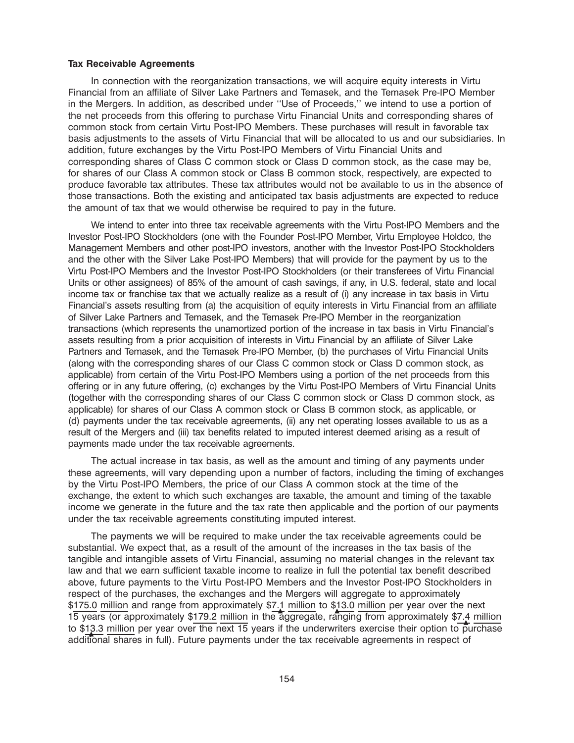### **Tax Receivable Agreements**

In connection with the reorganization transactions, we will acquire equity interests in Virtu Financial from an affiliate of Silver Lake Partners and Temasek, and the Temasek Pre-IPO Member in the Mergers. In addition, as described under ''Use of Proceeds,'' we intend to use a portion of the net proceeds from this offering to purchase Virtu Financial Units and corresponding shares of common stock from certain Virtu Post-IPO Members. These purchases will result in favorable tax basis adjustments to the assets of Virtu Financial that will be allocated to us and our subsidiaries. In addition, future exchanges by the Virtu Post-IPO Members of Virtu Financial Units and corresponding shares of Class C common stock or Class D common stock, as the case may be, for shares of our Class A common stock or Class B common stock, respectively, are expected to produce favorable tax attributes. These tax attributes would not be available to us in the absence of those transactions. Both the existing and anticipated tax basis adjustments are expected to reduce the amount of tax that we would otherwise be required to pay in the future.

We intend to enter into three tax receivable agreements with the Virtu Post-IPO Members and the Investor Post-IPO Stockholders (one with the Founder Post-IPO Member, Virtu Employee Holdco, the Management Members and other post-IPO investors, another with the Investor Post-IPO Stockholders and the other with the Silver Lake Post-IPO Members) that will provide for the payment by us to the Virtu Post-IPO Members and the Investor Post-IPO Stockholders (or their transferees of Virtu Financial Units or other assignees) of 85% of the amount of cash savings, if any, in U.S. federal, state and local income tax or franchise tax that we actually realize as a result of (i) any increase in tax basis in Virtu Financial's assets resulting from (a) the acquisition of equity interests in Virtu Financial from an affiliate of Silver Lake Partners and Temasek, and the Temasek Pre-IPO Member in the reorganization transactions (which represents the unamortized portion of the increase in tax basis in Virtu Financial's assets resulting from a prior acquisition of interests in Virtu Financial by an affiliate of Silver Lake Partners and Temasek, and the Temasek Pre-IPO Member, (b) the purchases of Virtu Financial Units (along with the corresponding shares of our Class C common stock or Class D common stock, as applicable) from certain of the Virtu Post-IPO Members using a portion of the net proceeds from this offering or in any future offering, (c) exchanges by the Virtu Post-IPO Members of Virtu Financial Units (together with the corresponding shares of our Class C common stock or Class D common stock, as applicable) for shares of our Class A common stock or Class B common stock, as applicable, or (d) payments under the tax receivable agreements, (ii) any net operating losses available to us as a result of the Mergers and (iii) tax benefits related to imputed interest deemed arising as a result of payments made under the tax receivable agreements.

The actual increase in tax basis, as well as the amount and timing of any payments under these agreements, will vary depending upon a number of factors, including the timing of exchanges by the Virtu Post-IPO Members, the price of our Class A common stock at the time of the exchange, the extent to which such exchanges are taxable, the amount and timing of the taxable income we generate in the future and the tax rate then applicable and the portion of our payments under the tax receivable agreements constituting imputed interest.

The payments we will be required to make under the tax receivable agreements could be substantial. We expect that, as a result of the amount of the increases in the tax basis of the tangible and intangible assets of Virtu Financial, assuming no material changes in the relevant tax law and that we earn sufficient taxable income to realize in full the potential tax benefit described above, future payments to the Virtu Post-IPO Members and the Investor Post-IPO Stockholders in respect of the purchases, the exchanges and the Mergers will aggregate to approximately \$175.0 million and range from approximately \$7.1 million to \$13.0 million per year over the next 15 years (or approximately \$179.2 million in the aggregate, ranging from approximately \$7.4 million to \$13.3 million per year over the next 15 years if the underwriters exercise their option to purchase additional shares in full). Future payments under the tax receivable agreements in respect of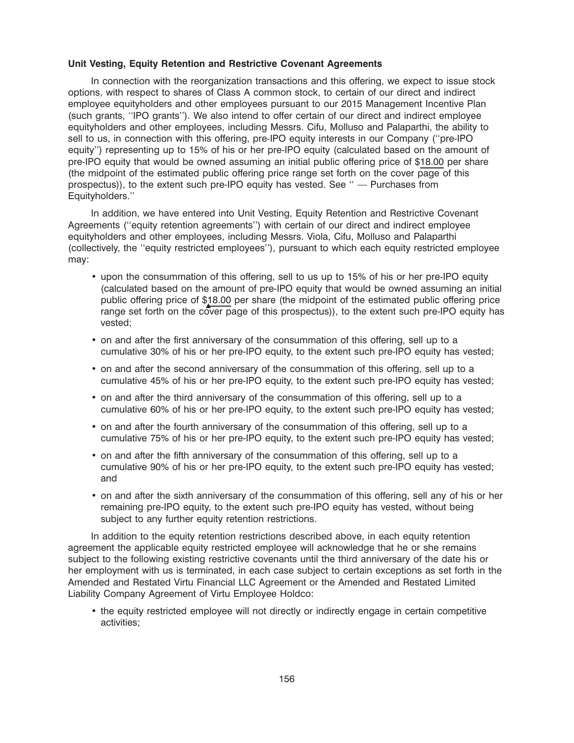### **Unit Vesting, Equity Retention and Restrictive Covenant Agreements**

In connection with the reorganization transactions and this offering, we expect to issue stock options, with respect to shares of Class A common stock, to certain of our direct and indirect employee equityholders and other employees pursuant to our 2015 Management Incentive Plan (such grants, ''IPO grants''). We also intend to offer certain of our direct and indirect employee equityholders and other employees, including Messrs. Cifu, Molluso and Palaparthi, the ability to sell to us, in connection with this offering, pre-IPO equity interests in our Company (''pre-IPO equity'') representing up to 15% of his or her pre-IPO equity (calculated based on the amount of pre-IPO equity that would be owned assuming an initial public offering price of \$18.00 per share (the midpoint of the estimated public offering price range set forth on the cover page of this prospectus)), to the extent such pre-IPO equity has vested. See '' — Purchases from Equityholders.''

In addition, we have entered into Unit Vesting, Equity Retention and Restrictive Covenant Agreements (''equity retention agreements'') with certain of our direct and indirect employee equityholders and other employees, including Messrs. Viola, Cifu, Molluso and Palaparthi (collectively, the ''equity restricted employees''), pursuant to which each equity restricted employee may:

- upon the consummation of this offering, sell to us up to 15% of his or her pre-IPO equity (calculated based on the amount of pre-IPO equity that would be owned assuming an initial public offering price of \$18.00 per share (the midpoint of the estimated public offering price range set forth on the cover page of this prospectus)), to the extent such pre-IPO equity has vested;
- on and after the first anniversary of the consummation of this offering, sell up to a cumulative 30% of his or her pre-IPO equity, to the extent such pre-IPO equity has vested;
- on and after the second anniversary of the consummation of this offering, sell up to a cumulative 45% of his or her pre-IPO equity, to the extent such pre-IPO equity has vested;
- on and after the third anniversary of the consummation of this offering, sell up to a cumulative 60% of his or her pre-IPO equity, to the extent such pre-IPO equity has vested;
- on and after the fourth anniversary of the consummation of this offering, sell up to a cumulative 75% of his or her pre-IPO equity, to the extent such pre-IPO equity has vested;
- on and after the fifth anniversary of the consummation of this offering, sell up to a cumulative 90% of his or her pre-IPO equity, to the extent such pre-IPO equity has vested; and
- on and after the sixth anniversary of the consummation of this offering, sell any of his or her remaining pre-IPO equity, to the extent such pre-IPO equity has vested, without being subject to any further equity retention restrictions.

In addition to the equity retention restrictions described above, in each equity retention agreement the applicable equity restricted employee will acknowledge that he or she remains subject to the following existing restrictive covenants until the third anniversary of the date his or her employment with us is terminated, in each case subject to certain exceptions as set forth in the Amended and Restated Virtu Financial LLC Agreement or the Amended and Restated Limited Liability Company Agreement of Virtu Employee Holdco:

• the equity restricted employee will not directly or indirectly engage in certain competitive activities;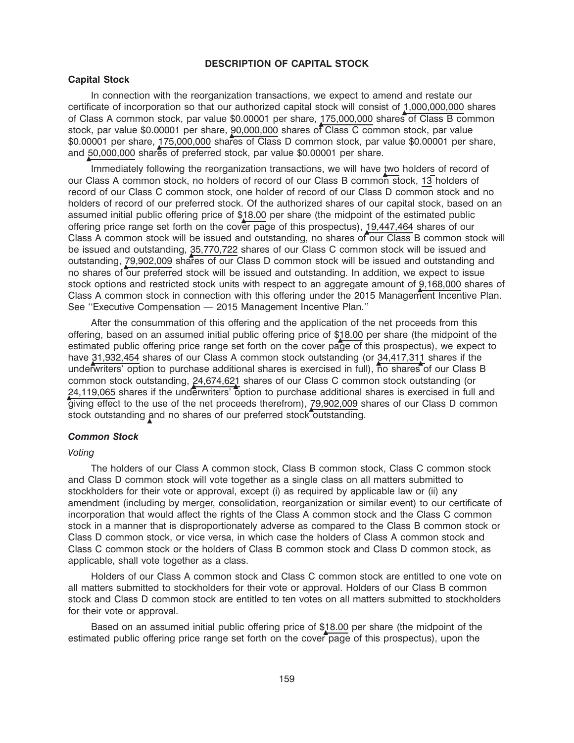### **DESCRIPTION OF CAPITAL STOCK**

### **Capital Stock**

In connection with the reorganization transactions, we expect to amend and restate our certificate of incorporation so that our authorized capital stock will consist of 1,000,000,000 shares of Class A common stock, par value \$0.00001 per share, 175,000,000 shares of Class B common stock, par value \$0.00001 per share, 90,000,000 shares of Class C common stock, par value \$0.00001 per share, 175,000,000 shares of Class D common stock, par value \$0.00001 per share, and 50,000,000 shares of preferred stock, par value \$0.00001 per share.

Immediately following the reorganization transactions, we will have two holders of record of our Class A common stock, no holders of record of our Class B common stock, 13 holders of record of our Class C common stock, one holder of record of our Class D common stock and no holders of record of our preferred stock. Of the authorized shares of our capital stock, based on an assumed initial public offering price of \$18.00 per share (the midpoint of the estimated public offering price range set forth on the cover page of this prospectus), 19,447,464 shares of our Class A common stock will be issued and outstanding, no shares of our Class B common stock will be issued and outstanding, 35,770,722 shares of our Class C common stock will be issued and outstanding, 79,902,009 shares of our Class D common stock will be issued and outstanding and no shares of our preferred stock will be issued and outstanding. In addition, we expect to issue stock options and restricted stock units with respect to an aggregate amount of 9,168,000 shares of Class A common stock in connection with this offering under the 2015 Management Incentive Plan. See ''Executive Compensation — 2015 Management Incentive Plan.''

After the consummation of this offering and the application of the net proceeds from this offering, based on an assumed initial public offering price of \$18.00 per share (the midpoint of the estimated public offering price range set forth on the cover page of this prospectus), we expect to have 31,932,454 shares of our Class A common stock outstanding (or 34,417,311 shares if the underwriters' option to purchase additional shares is exercised in full), no shares of our Class B common stock outstanding, 24,674,621 shares of our Class C common stock outstanding (or 24,119,065 shares if the underwriters' option to purchase additional shares is exercised in full and giving effect to the use of the net proceeds therefrom), 79,902,009 shares of our Class D common stock outstanding and no shares of our preferred stock outstanding.

#### *Common Stock*

#### *Voting*

The holders of our Class A common stock, Class B common stock, Class C common stock and Class D common stock will vote together as a single class on all matters submitted to stockholders for their vote or approval, except (i) as required by applicable law or (ii) any amendment (including by merger, consolidation, reorganization or similar event) to our certificate of incorporation that would affect the rights of the Class A common stock and the Class C common stock in a manner that is disproportionately adverse as compared to the Class B common stock or Class D common stock, or vice versa, in which case the holders of Class A common stock and Class C common stock or the holders of Class B common stock and Class D common stock, as applicable, shall vote together as a class.

Holders of our Class A common stock and Class C common stock are entitled to one vote on all matters submitted to stockholders for their vote or approval. Holders of our Class B common stock and Class D common stock are entitled to ten votes on all matters submitted to stockholders for their vote or approval.

Based on an assumed initial public offering price of \$18.00 per share (the midpoint of the estimated public offering price range set forth on the cover page of this prospectus), upon the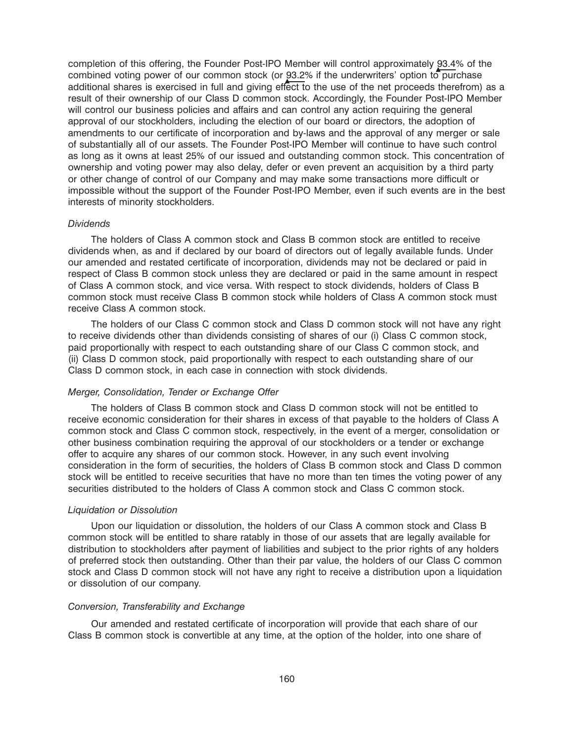completion of this offering, the Founder Post-IPO Member will control approximately 93.4% of the combined voting power of our common stock (or 93.2% if the underwriters' option to purchase additional shares is exercised in full and giving effect to the use of the net proceeds therefrom) as a result of their ownership of our Class D common stock. Accordingly, the Founder Post-IPO Member will control our business policies and affairs and can control any action requiring the general approval of our stockholders, including the election of our board or directors, the adoption of amendments to our certificate of incorporation and by-laws and the approval of any merger or sale of substantially all of our assets. The Founder Post-IPO Member will continue to have such control as long as it owns at least 25% of our issued and outstanding common stock. This concentration of ownership and voting power may also delay, defer or even prevent an acquisition by a third party or other change of control of our Company and may make some transactions more difficult or impossible without the support of the Founder Post-IPO Member, even if such events are in the best interests of minority stockholders.

#### *Dividends*

The holders of Class A common stock and Class B common stock are entitled to receive dividends when, as and if declared by our board of directors out of legally available funds. Under our amended and restated certificate of incorporation, dividends may not be declared or paid in respect of Class B common stock unless they are declared or paid in the same amount in respect of Class A common stock, and vice versa. With respect to stock dividends, holders of Class B common stock must receive Class B common stock while holders of Class A common stock must receive Class A common stock.

The holders of our Class C common stock and Class D common stock will not have any right to receive dividends other than dividends consisting of shares of our (i) Class C common stock, paid proportionally with respect to each outstanding share of our Class C common stock, and (ii) Class D common stock, paid proportionally with respect to each outstanding share of our Class D common stock, in each case in connection with stock dividends.

### *Merger, Consolidation, Tender or Exchange Offer*

The holders of Class B common stock and Class D common stock will not be entitled to receive economic consideration for their shares in excess of that payable to the holders of Class A common stock and Class C common stock, respectively, in the event of a merger, consolidation or other business combination requiring the approval of our stockholders or a tender or exchange offer to acquire any shares of our common stock. However, in any such event involving consideration in the form of securities, the holders of Class B common stock and Class D common stock will be entitled to receive securities that have no more than ten times the voting power of any securities distributed to the holders of Class A common stock and Class C common stock.

### *Liquidation or Dissolution*

Upon our liquidation or dissolution, the holders of our Class A common stock and Class B common stock will be entitled to share ratably in those of our assets that are legally available for distribution to stockholders after payment of liabilities and subject to the prior rights of any holders of preferred stock then outstanding. Other than their par value, the holders of our Class C common stock and Class D common stock will not have any right to receive a distribution upon a liquidation or dissolution of our company.

#### *Conversion, Transferability and Exchange*

Our amended and restated certificate of incorporation will provide that each share of our Class B common stock is convertible at any time, at the option of the holder, into one share of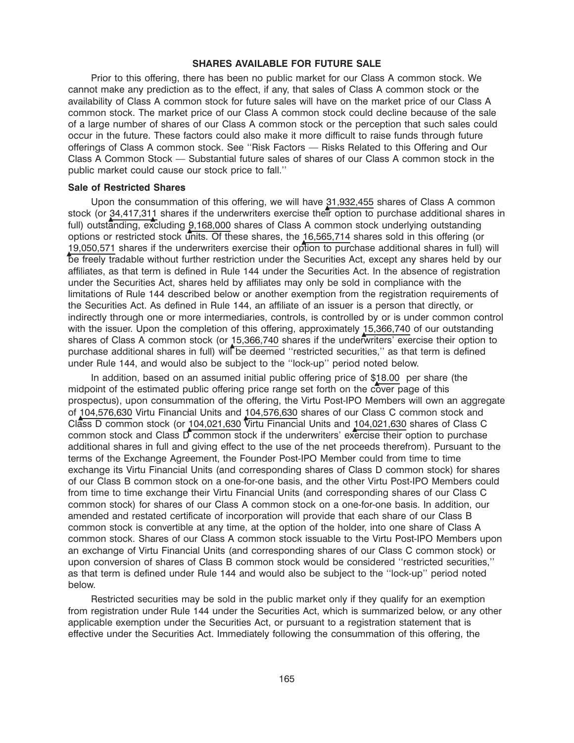# **SHARES AVAILABLE FOR FUTURE SALE**

Prior to this offering, there has been no public market for our Class A common stock. We cannot make any prediction as to the effect, if any, that sales of Class A common stock or the availability of Class A common stock for future sales will have on the market price of our Class A common stock. The market price of our Class A common stock could decline because of the sale of a large number of shares of our Class A common stock or the perception that such sales could occur in the future. These factors could also make it more difficult to raise funds through future offerings of Class A common stock. See ''Risk Factors — Risks Related to this Offering and Our Class A Common Stock — Substantial future sales of shares of our Class A common stock in the public market could cause our stock price to fall.''

#### **Sale of Restricted Shares**

Upon the consummation of this offering, we will have 31,932,455 shares of Class A common stock (or 34,417,311 shares if the underwriters exercise their option to purchase additional shares in full) outstanding, excluding 9,168,000 shares of Class A common stock underlying outstanding options or restricted stock units. Of these shares, the 16,565,714 shares sold in this offering (or 19,050,571 shares if the underwriters exercise their option to purchase additional shares in full) will be freely tradable without further restriction under the Securities Act, except any shares held by our affiliates, as that term is defined in Rule 144 under the Securities Act. In the absence of registration under the Securities Act, shares held by affiliates may only be sold in compliance with the limitations of Rule 144 described below or another exemption from the registration requirements of the Securities Act. As defined in Rule 144, an affiliate of an issuer is a person that directly, or indirectly through one or more intermediaries, controls, is controlled by or is under common control with the issuer. Upon the completion of this offering, approximately 15,366,740 of our outstanding shares of Class A common stock (or 15,366,740 shares if the underwriters' exercise their option to purchase additional shares in full) will be deemed "restricted securities," as that term is defined under Rule 144, and would also be subject to the ''lock-up'' period noted below.

In addition, based on an assumed initial public offering price of \$18.00 per share (the midpoint of the estimated public offering price range set forth on the cover page of this prospectus), upon consummation of the offering, the Virtu Post-IPO Members will own an aggregate of 104,576,630 Virtu Financial Units and 104,576,630 shares of our Class C common stock and Class D common stock (or 104,021,630 Virtu Financial Units and 104,021,630 shares of Class C common stock and Class D common stock if the underwriters' exercise their option to purchase additional shares in full and giving effect to the use of the net proceeds therefrom). Pursuant to the terms of the Exchange Agreement, the Founder Post-IPO Member could from time to time exchange its Virtu Financial Units (and corresponding shares of Class D common stock) for shares of our Class B common stock on a one-for-one basis, and the other Virtu Post-IPO Members could from time to time exchange their Virtu Financial Units (and corresponding shares of our Class C common stock) for shares of our Class A common stock on a one-for-one basis. In addition, our amended and restated certificate of incorporation will provide that each share of our Class B common stock is convertible at any time, at the option of the holder, into one share of Class A common stock. Shares of our Class A common stock issuable to the Virtu Post-IPO Members upon an exchange of Virtu Financial Units (and corresponding shares of our Class C common stock) or upon conversion of shares of Class B common stock would be considered ''restricted securities,'' as that term is defined under Rule 144 and would also be subject to the ''lock-up'' period noted below.

Restricted securities may be sold in the public market only if they qualify for an exemption from registration under Rule 144 under the Securities Act, which is summarized below, or any other applicable exemption under the Securities Act, or pursuant to a registration statement that is effective under the Securities Act. Immediately following the consummation of this offering, the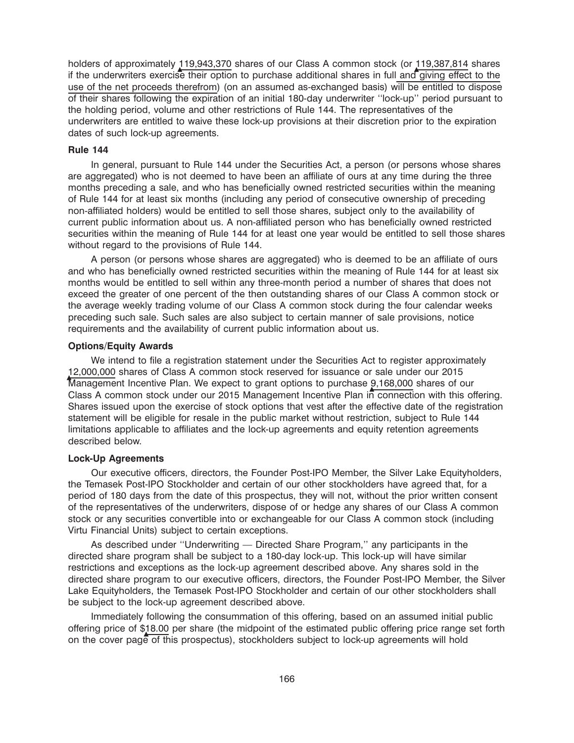holders of approximately 119,943,370 shares of our Class A common stock (or 119,387,814 shares if the underwriters exercise their option to purchase additional shares in full and giving effect to the use of the net proceeds therefrom) (on an assumed as-exchanged basis) will be entitled to dispose of their shares following the expiration of an initial 180-day underwriter ''lock-up'' period pursuant to the holding period, volume and other restrictions of Rule 144. The representatives of the underwriters are entitled to waive these lock-up provisions at their discretion prior to the expiration dates of such lock-up agreements.

### **Rule 144**

In general, pursuant to Rule 144 under the Securities Act, a person (or persons whose shares are aggregated) who is not deemed to have been an affiliate of ours at any time during the three months preceding a sale, and who has beneficially owned restricted securities within the meaning of Rule 144 for at least six months (including any period of consecutive ownership of preceding non-affiliated holders) would be entitled to sell those shares, subject only to the availability of current public information about us. A non-affiliated person who has beneficially owned restricted securities within the meaning of Rule 144 for at least one year would be entitled to sell those shares without regard to the provisions of Rule 144.

A person (or persons whose shares are aggregated) who is deemed to be an affiliate of ours and who has beneficially owned restricted securities within the meaning of Rule 144 for at least six months would be entitled to sell within any three-month period a number of shares that does not exceed the greater of one percent of the then outstanding shares of our Class A common stock or the average weekly trading volume of our Class A common stock during the four calendar weeks preceding such sale. Such sales are also subject to certain manner of sale provisions, notice requirements and the availability of current public information about us.

### **Options/Equity Awards**

We intend to file a registration statement under the Securities Act to register approximately 12,000,000 shares of Class A common stock reserved for issuance or sale under our 2015 Management Incentive Plan. We expect to grant options to purchase 9,168,000 shares of our Class A common stock under our 2015 Management Incentive Plan in connection with this offering. Shares issued upon the exercise of stock options that vest after the effective date of the registration statement will be eligible for resale in the public market without restriction, subject to Rule 144 limitations applicable to affiliates and the lock-up agreements and equity retention agreements described below.

### **Lock-Up Agreements**

Our executive officers, directors, the Founder Post-IPO Member, the Silver Lake Equityholders, the Temasek Post-IPO Stockholder and certain of our other stockholders have agreed that, for a period of 180 days from the date of this prospectus, they will not, without the prior written consent of the representatives of the underwriters, dispose of or hedge any shares of our Class A common stock or any securities convertible into or exchangeable for our Class A common stock (including Virtu Financial Units) subject to certain exceptions.

As described under ''Underwriting — Directed Share Program,'' any participants in the directed share program shall be subject to a 180-day lock-up. This lock-up will have similar restrictions and exceptions as the lock-up agreement described above. Any shares sold in the directed share program to our executive officers, directors, the Founder Post-IPO Member, the Silver Lake Equityholders, the Temasek Post-IPO Stockholder and certain of our other stockholders shall be subject to the lock-up agreement described above.

Immediately following the consummation of this offering, based on an assumed initial public offering price of \$18.00 per share (the midpoint of the estimated public offering price range set forth on the cover page of this prospectus), stockholders subject to lock-up agreements will hold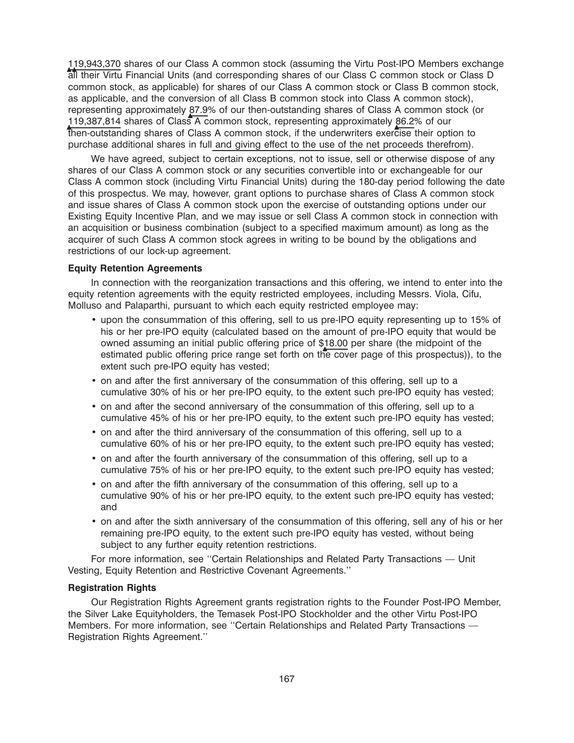119,943,370 shares of our Class A common stock (assuming the Virtu Post-IPO Members exchange all their Virtu Financial Units (and corresponding shares of our Class C common stock or Class D common stock, as applicable) for shares of our Class A common stock or Class B common stock, as applicable, and the conversion of all Class B common stock into Class A common stock), representing approximately 87.9% of our then-outstanding shares of Class A common stock (or 119,387,814 shares of Class A common stock, representing approximately 86.2% of our then-outstanding shares of Class A common stock, if the underwriters exercise their option to purchase additional shares in full and giving effect to the use of the net proceeds therefrom).

We have agreed, subject to certain exceptions, not to issue, sell or otherwise dispose of any shares of our Class A common stock or any securities convertible into or exchangeable for our Class A common stock (including Virtu Financial Units) during the 180-day period following the date of this prospectus. We may, however, grant options to purchase shares of Class A common stock and issue shares of Class A common stock upon the exercise of outstanding options under our Existing Equity Incentive Plan, and we may issue or sell Class A common stock in connection with an acquisition or business combination (subject to a specified maximum amount) as long as the acquirer of such Class A common stock agrees in writing to be bound by the obligations and restrictions of our lock-up agreement.

### **Equity Retention Agreements**

In connection with the reorganization transactions and this offering, we intend to enter into the equity retention agreements with the equity restricted employees, including Messrs. Viola, Cifu, Molluso and Palaparthi, pursuant to which each equity restricted employee may:

- upon the consummation of this offering, sell to us pre-IPO equity representing up to 15% of his or her pre-IPO equity (calculated based on the amount of pre-IPO equity that would be owned assuming an initial public offering price of \$18.00 per share (the midpoint of the estimated public offering price range set forth on the cover page of this prospectus)), to the extent such pre-IPO equity has vested;
- on and after the first anniversary of the consummation of this offering, sell up to a cumulative 30% of his or her pre-IPO equity, to the extent such pre-IPO equity has vested;
- on and after the second anniversary of the consummation of this offering, sell up to a cumulative 45% of his or her pre-IPO equity, to the extent such pre-IPO equity has vested;
- on and after the third anniversary of the consummation of this offering, sell up to a cumulative 60% of his or her pre-IPO equity, to the extent such pre-IPO equity has vested;
- on and after the fourth anniversary of the consummation of this offering, sell up to a cumulative 75% of his or her pre-IPO equity, to the extent such pre-IPO equity has vested;
- on and after the fifth anniversary of the consummation of this offering, sell up to a cumulative 90% of his or her pre-IPO equity, to the extent such pre-IPO equity has vested; and
- on and after the sixth anniversary of the consummation of this offering, sell any of his or her remaining pre-IPO equity, to the extent such pre-IPO equity has vested, without being subject to any further equity retention restrictions.

For more information, see ''Certain Relationships and Related Party Transactions — Unit Vesting, Equity Retention and Restrictive Covenant Agreements.''

## **Registration Rights**

Our Registration Rights Agreement grants registration rights to the Founder Post-IPO Member, the Silver Lake Equityholders, the Temasek Post-IPO Stockholder and the other Virtu Post-IPO Members. For more information, see ''Certain Relationships and Related Party Transactions — Registration Rights Agreement.''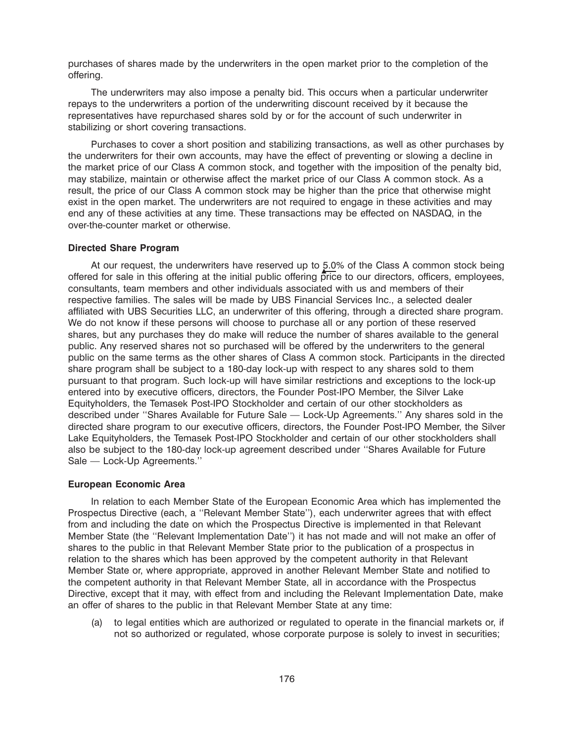purchases of shares made by the underwriters in the open market prior to the completion of the offering.

The underwriters may also impose a penalty bid. This occurs when a particular underwriter repays to the underwriters a portion of the underwriting discount received by it because the representatives have repurchased shares sold by or for the account of such underwriter in stabilizing or short covering transactions.

Purchases to cover a short position and stabilizing transactions, as well as other purchases by the underwriters for their own accounts, may have the effect of preventing or slowing a decline in the market price of our Class A common stock, and together with the imposition of the penalty bid, may stabilize, maintain or otherwise affect the market price of our Class A common stock. As a result, the price of our Class A common stock may be higher than the price that otherwise might exist in the open market. The underwriters are not required to engage in these activities and may end any of these activities at any time. These transactions may be effected on NASDAQ, in the over-the-counter market or otherwise.

### **Directed Share Program**

At our request, the underwriters have reserved up to 5.0% of the Class A common stock being offered for sale in this offering at the initial public offering price to our directors, officers, employees, consultants, team members and other individuals associated with us and members of their respective families. The sales will be made by UBS Financial Services Inc., a selected dealer affiliated with UBS Securities LLC, an underwriter of this offering, through a directed share program. We do not know if these persons will choose to purchase all or any portion of these reserved shares, but any purchases they do make will reduce the number of shares available to the general public. Any reserved shares not so purchased will be offered by the underwriters to the general public on the same terms as the other shares of Class A common stock. Participants in the directed share program shall be subject to a 180-day lock-up with respect to any shares sold to them pursuant to that program. Such lock-up will have similar restrictions and exceptions to the lock-up entered into by executive officers, directors, the Founder Post-IPO Member, the Silver Lake Equityholders, the Temasek Post-IPO Stockholder and certain of our other stockholders as described under ''Shares Available for Future Sale — Lock-Up Agreements.'' Any shares sold in the directed share program to our executive officers, directors, the Founder Post-IPO Member, the Silver Lake Equityholders, the Temasek Post-IPO Stockholder and certain of our other stockholders shall also be subject to the 180-day lock-up agreement described under ''Shares Available for Future Sale — Lock-Up Agreements.''

### **European Economic Area**

In relation to each Member State of the European Economic Area which has implemented the Prospectus Directive (each, a ''Relevant Member State''), each underwriter agrees that with effect from and including the date on which the Prospectus Directive is implemented in that Relevant Member State (the ''Relevant Implementation Date'') it has not made and will not make an offer of shares to the public in that Relevant Member State prior to the publication of a prospectus in relation to the shares which has been approved by the competent authority in that Relevant Member State or, where appropriate, approved in another Relevant Member State and notified to the competent authority in that Relevant Member State, all in accordance with the Prospectus Directive, except that it may, with effect from and including the Relevant Implementation Date, make an offer of shares to the public in that Relevant Member State at any time:

(a) to legal entities which are authorized or regulated to operate in the financial markets or, if not so authorized or regulated, whose corporate purpose is solely to invest in securities;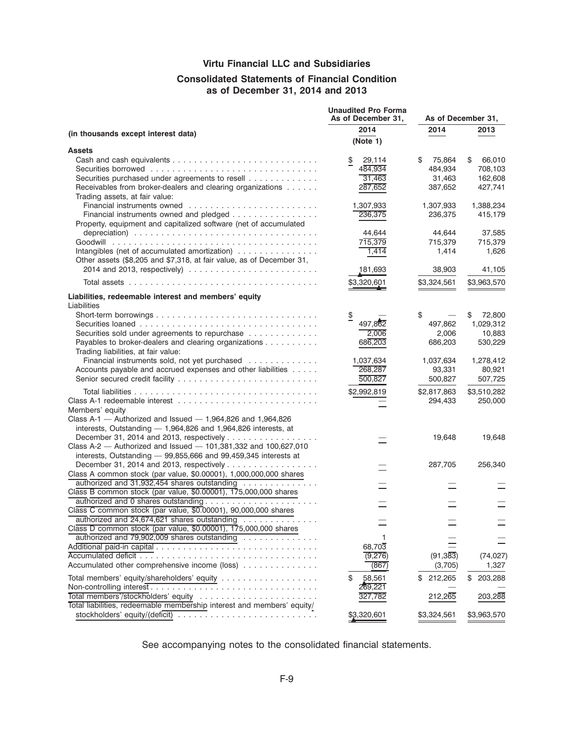# **Virtu Financial LLC and Subsidiaries**

# **Consolidated Statements of Financial Condition as of December 31, 2014 and 2013**

|                                                                                                                                                                                                                                                      | <b>Unaudited Pro Forma</b><br>As of December 31, | As of December 31,                   |                                                |  |
|------------------------------------------------------------------------------------------------------------------------------------------------------------------------------------------------------------------------------------------------------|--------------------------------------------------|--------------------------------------|------------------------------------------------|--|
| (in thousands except interest data)                                                                                                                                                                                                                  | 2014                                             | 2014                                 | 2013                                           |  |
|                                                                                                                                                                                                                                                      | (Note 1)                                         |                                      |                                                |  |
| <b>Assets</b>                                                                                                                                                                                                                                        | 29,114<br>\$<br>484,934                          | \$<br>75,864<br>484,934              | \$<br>66,010<br>708,103                        |  |
| Securities purchased under agreements to resell<br>Receivables from broker-dealers and clearing organizations<br>Trading assets, at fair value:                                                                                                      | 31,463<br>287,652                                | 31,463<br>387,652                    | 162,608<br>427,741                             |  |
| Financial instruments owned and pledged<br>Property, equipment and capitalized software (net of accumulated                                                                                                                                          | 1,307,933<br>236,375                             | 1,307,933<br>236,375                 | 1,388,234<br>415,179                           |  |
| Intangibles (net of accumulated amortization)<br>Other assets (\$8,205 and \$7,318, at fair value, as of December 31,                                                                                                                                | 44,644<br>715,379<br>1,414<br>181,693            | 44,644<br>715,379<br>1,414<br>38,903 | 37,585<br>715,379<br>1,626<br>41,105           |  |
|                                                                                                                                                                                                                                                      | \$3,320,601                                      | \$3,324,561                          | \$3,963,570                                    |  |
|                                                                                                                                                                                                                                                      |                                                  |                                      |                                                |  |
| Liabilities, redeemable interest and members' equity<br>Liabilities                                                                                                                                                                                  |                                                  |                                      |                                                |  |
| Securities sold under agreements to repurchase<br>Payables to broker-dealers and clearing organizations                                                                                                                                              | $\frac{6}{2}$<br>497,862<br>2,006<br>686,203     | \$<br>497,862<br>2,006<br>686,203    | \$<br>72,800<br>1,029,312<br>10,883<br>530,229 |  |
| Trading liabilities, at fair value:<br>Financial instruments sold, not yet purchased<br>Accounts payable and accrued expenses and other liabilities                                                                                                  | 1,037,634<br>268,287<br>500,827                  | 1,037,634<br>93,331<br>500,827       | 1,278,412<br>80,921<br>507,725                 |  |
| Members' equity                                                                                                                                                                                                                                      | \$2,992,819                                      | \$2,817,863<br>294,433               | \$3,510,282<br>250,000                         |  |
| Class A-1 $-$ Authorized and Issued $-$ 1,964,826 and 1,964,826<br>interests, Outstanding - 1,964,826 and 1,964,826 interests, at<br>December 31, 2014 and 2013, respectively<br>Class A-2 $-$ Authorized and Issued $-$ 101,381,332 and 100,627,010 |                                                  | 19,648                               | 19,648                                         |  |
| interests, Outstanding - 99,855,666 and 99,459,345 interests at<br>Class A common stock (par value, \$0.00001), 1,000,000,000 shares                                                                                                                 |                                                  | 287,705                              | 256,340                                        |  |
| authorized and $31,932,454$ shares outstanding $\ldots \ldots \ldots \ldots$<br>Class B common stock (par value, \$0.00001), 175,000,000 shares                                                                                                      |                                                  |                                      |                                                |  |
| Class C common stock (par value, \$0.00001), 90,000,000 shares                                                                                                                                                                                       |                                                  |                                      |                                                |  |
| authorized and 24,674,621 shares outstanding<br>Class D common stock (par value, \$0.00001), 175,000,000 shares                                                                                                                                      |                                                  |                                      |                                                |  |
| authorized and $79,902,009$ shares outstanding $\ldots \ldots \ldots \ldots$                                                                                                                                                                         | 68.703                                           |                                      |                                                |  |
| Accumulated other comprehensive income (loss)                                                                                                                                                                                                        | (9,276)<br>(867)                                 | (91, 383)<br>(3,705)                 | (74, 027)<br>1,327                             |  |
| Total members' equity/shareholders' equity                                                                                                                                                                                                           | 58,561<br>\$<br>269,221                          | \$212,265                            | 203,288<br>\$                                  |  |
| Total liabilities, redeemable membership interest and members' equity/                                                                                                                                                                               | 327,782                                          | 212,265                              | 203,288                                        |  |
|                                                                                                                                                                                                                                                      | \$3,320,601                                      | \$3,324,561                          | \$3,963,570                                    |  |

See accompanying notes to the consolidated financial statements.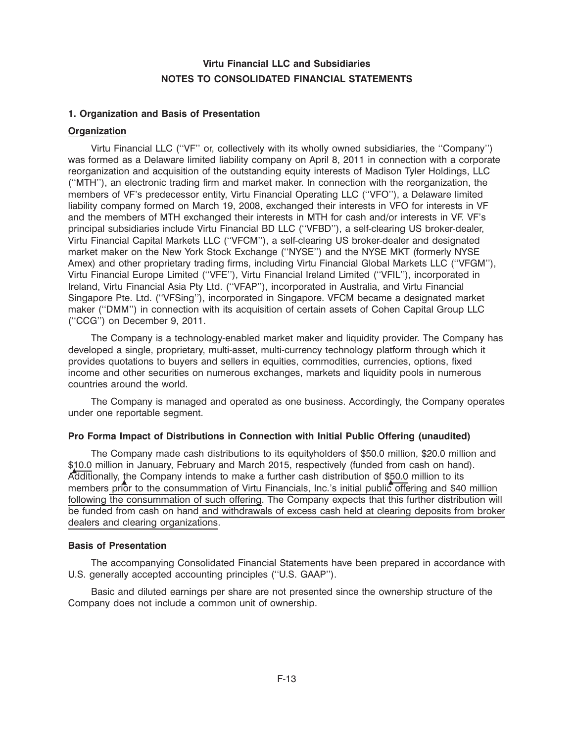# **Virtu Financial LLC and Subsidiaries NOTES TO CONSOLIDATED FINANCIAL STATEMENTS**

# **1. Organization and Basis of Presentation**

# **Organization**

Virtu Financial LLC (''VF'' or, collectively with its wholly owned subsidiaries, the ''Company'') was formed as a Delaware limited liability company on April 8, 2011 in connection with a corporate reorganization and acquisition of the outstanding equity interests of Madison Tyler Holdings, LLC (''MTH''), an electronic trading firm and market maker. In connection with the reorganization, the members of VF's predecessor entity, Virtu Financial Operating LLC (''VFO''), a Delaware limited liability company formed on March 19, 2008, exchanged their interests in VFO for interests in VF and the members of MTH exchanged their interests in MTH for cash and/or interests in VF. VF's principal subsidiaries include Virtu Financial BD LLC (''VFBD''), a self-clearing US broker-dealer, Virtu Financial Capital Markets LLC (''VFCM''), a self-clearing US broker-dealer and designated market maker on the New York Stock Exchange (''NYSE'') and the NYSE MKT (formerly NYSE Amex) and other proprietary trading firms, including Virtu Financial Global Markets LLC (''VFGM''), Virtu Financial Europe Limited (''VFE''), Virtu Financial Ireland Limited (''VFIL''), incorporated in Ireland, Virtu Financial Asia Pty Ltd. (''VFAP''), incorporated in Australia, and Virtu Financial Singapore Pte. Ltd. (''VFSing''), incorporated in Singapore. VFCM became a designated market maker (''DMM'') in connection with its acquisition of certain assets of Cohen Capital Group LLC (''CCG'') on December 9, 2011.

The Company is a technology-enabled market maker and liquidity provider. The Company has developed a single, proprietary, multi-asset, multi-currency technology platform through which it provides quotations to buyers and sellers in equities, commodities, currencies, options, fixed income and other securities on numerous exchanges, markets and liquidity pools in numerous countries around the world.

The Company is managed and operated as one business. Accordingly, the Company operates under one reportable segment.

### **Pro Forma Impact of Distributions in Connection with Initial Public Offering (unaudited)**

The Company made cash distributions to its equityholders of \$50.0 million, \$20.0 million and \$10.0 million in January, February and March 2015, respectively (funded from cash on hand). Additionally, the Company intends to make a further cash distribution of \$50.0 million to its members prior to the consummation of Virtu Financials, Inc.'s initial public offering and \$40 million following the consummation of such offering. The Company expects that this further distribution will be funded from cash on hand and withdrawals of excess cash held at clearing deposits from broker dealers and clearing organizations.

### **Basis of Presentation**

The accompanying Consolidated Financial Statements have been prepared in accordance with U.S. generally accepted accounting principles (''U.S. GAAP'').

Basic and diluted earnings per share are not presented since the ownership structure of the Company does not include a common unit of ownership.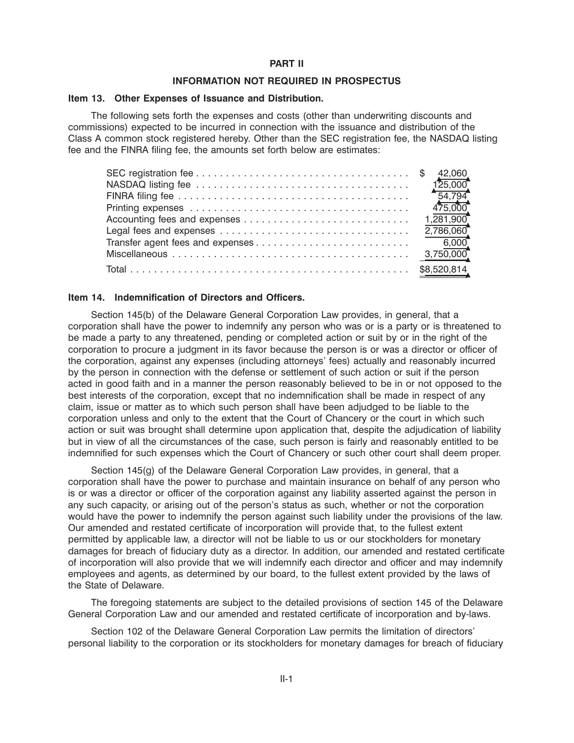# **PART II**

# **INFORMATION NOT REQUIRED IN PROSPECTUS**

### **Item 13. Other Expenses of Issuance and Distribution.**

The following sets forth the expenses and costs (other than underwriting discounts and commissions) expected to be incurred in connection with the issuance and distribution of the Class A common stock registered hereby. Other than the SEC registration fee, the NASDAQ listing fee and the FINRA filing fee, the amounts set forth below are estimates:

### **Item 14. Indemnification of Directors and Officers.**

Section 145(b) of the Delaware General Corporation Law provides, in general, that a corporation shall have the power to indemnify any person who was or is a party or is threatened to be made a party to any threatened, pending or completed action or suit by or in the right of the corporation to procure a judgment in its favor because the person is or was a director or officer of the corporation, against any expenses (including attorneys' fees) actually and reasonably incurred by the person in connection with the defense or settlement of such action or suit if the person acted in good faith and in a manner the person reasonably believed to be in or not opposed to the best interests of the corporation, except that no indemnification shall be made in respect of any claim, issue or matter as to which such person shall have been adjudged to be liable to the corporation unless and only to the extent that the Court of Chancery or the court in which such action or suit was brought shall determine upon application that, despite the adjudication of liability but in view of all the circumstances of the case, such person is fairly and reasonably entitled to be indemnified for such expenses which the Court of Chancery or such other court shall deem proper.

Section 145(g) of the Delaware General Corporation Law provides, in general, that a corporation shall have the power to purchase and maintain insurance on behalf of any person who is or was a director or officer of the corporation against any liability asserted against the person in any such capacity, or arising out of the person's status as such, whether or not the corporation would have the power to indemnify the person against such liability under the provisions of the law. Our amended and restated certificate of incorporation will provide that, to the fullest extent permitted by applicable law, a director will not be liable to us or our stockholders for monetary damages for breach of fiduciary duty as a director. In addition, our amended and restated certificate of incorporation will also provide that we will indemnify each director and officer and may indemnify employees and agents, as determined by our board, to the fullest extent provided by the laws of the State of Delaware.

The foregoing statements are subject to the detailed provisions of section 145 of the Delaware General Corporation Law and our amended and restated certificate of incorporation and by-laws.

Section 102 of the Delaware General Corporation Law permits the limitation of directors' personal liability to the corporation or its stockholders for monetary damages for breach of fiduciary